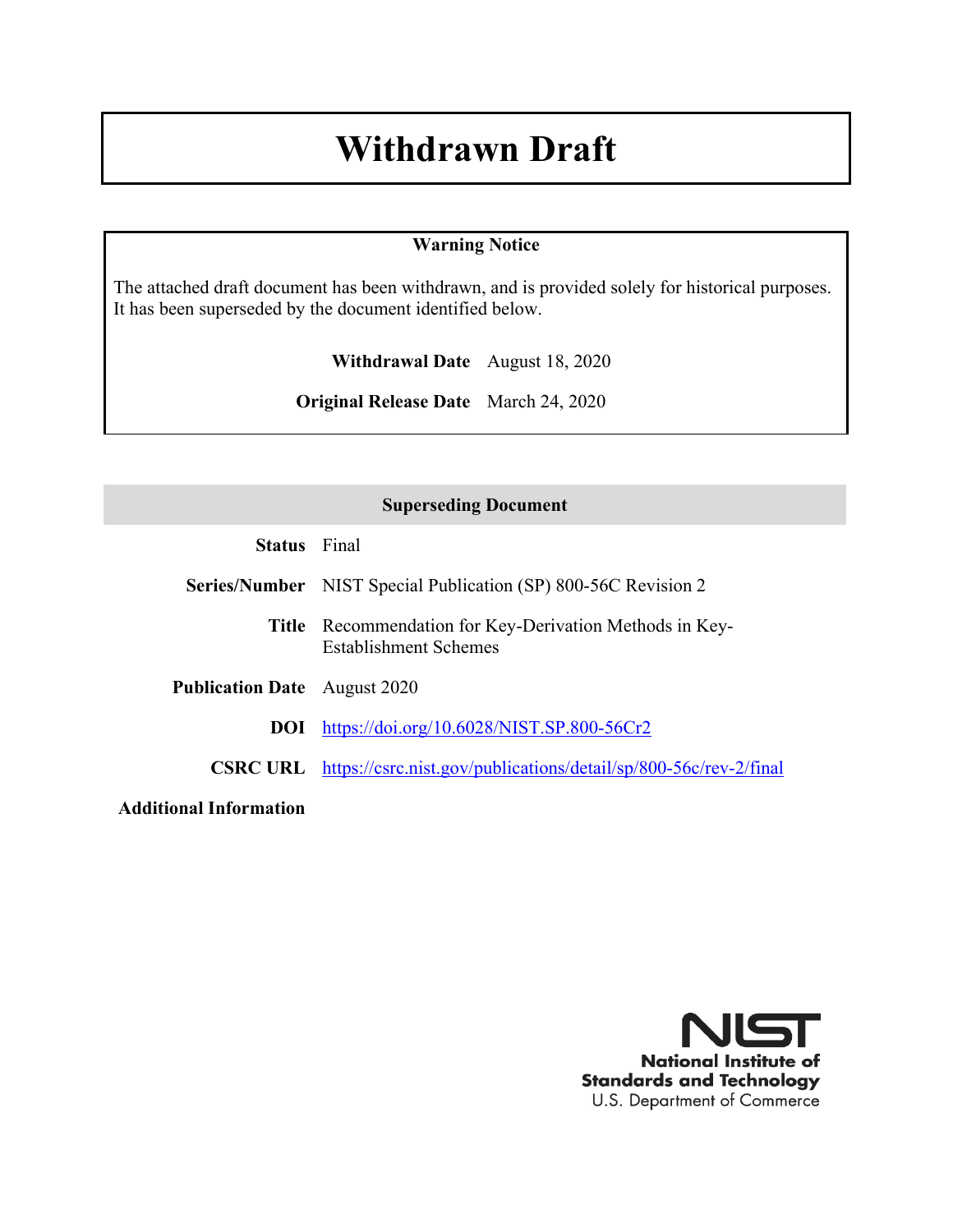# **Withdrawn Draft**

#### **Warning Notice**

The attached draft document has been withdrawn, and is provided solely for historical purposes. It has been superseded by the document identified below.

**Withdrawal Date** August 18, 2020

**Original Release Date** March 24, 2020

#### **Superseding Document**

| <b>Status</b> | Final |
|---------------|-------|
|---------------|-------|

- **Series/Number** NIST Special Publication (SP) 800-56C Revision 2
	- **Title** Recommendation for Key-Derivation Methods in Key-Establishment Schemes
- **Publication Date** August 2020

**DOI** <https://doi.org/10.6028/NIST.SP.800-56Cr2>

**CSRC URL** <https://csrc.nist.gov/publications/detail/sp/800-56c/rev-2/final>

**Additional Information**

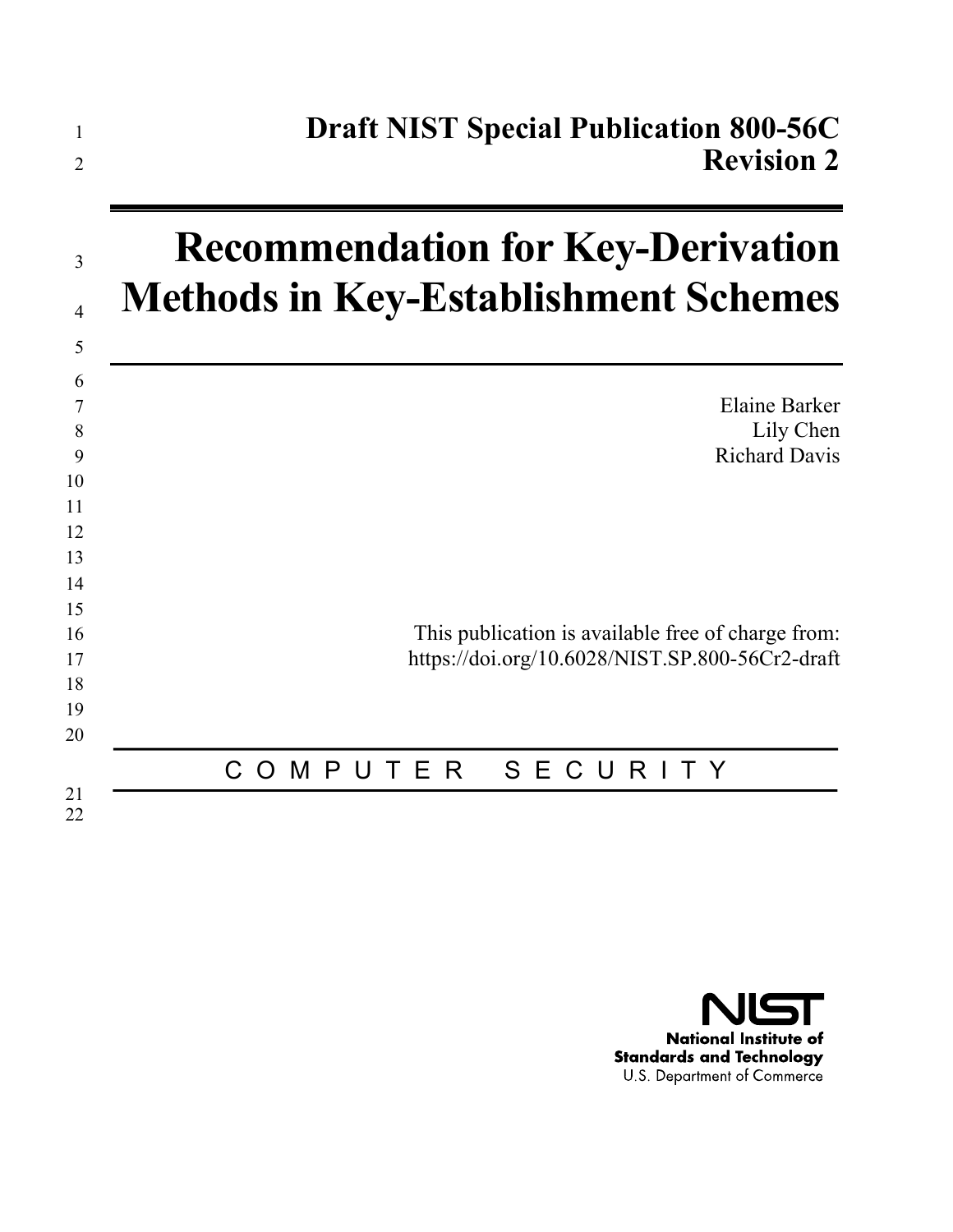| 1<br>2         | <b>Draft NIST Special Publication 800-56C</b><br><b>Revision 2</b> |
|----------------|--------------------------------------------------------------------|
| 3              | <b>Recommendation for Key-Derivation</b>                           |
| $\overline{4}$ | <b>Methods in Key-Establishment Schemes</b>                        |
| 5              |                                                                    |
| 6              | <b>Elaine Barker</b>                                               |
| 7<br>8         | Lily Chen                                                          |
| 9              | <b>Richard Davis</b>                                               |
| 10<br>11       |                                                                    |
| 12             |                                                                    |
| 13             |                                                                    |
| 14<br>15       |                                                                    |
| 16             | This publication is available free of charge from:                 |
| 17             | https://doi.org/10.6028/NIST.SP.800-56Cr2-draft                    |
| 18<br>19       |                                                                    |
| 20             |                                                                    |
|                | SECURI<br>P U<br>TER<br>C<br>T Y<br>$\overline{O}$<br>M            |
| 21<br>22       |                                                                    |

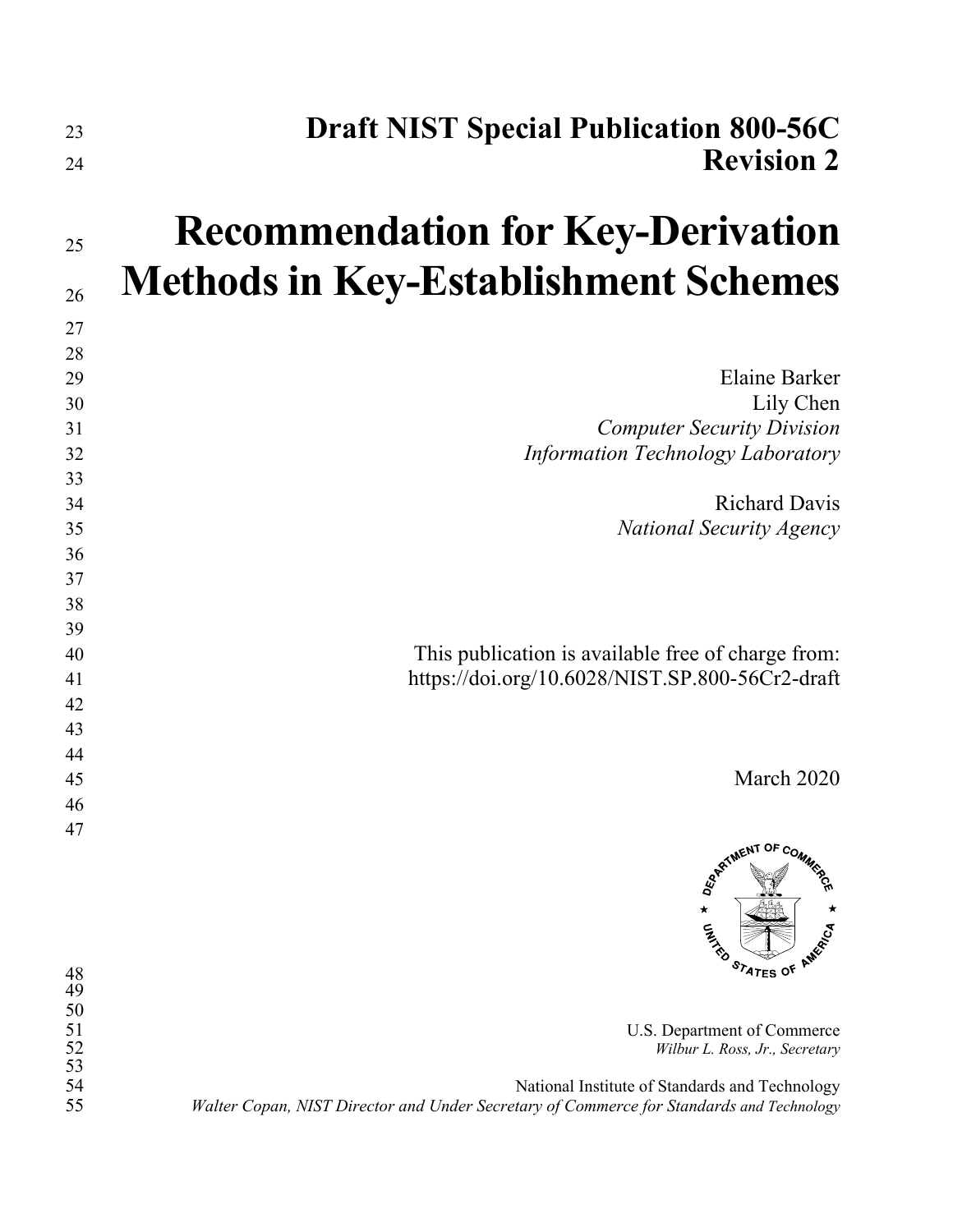| 23<br>24                                | <b>Draft NIST Special Publication 800-56C</b><br><b>Revision 2</b>                                                                         |
|-----------------------------------------|--------------------------------------------------------------------------------------------------------------------------------------------|
|                                         |                                                                                                                                            |
| 25                                      | <b>Recommendation for Key-Derivation</b>                                                                                                   |
| 26                                      | <b>Methods in Key-Establishment Schemes</b>                                                                                                |
| 27                                      |                                                                                                                                            |
| 28                                      |                                                                                                                                            |
| 29                                      | <b>Elaine Barker</b>                                                                                                                       |
| 30                                      | Lily Chen                                                                                                                                  |
| 31                                      | <b>Computer Security Division</b>                                                                                                          |
| 32                                      | <b>Information Technology Laboratory</b>                                                                                                   |
| 33                                      |                                                                                                                                            |
| 34                                      | <b>Richard Davis</b>                                                                                                                       |
| 35                                      | <b>National Security Agency</b>                                                                                                            |
| 36                                      |                                                                                                                                            |
| 37                                      |                                                                                                                                            |
| 38                                      |                                                                                                                                            |
| 39                                      |                                                                                                                                            |
| 40                                      | This publication is available free of charge from:                                                                                         |
| 41                                      | https://doi.org/10.6028/NIST.SP.800-56Cr2-draft                                                                                            |
| 42                                      |                                                                                                                                            |
| 43<br>44                                |                                                                                                                                            |
| 45                                      | March 2020                                                                                                                                 |
| 46                                      |                                                                                                                                            |
| 47                                      |                                                                                                                                            |
|                                         | <b>ARTIMENT OF COMMS</b><br>$\star$<br><b>CALLED</b>                                                                                       |
| 48<br>49<br>50<br>51<br>$\frac{52}{53}$ | STATES OF<br>U.S. Department of Commerce<br>Wilbur L. Ross, Jr., Secretary                                                                 |
| 54<br>55                                | National Institute of Standards and Technology<br>Walter Copan, NIST Director and Under Secretary of Commerce for Standards and Technology |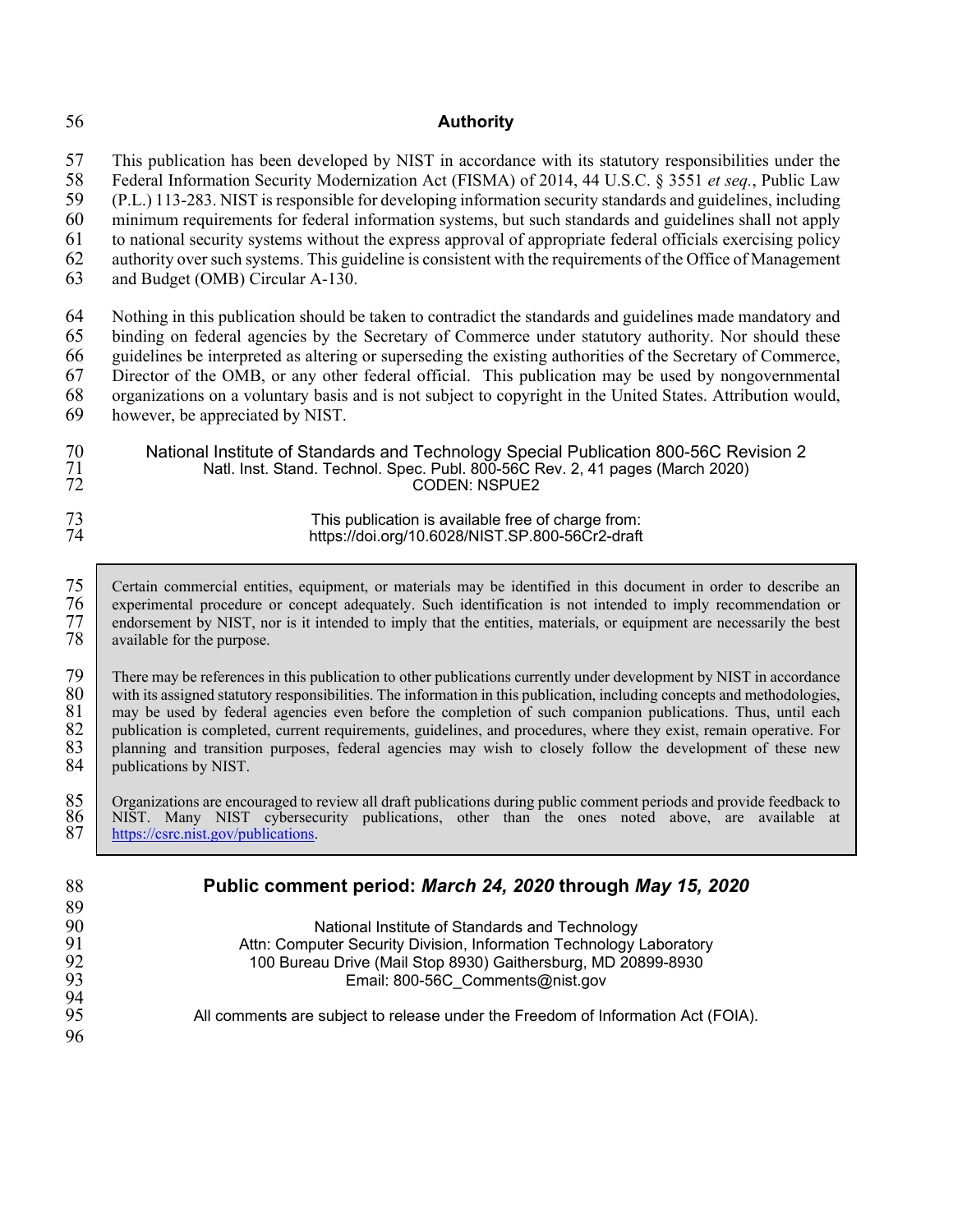#### 56 **Authority**

57 This publication has been developed by NIST in accordance with its statutory responsibilities under the 58 Federal Information Security Modernization Act (FISMA) of 2014, 44 U.S.C. § 3551 *et seq.*, Public Law

58 Federal Information Security Modernization Act (FISMA) of 2014, 44 U.S.C. § 3551 *et seq.*, Public Law 59 (P.L.) 113-283. NIST is responsible for developing information security standards and guidelines, including

60 minimum requirements for federal information systems, but such standards and guidelines shall not apply

61 to national security systems without the express approval of appropriate federal officials exercising policy

62 authority over such systems. This guideline is consistent with the requirements of the Office of Management

63 and Budget (OMB) Circular A-130.

64 Nothing in this publication should be taken to contradict the standards and guidelines made mandatory and<br>65 binding on federal agencies by the Secretary of Commerce under statutory authority. Nor should these binding on federal agencies by the Secretary of Commerce under statutory authority. Nor should these guidelines be interpreted as altering or superseding the existing authorities of the Secretary of Commerce, Director of the OMB, or any other federal official. This publication may be used by nongovernmental organizations on a voluntary basis and is not subject to copyright in the United States. Attribution would, however, be appreciated by NIST.

National Institute of Standards and Technology Special Publication 800-56C Revision 2 Natl. Inst. Stand. Technol. Spec. Publ. 800-56C Rev. 2, 41 pages (March 2020) 72 CODEN: NSPUE2

#### 73 This publication is available free of charge from:<br>74 https://doi.org/10.6028/NIST.SP.800-56Cr2-draft https://doi.org/10.6028/NIST.SP.800-56Cr2-draft

75 Certain commercial entities, equipment, or materials may be identified in this document in order to describe an experimental procedure or concept adequately. Such identification is not intended to imply recommendation o 76 experimental procedure or concept adequately. Such identification is not intended to imply recommendation or<br>77 endorsement by NIST, nor is it intended to imply that the entities, materials, or equipment are necessarily 77 endorsement by NIST, nor is it intended to imply that the entities, materials, or equipment are necessarily the best available for the purpose. available for the purpose.

79 There may be references in this publication to other publications currently under development by NIST in accordance<br>80 with its assigned statutory responsibilities. The information in this publication, including concept 80 with its assigned statutory responsibilities. The information in this publication, including concepts and methodologies,  $\begin{bmatrix} 81 \end{bmatrix}$  may be used by federal agencies even before the completion of such companion pub 81 may be used by federal agencies even before the completion of such companion publications. Thus, until each publication is completed, current requirements, guidelines, and procedures, where they exist, remain operative. 82 publication is completed, current requirements, guidelines, and procedures, where they exist, remain operative. For 83 planning and transition purposes, federal agencies may wish to closely follow the development of these new publications by NIST. publications by NIST.

85 Organizations are encouraged to review all draft publications during public comment periods and provide feedback to NIST. Many NIST cybersecurity publications, other than the ones noted above, are available at https://c 86 NIST. Many NIST cybersecurity publications, other than the ones noted above, are available at [https://csrc.nist.gov/publications.](https://csrc.nist.gov/publications)

| 88 | Public comment period: March 24, 2020 through May 15, 2020                       |
|----|----------------------------------------------------------------------------------|
| 89 |                                                                                  |
| 90 | National Institute of Standards and Technology                                   |
| 91 | Attn: Computer Security Division, Information Technology Laboratory              |
| 92 | 100 Bureau Drive (Mail Stop 8930) Gaithersburg, MD 20899-8930                    |
| 93 | Email: 800-56C_Comments@nist.gov                                                 |
| 94 |                                                                                  |
| 95 | All comments are subject to release under the Freedom of Information Act (FOIA). |
| 96 |                                                                                  |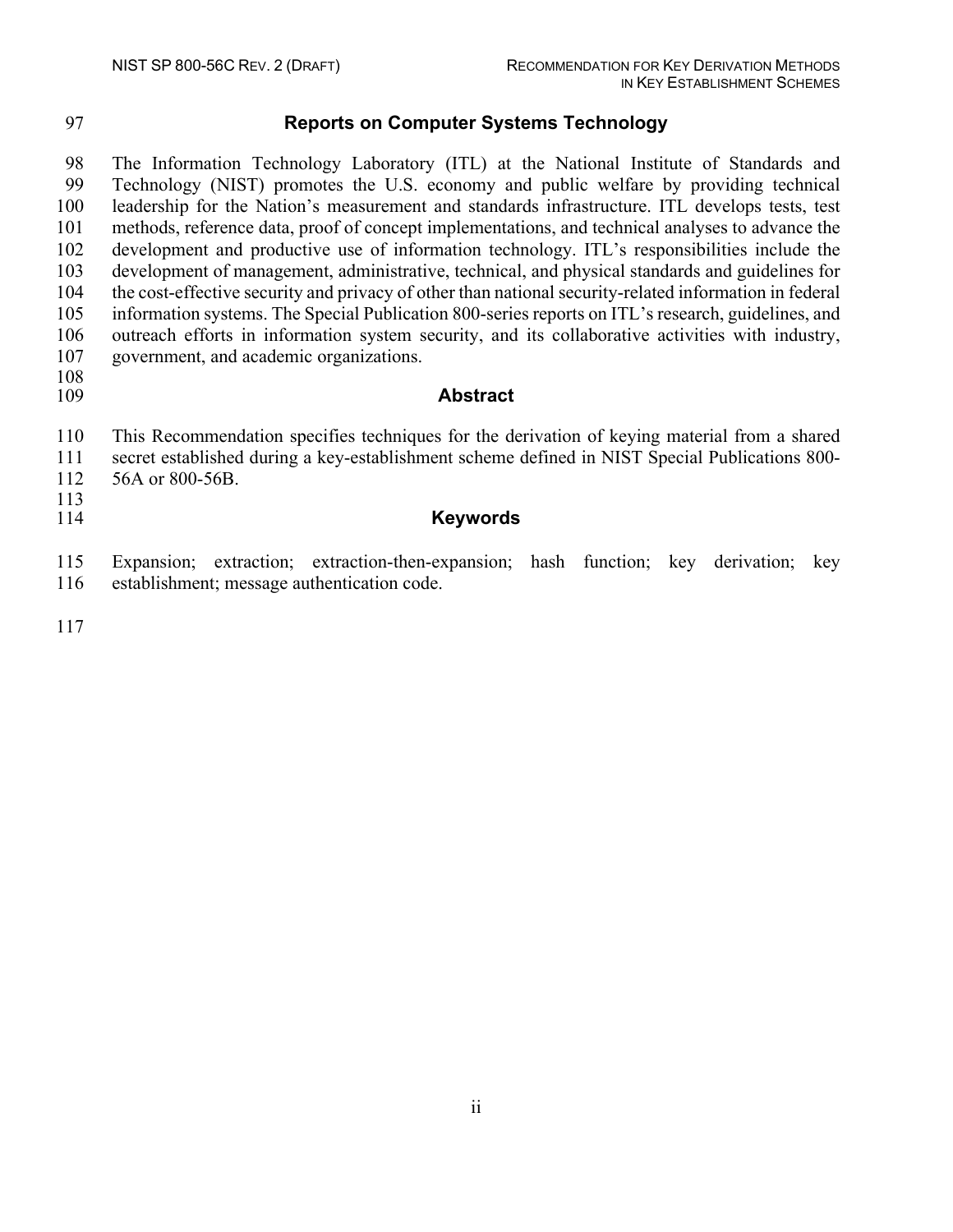### **Reports on Computer Systems Technology**

 The Information Technology Laboratory (ITL) at the National Institute of Standards and Technology (NIST) promotes the U.S. economy and public welfare by providing technical leadership for the Nation's measurement and standards infrastructure. ITL develops tests, test methods, reference data, proof of concept implementations, and technical analyses to advance the development and productive use of information technology. ITL's responsibilities include the development of management, administrative, technical, and physical standards and guidelines for the cost-effective security and privacy of other than national security-related information in federal information systems. The Special Publication 800-series reports on ITL's research, guidelines, and outreach efforts in information system security, and its collaborative activities with industry, government, and academic organizations.

108<br>109

#### Abstract

This Recommendation specifies techniques for the derivation of keying material from a shared

 secret established during a key-establishment scheme defined in NIST Special Publications 800- 56A or 800-56B.

#### **Keywords**

 Expansion; extraction; extraction-then-expansion; hash function; key derivation; key establishment; message authentication code.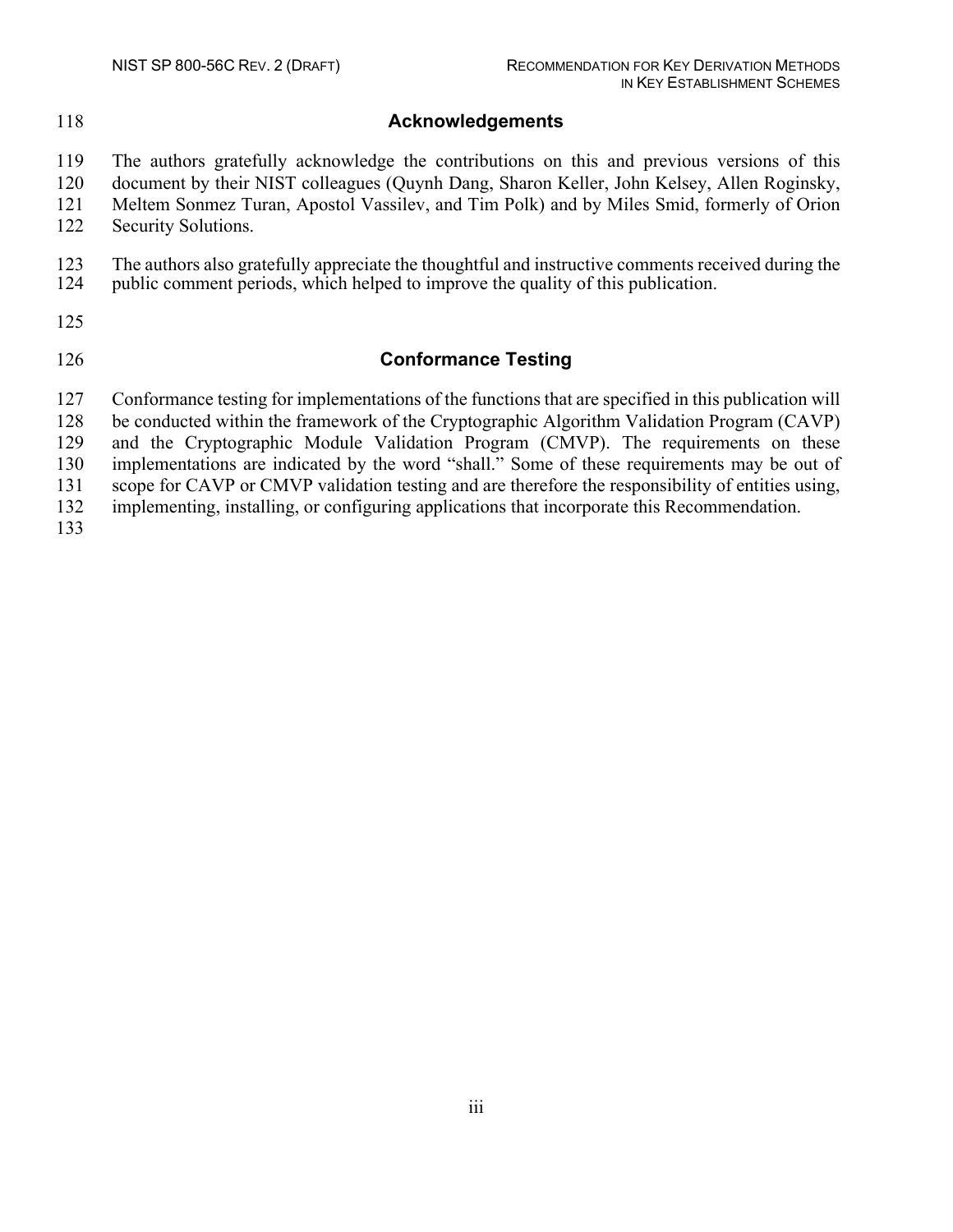#### **Acknowledgements**

The authors gratefully acknowledge the contributions on this and previous versions of this

document by their NIST colleagues (Quynh Dang, Sharon Keller, John Kelsey, Allen Roginsky,

 Meltem Sonmez Turan, Apostol Vassilev, and Tim Polk) and by Miles Smid, formerly of Orion Security Solutions.

123 The authors also gratefully appreciate the thoughtful and instructive comments received during the public comment periods, which helped to improve the quality of this publication. public comment periods, which helped to improve the quality of this publication.

#### **Conformance Testing**

Conformance testing for implementations of the functions that are specified in this publication will

be conducted within the framework of the Cryptographic Algorithm Validation Program (CAVP)

and the Cryptographic Module Validation Program (CMVP). The requirements on these

implementations are indicated by the word "shall." Some of these requirements may be out of

scope for CAVP or CMVP validation testing and are therefore the responsibility of entities using,

implementing, installing, or configuring applications that incorporate this Recommendation.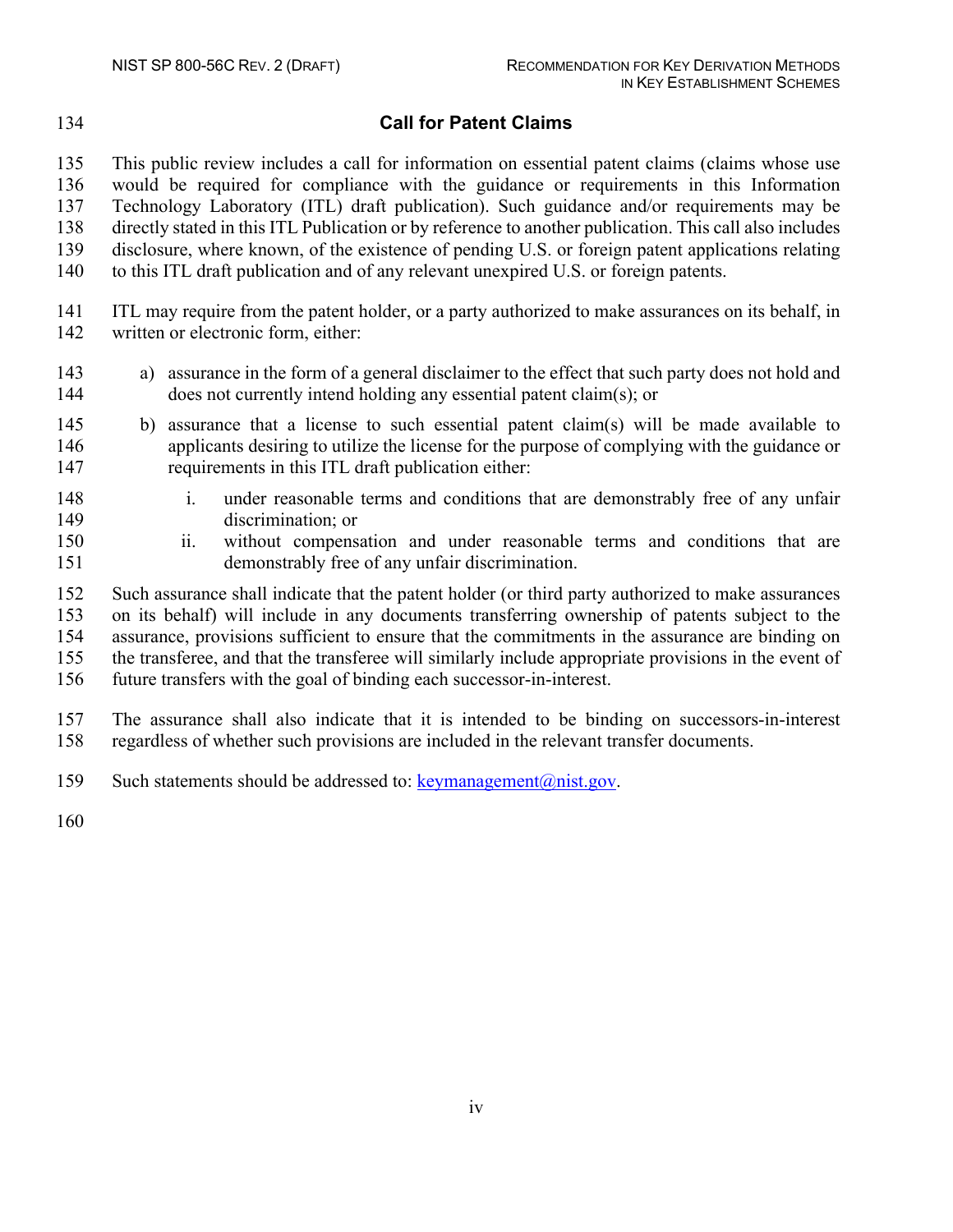# **Call for Patent Claims**

 This public review includes a call for information on essential patent claims (claims whose use would be required for compliance with the guidance or requirements in this Information Technology Laboratory (ITL) draft publication). Such guidance and/or requirements may be directly stated in this ITL Publication or by reference to another publication. This call also includes disclosure, where known, of the existence of pending U.S. or foreign patent applications relating to this ITL draft publication and of any relevant unexpired U.S. or foreign patents.

- ITL may require from the patent holder, or a party authorized to make assurances on its behalf, in written or electronic form, either:
- a) assurance in the form of a general disclaimer to the effect that such party does not hold and does not currently intend holding any essential patent claim(s); or
- b) assurance that a license to such essential patent claim(s) will be made available to applicants desiring to utilize the license for the purpose of complying with the guidance or requirements in this ITL draft publication either:
- i. under reasonable terms and conditions that are demonstrably free of any unfair discrimination; or
- ii. without compensation and under reasonable terms and conditions that are demonstrably free of any unfair discrimination.
- Such assurance shall indicate that the patent holder (or third party authorized to make assurances on its behalf) will include in any documents transferring ownership of patents subject to the assurance, provisions sufficient to ensure that the commitments in the assurance are binding on the transferee, and that the transferee will similarly include appropriate provisions in the event of future transfers with the goal of binding each successor-in-interest.
- The assurance shall also indicate that it is intended to be binding on successors-in-interest regardless of whether such provisions are included in the relevant transfer documents.
- 159 Such statements should be addressed to:  $k$ eymanagement $(a)$ nist.gov.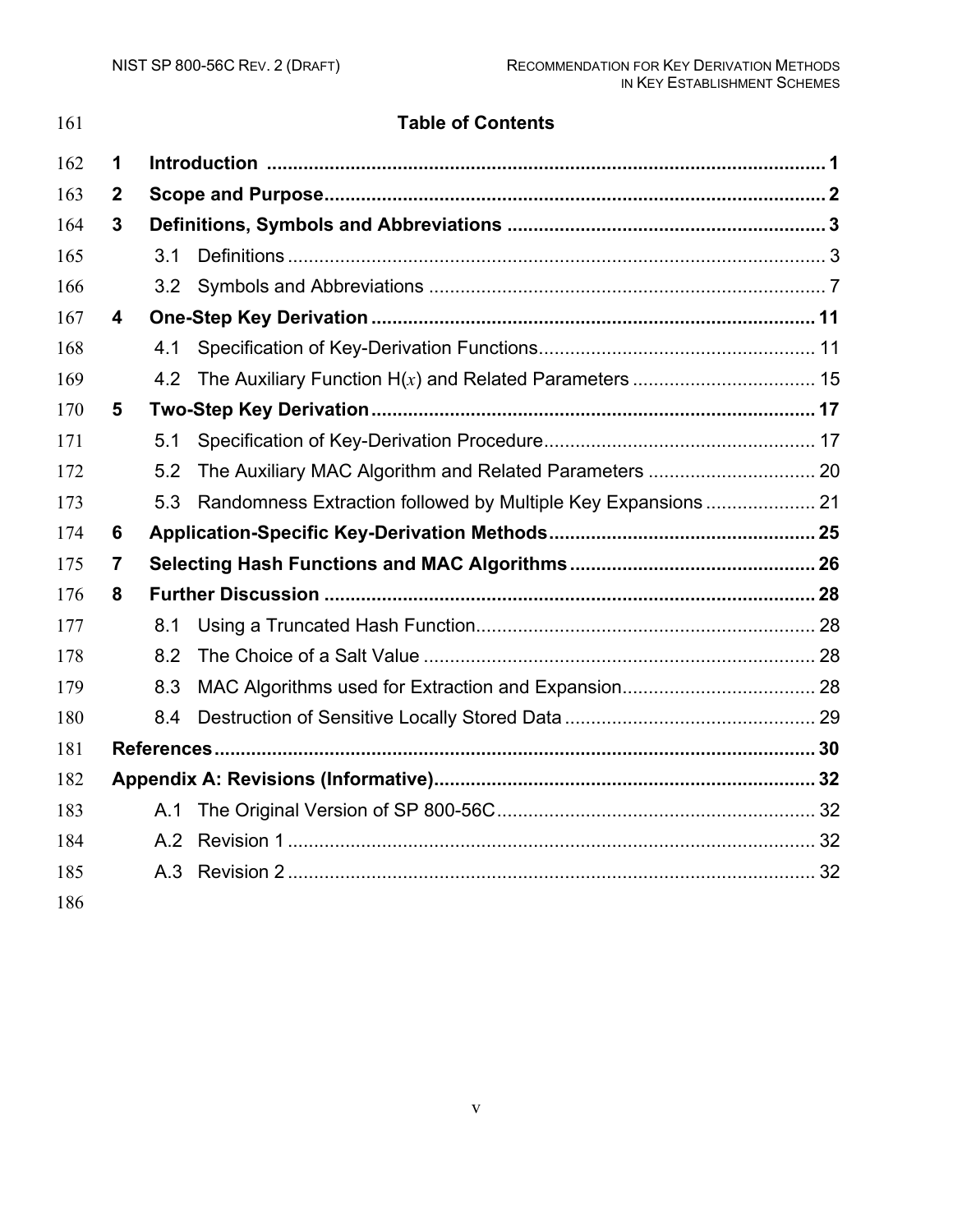| 161 |                         |     | <b>Table of Contents</b>                                      |  |
|-----|-------------------------|-----|---------------------------------------------------------------|--|
| 162 | 1                       |     |                                                               |  |
| 163 | $\mathbf{2}$            |     |                                                               |  |
| 164 | $\mathbf 3$             |     |                                                               |  |
| 165 |                         | 31  |                                                               |  |
| 166 |                         | 3.2 |                                                               |  |
| 167 | $\overline{\mathbf{4}}$ |     |                                                               |  |
| 168 |                         | 4.1 |                                                               |  |
| 169 |                         | 4.2 |                                                               |  |
| 170 | 5                       |     |                                                               |  |
| 171 |                         | 5.1 |                                                               |  |
| 172 |                         | 5.2 |                                                               |  |
| 173 |                         | 5.3 | Randomness Extraction followed by Multiple Key Expansions  21 |  |
| 174 | 6                       |     |                                                               |  |
| 175 | 7                       |     |                                                               |  |
| 176 | 8                       |     |                                                               |  |
| 177 |                         | 8.1 |                                                               |  |
| 178 |                         | 8.2 |                                                               |  |
| 179 |                         | 8.3 |                                                               |  |
| 180 |                         | 8.4 |                                                               |  |
| 181 |                         |     |                                                               |  |
| 182 |                         |     |                                                               |  |
| 183 |                         | A.1 |                                                               |  |
| 184 |                         |     |                                                               |  |
| 185 |                         | A.3 |                                                               |  |
| 186 |                         |     |                                                               |  |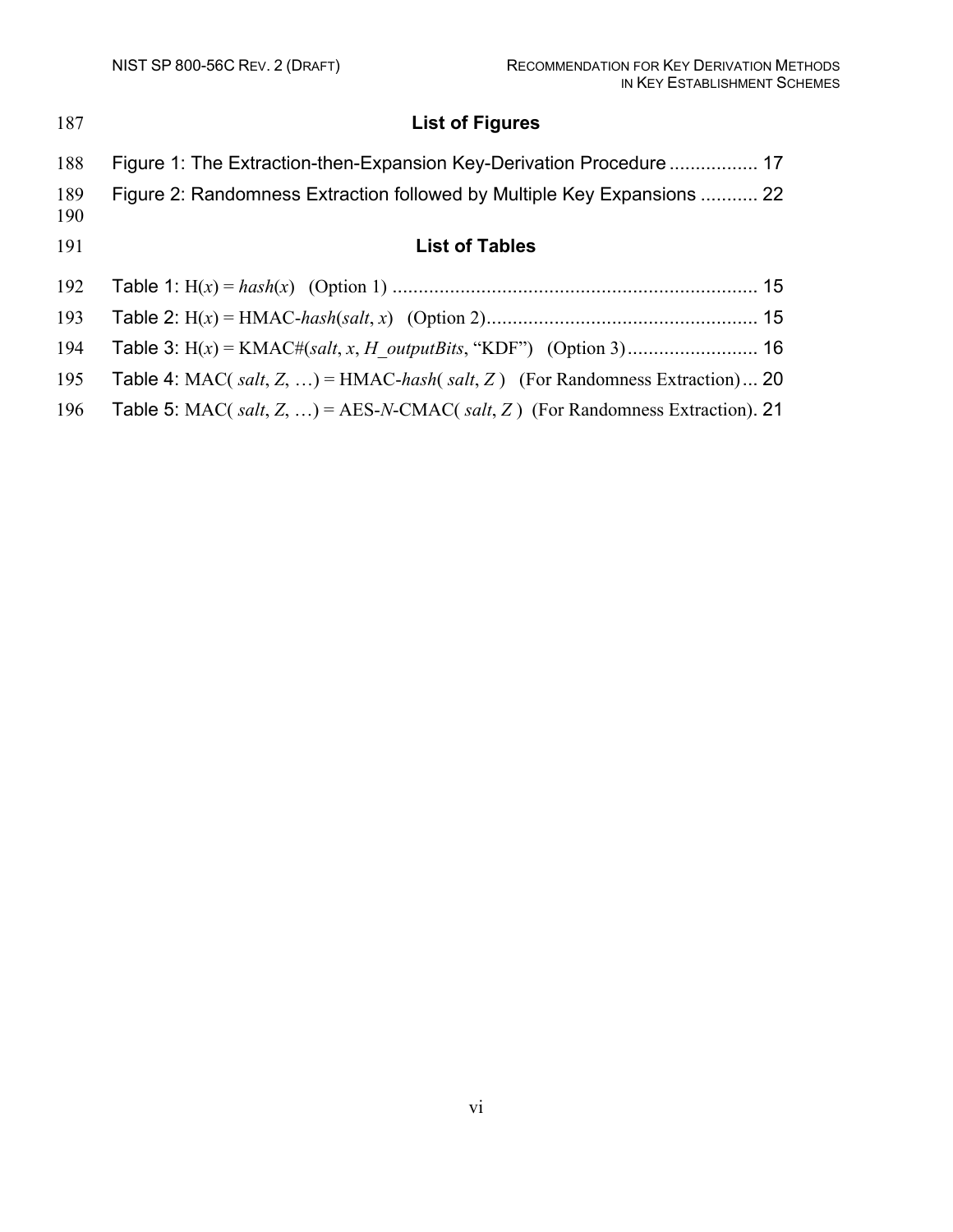| 187        | <b>List of Figures</b>                                                        |
|------------|-------------------------------------------------------------------------------|
| 188        | Figure 1: The Extraction-then-Expansion Key-Derivation Procedure  17          |
| 189<br>190 | Figure 2: Randomness Extraction followed by Multiple Key Expansions  22       |
| 191        | <b>List of Tables</b>                                                         |
| 192        |                                                                               |
| 193        |                                                                               |
| 194        |                                                                               |
| 195        | Table 4: MAC( salt, Z, ) = HMAC-hash( salt, Z) (For Randomness Extraction) 20 |
| 196        | Table 5: MAC(salt, Z, ) = AES-N-CMAC(salt, Z) (For Randomness Extraction). 21 |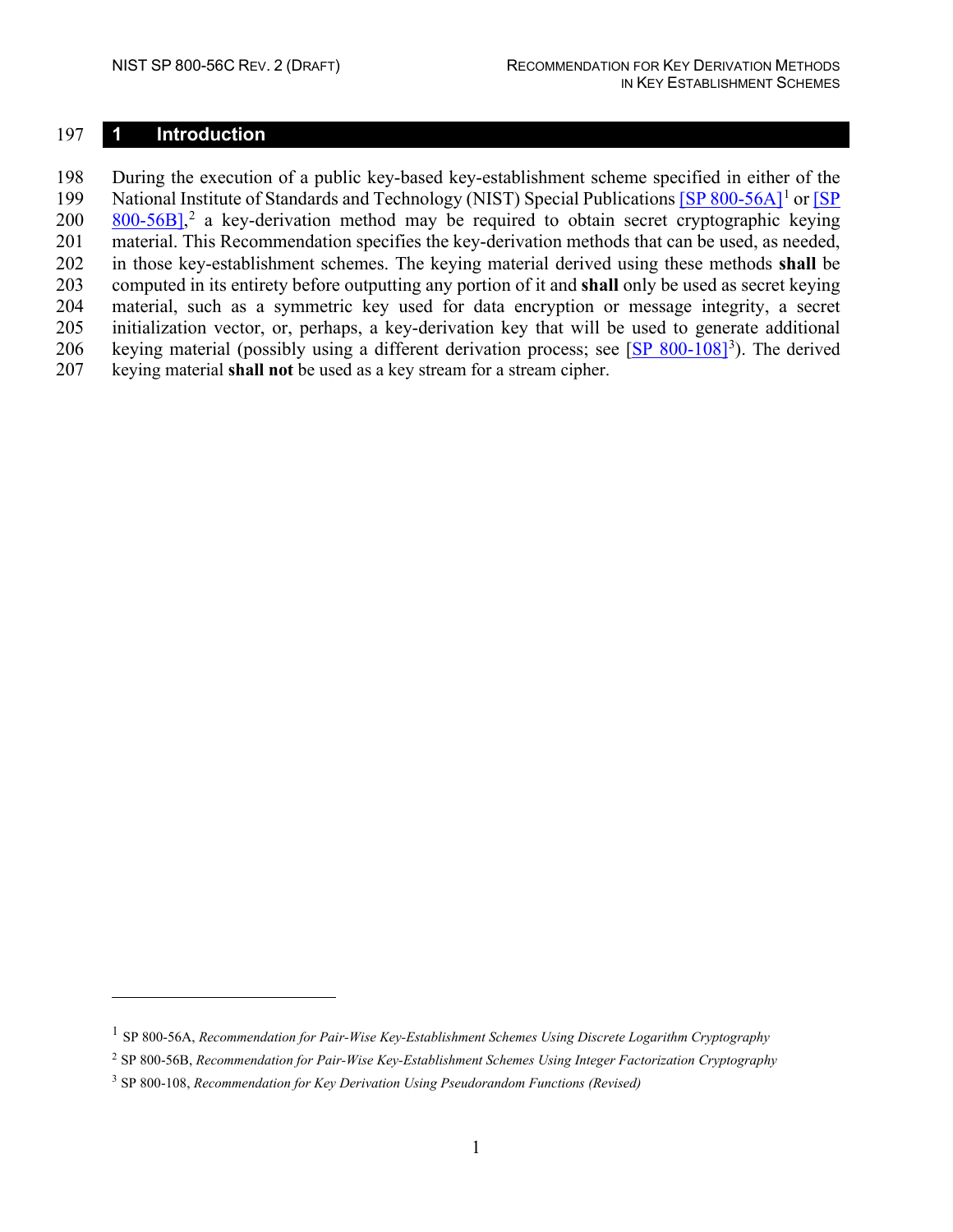#### <span id="page-9-0"></span>**1 Introduction**

 During the execution of a public key-based key-establishment scheme specified in either of the 199 National Institute of Standards and Technology (NIST) Special Publication[s \[SP 800-56A\]](#page-38-1)<sup>[1](#page-9-1)</sup> or [SP  $200 \frac{800-56B}{s}$  a key-derivation method may be required to obtain secret cryptographic keying material. This Recommendation specifies the key-derivation methods that can be used, as needed, in those key-establishment schemes. The keying material derived using these methods **shall** be computed in its entirety before outputting any portion of it and **shall** only be used as secret keying material, such as a symmetric key used for data encryption or message integrity, a secret initialization vector, or, perhaps, a key-derivation key that will be used to generate additional 206 keying material (possibly using a different derivation process; see [\[SP 800-108\]](#page-39-1)<sup>[3](#page-9-3)</sup>). The derived keying material **shall not** be used as a key stream for a stream cipher.

<span id="page-9-1"></span>SP 800-56A, *Recommendation for Pair-Wise Key-Establishment Schemes Using Discrete Logarithm Cryptography*

<span id="page-9-2"></span>SP 800-56B, *Recommendation for Pair-Wise Key-Establishment Schemes Using Integer Factorization Cryptography*

<span id="page-9-3"></span>SP 800-108, *Recommendation for Key Derivation Using Pseudorandom Functions (Revised)*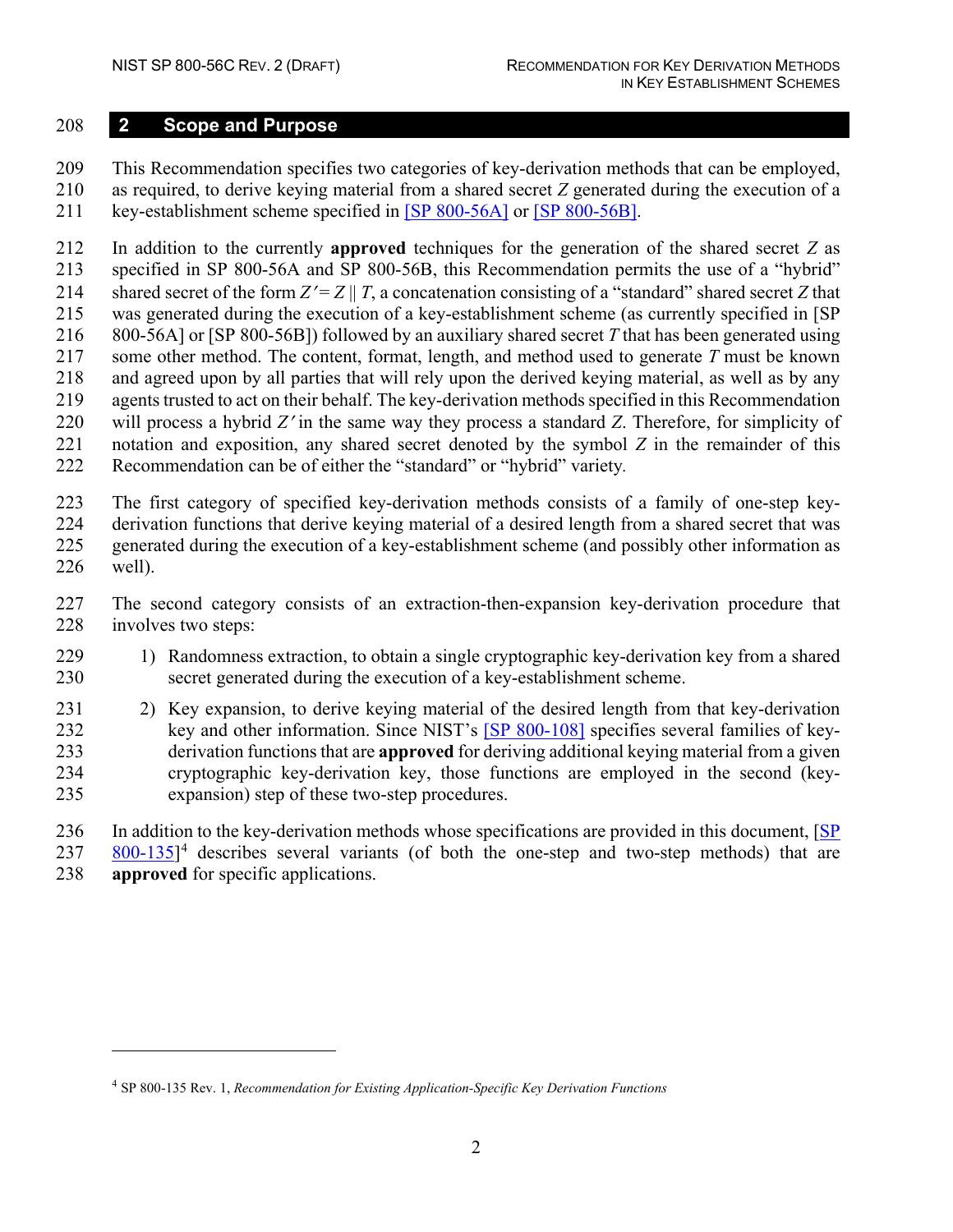#### <span id="page-10-0"></span>**2 Scope and Purpose**

 This Recommendation specifies two categories of key-derivation methods that can be employed, as required, to derive keying material from a shared secret *Z* generated during the execution of a

key-establishment scheme specified in [\[SP 800-56A\]](#page-38-1) or [\[SP 800-56B\].](#page-39-0)

 In addition to the currently **approved** techniques for the generation of the shared secret *Z* as specified in SP 800-56A and SP 800-56B, this Recommendation permits the use of a "hybrid" 214 shared secret of the form  $Z' = Z \parallel T$ , a concatenation consisting of a "standard" shared secret *Z* that was generated during the execution of a key-establishment scheme (as currently specified in [SP 800-56A] or [SP 800-56B]) followed by an auxiliary shared secret *T* that has been generated using some other method. The content, format, length, and method used to generate *T* must be known and agreed upon by all parties that will rely upon the derived keying material, as well as by any agents trusted to act on their behalf. The key-derivation methods specified in this Recommendation will process a hybrid *Z*′ in the same way they process a standard *Z*. Therefore, for simplicity of notation and exposition, any shared secret denoted by the symbol *Z* in the remainder of this Recommendation can be of either the "standard" or "hybrid" variety*.*

 The first category of specified key-derivation methods consists of a family of one-step key- derivation functions that derive keying material of a desired length from a shared secret that was generated during the execution of a key-establishment scheme (and possibly other information as well).

 The second category consists of an extraction-then-expansion key-derivation procedure that 228 involves two steps:

- 1) Randomness extraction, to obtain a single cryptographic key-derivation key from a shared secret generated during the execution of a key-establishment scheme.
- 2) Key expansion, to derive keying material of the desired length from that key-derivation 232 key and other information. Since NIST's [SP [800-108\]](#page-39-1) specifies several families of key- derivation functions that are **approved** for deriving additional keying material from a given cryptographic key-derivation key, those functions are employed in the second (key-expansion) step of these two-step procedures.

 In addition to the key-derivation methods whose specifications are provided in this document, [\[SP](#page-39-2)   $800-135$ <sup>[4](#page-10-1)</sup> describes several variants (of both the one-step and two-step methods) that are **approved** for specific applications.

<span id="page-10-1"></span>SP 800-135 Rev. 1, *Recommendation for Existing Application-Specific Key Derivation Functions*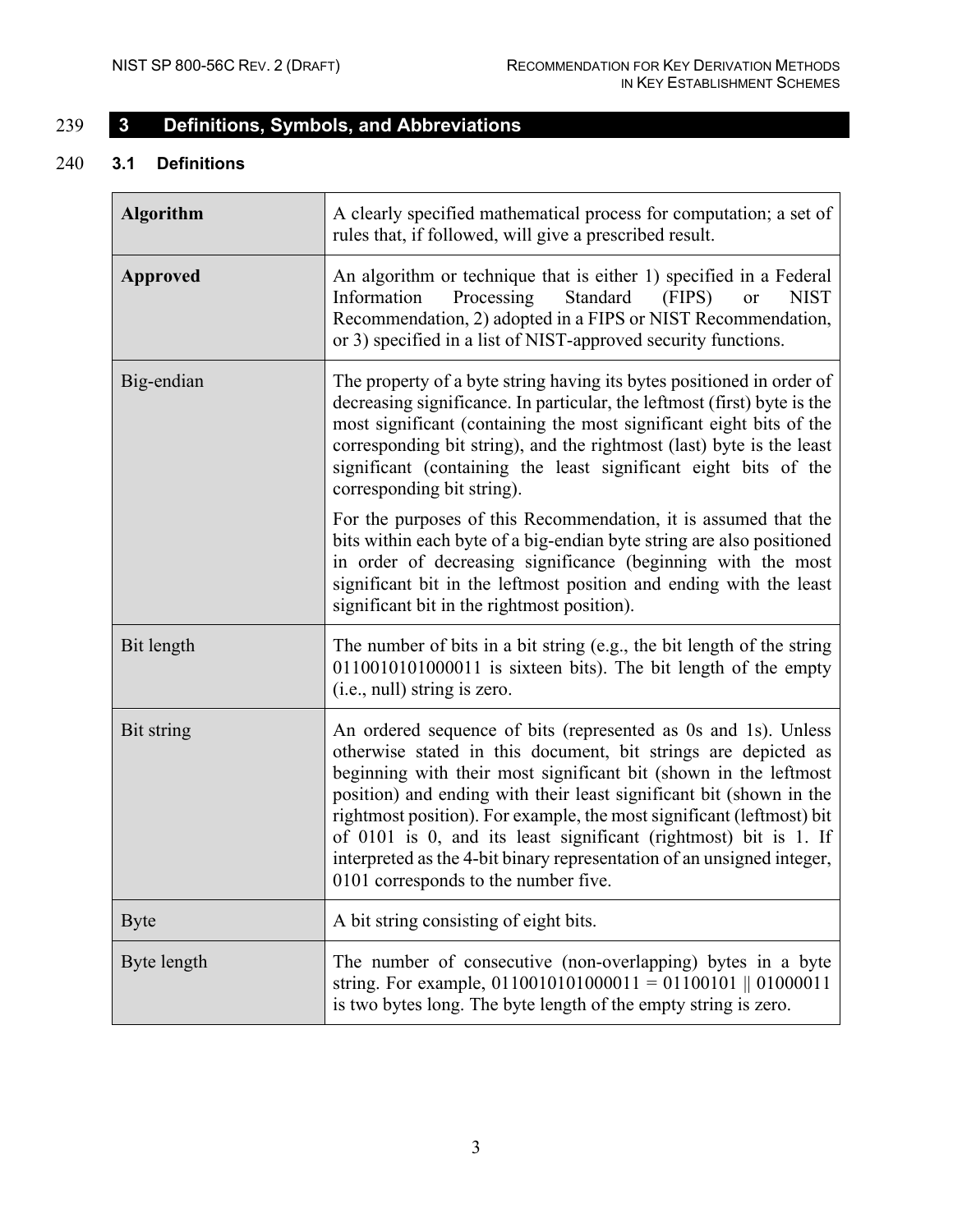<span id="page-11-0"></span>

# 239 **3 Definitions, Symbols, and Abbreviations**

### 240 **3.1 Definitions**

<span id="page-11-1"></span>

| <b>Algorithm</b> | A clearly specified mathematical process for computation; a set of<br>rules that, if followed, will give a prescribed result.                                                                                                                                                                                                                                                                                                                                                                                                              |
|------------------|--------------------------------------------------------------------------------------------------------------------------------------------------------------------------------------------------------------------------------------------------------------------------------------------------------------------------------------------------------------------------------------------------------------------------------------------------------------------------------------------------------------------------------------------|
| <b>Approved</b>  | An algorithm or technique that is either 1) specified in a Federal<br>Processing<br>Standard<br>Information<br>(FIPS)<br><b>NIST</b><br><b>or</b><br>Recommendation, 2) adopted in a FIPS or NIST Recommendation,<br>or 3) specified in a list of NIST-approved security functions.                                                                                                                                                                                                                                                        |
| Big-endian       | The property of a byte string having its bytes positioned in order of<br>decreasing significance. In particular, the leftmost (first) byte is the<br>most significant (containing the most significant eight bits of the<br>corresponding bit string), and the rightmost (last) byte is the least<br>significant (containing the least significant eight bits of the<br>corresponding bit string).                                                                                                                                         |
|                  | For the purposes of this Recommendation, it is assumed that the<br>bits within each byte of a big-endian byte string are also positioned<br>in order of decreasing significance (beginning with the most<br>significant bit in the leftmost position and ending with the least<br>significant bit in the rightmost position).                                                                                                                                                                                                              |
| Bit length       | The number of bits in a bit string (e.g., the bit length of the string<br>0110010101000011 is sixteen bits). The bit length of the empty<br>(i.e., null) string is zero.                                                                                                                                                                                                                                                                                                                                                                   |
| Bit string       | An ordered sequence of bits (represented as 0s and 1s). Unless<br>otherwise stated in this document, bit strings are depicted as<br>beginning with their most significant bit (shown in the leftmost<br>position) and ending with their least significant bit (shown in the<br>rightmost position). For example, the most significant (leftmost) bit<br>of 0101 is 0, and its least significant (rightmost) bit is 1. If<br>interpreted as the 4-bit binary representation of an unsigned integer,<br>0101 corresponds to the number five. |
| <b>Byte</b>      | A bit string consisting of eight bits.                                                                                                                                                                                                                                                                                                                                                                                                                                                                                                     |
| Byte length      | The number of consecutive (non-overlapping) bytes in a byte<br>string. For example, $0110010101000011 = 01100101    01000011$<br>is two bytes long. The byte length of the empty string is zero.                                                                                                                                                                                                                                                                                                                                           |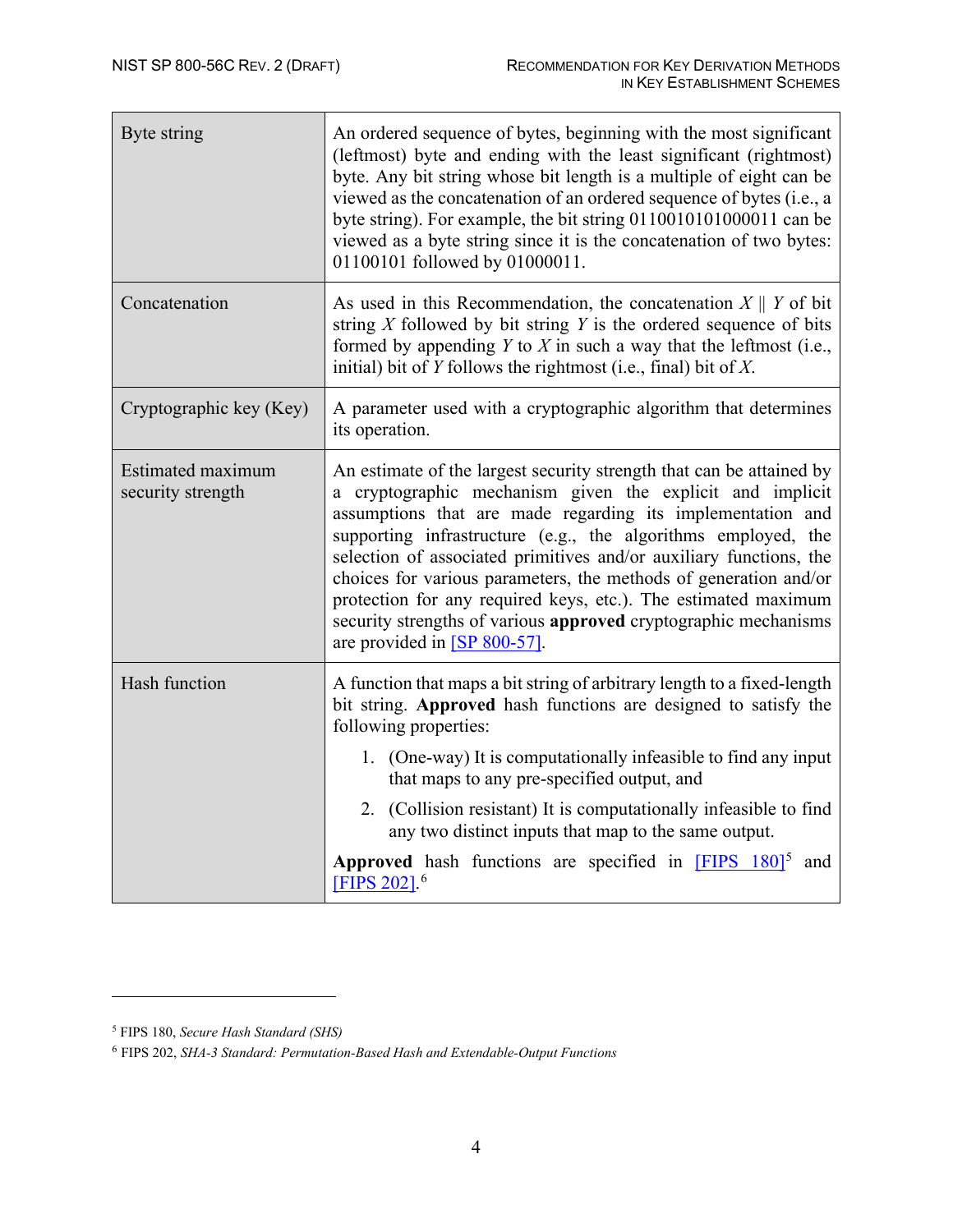| Byte string                            | An ordered sequence of bytes, beginning with the most significant<br>(leftmost) byte and ending with the least significant (rightmost)<br>byte. Any bit string whose bit length is a multiple of eight can be<br>viewed as the concatenation of an ordered sequence of bytes (i.e., a<br>byte string). For example, the bit string 0110010101000011 can be<br>viewed as a byte string since it is the concatenation of two bytes:<br>01100101 followed by 01000011.                                                                                                                |
|----------------------------------------|------------------------------------------------------------------------------------------------------------------------------------------------------------------------------------------------------------------------------------------------------------------------------------------------------------------------------------------------------------------------------------------------------------------------------------------------------------------------------------------------------------------------------------------------------------------------------------|
| Concatenation                          | As used in this Recommendation, the concatenation $X \parallel Y$ of bit<br>string $X$ followed by bit string $Y$ is the ordered sequence of bits<br>formed by appending $Y$ to $X$ in such a way that the leftmost (i.e.,<br>initial) bit of $Y$ follows the rightmost (i.e., final) bit of $X$ .                                                                                                                                                                                                                                                                                 |
| Cryptographic key (Key)                | A parameter used with a cryptographic algorithm that determines<br>its operation.                                                                                                                                                                                                                                                                                                                                                                                                                                                                                                  |
| Estimated maximum<br>security strength | An estimate of the largest security strength that can be attained by<br>a cryptographic mechanism given the explicit and implicit<br>assumptions that are made regarding its implementation and<br>supporting infrastructure (e.g., the algorithms employed, the<br>selection of associated primitives and/or auxiliary functions, the<br>choices for various parameters, the methods of generation and/or<br>protection for any required keys, etc.). The estimated maximum<br>security strengths of various approved cryptographic mechanisms<br>are provided in $[SP 800-57]$ . |
| Hash function                          | A function that maps a bit string of arbitrary length to a fixed-length<br>bit string. Approved hash functions are designed to satisfy the<br>following properties:                                                                                                                                                                                                                                                                                                                                                                                                                |
|                                        | 1. (One-way) It is computationally infeasible to find any input<br>that maps to any pre-specified output, and                                                                                                                                                                                                                                                                                                                                                                                                                                                                      |
|                                        | 2. (Collision resistant) It is computationally infeasible to find<br>any two distinct inputs that map to the same output.                                                                                                                                                                                                                                                                                                                                                                                                                                                          |
|                                        | Approved hash functions are specified in <b>FIPS</b> 180 <sup>15</sup><br>and<br>[FIPS 202]. <sup>6</sup>                                                                                                                                                                                                                                                                                                                                                                                                                                                                          |

<span id="page-12-0"></span><sup>5</sup> FIPS 180, *Secure Hash Standard (SHS)*

<span id="page-12-1"></span><sup>6</sup> FIPS 202, *SHA-3 Standard: Permutation-Based Hash and Extendable-Output Functions*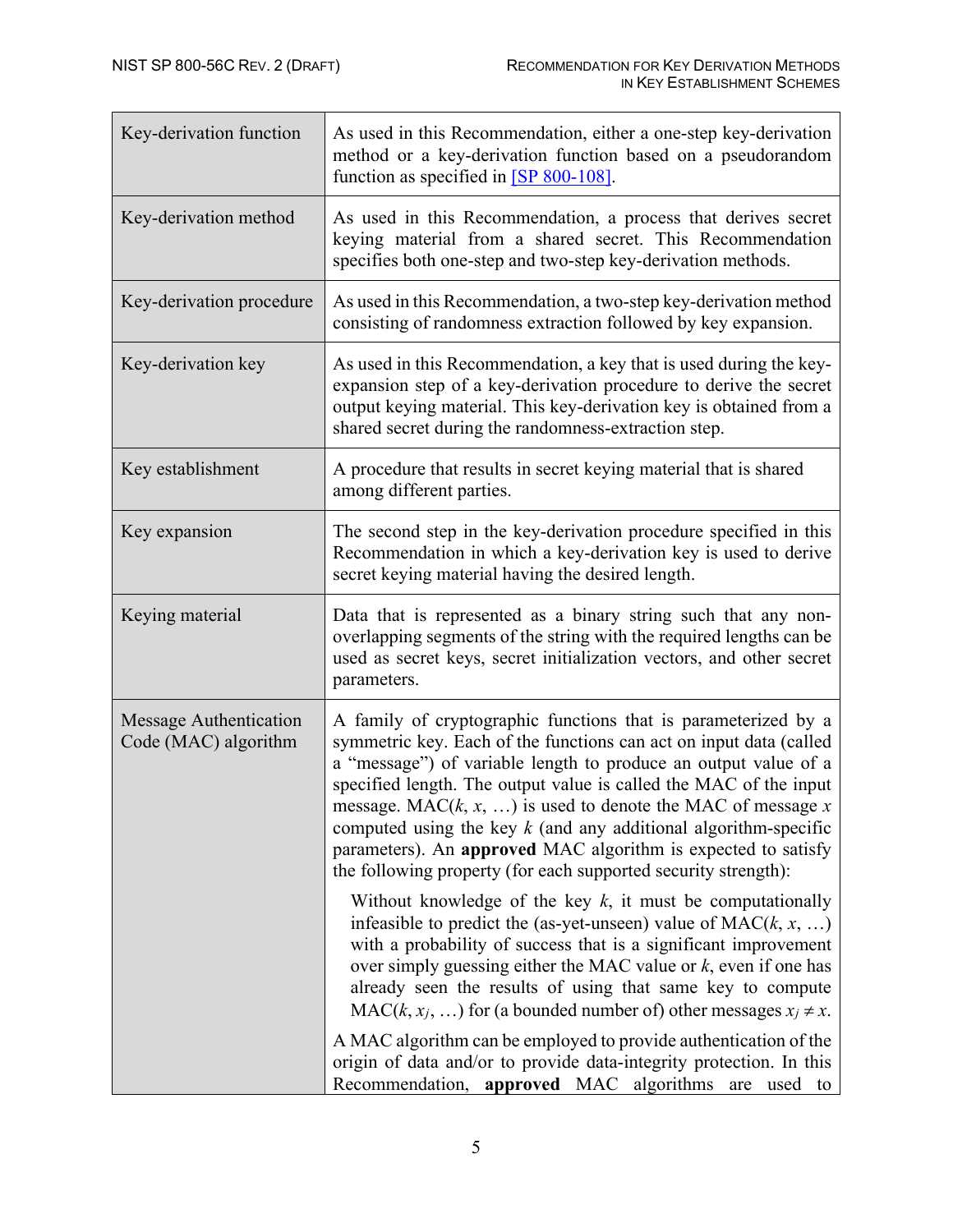| Key-derivation function                        | As used in this Recommendation, either a one-step key-derivation<br>method or a key-derivation function based on a pseudorandom<br>function as specified in $[SP 800-108]$ .                                                                                                                                                                                                                                                                                                                                                                           |
|------------------------------------------------|--------------------------------------------------------------------------------------------------------------------------------------------------------------------------------------------------------------------------------------------------------------------------------------------------------------------------------------------------------------------------------------------------------------------------------------------------------------------------------------------------------------------------------------------------------|
| Key-derivation method                          | As used in this Recommendation, a process that derives secret<br>keying material from a shared secret. This Recommendation<br>specifies both one-step and two-step key-derivation methods.                                                                                                                                                                                                                                                                                                                                                             |
| Key-derivation procedure                       | As used in this Recommendation, a two-step key-derivation method<br>consisting of randomness extraction followed by key expansion.                                                                                                                                                                                                                                                                                                                                                                                                                     |
| Key-derivation key                             | As used in this Recommendation, a key that is used during the key-<br>expansion step of a key-derivation procedure to derive the secret<br>output keying material. This key-derivation key is obtained from a<br>shared secret during the randomness-extraction step.                                                                                                                                                                                                                                                                                  |
| Key establishment                              | A procedure that results in secret keying material that is shared<br>among different parties.                                                                                                                                                                                                                                                                                                                                                                                                                                                          |
| Key expansion                                  | The second step in the key-derivation procedure specified in this<br>Recommendation in which a key-derivation key is used to derive<br>secret keying material having the desired length.                                                                                                                                                                                                                                                                                                                                                               |
| Keying material                                | Data that is represented as a binary string such that any non-<br>overlapping segments of the string with the required lengths can be<br>used as secret keys, secret initialization vectors, and other secret<br>parameters.                                                                                                                                                                                                                                                                                                                           |
| Message Authentication<br>Code (MAC) algorithm | A family of cryptographic functions that is parameterized by a<br>symmetric key. Each of the functions can act on input data (called<br>a "message") of variable length to produce an output value of a<br>specified length. The output value is called the MAC of the input<br>message. MAC $(k, x, )$ is used to denote the MAC of message x<br>computed using the key $k$ (and any additional algorithm-specific<br>parameters). An approved MAC algorithm is expected to satisfy<br>the following property (for each supported security strength): |
|                                                | Without knowledge of the key $k$ , it must be computationally<br>infeasible to predict the (as-yet-unseen) value of $MAC(k, x, )$<br>with a probability of success that is a significant improvement<br>over simply guessing either the MAC value or $k$ , even if one has<br>already seen the results of using that same key to compute<br>$MAC(k, x_j, )$ for (a bounded number of) other messages $x_j \neq x$ .                                                                                                                                    |
|                                                | A MAC algorithm can be employed to provide authentication of the<br>origin of data and/or to provide data-integrity protection. In this<br>Recommendation, approved MAC algorithms are used to                                                                                                                                                                                                                                                                                                                                                         |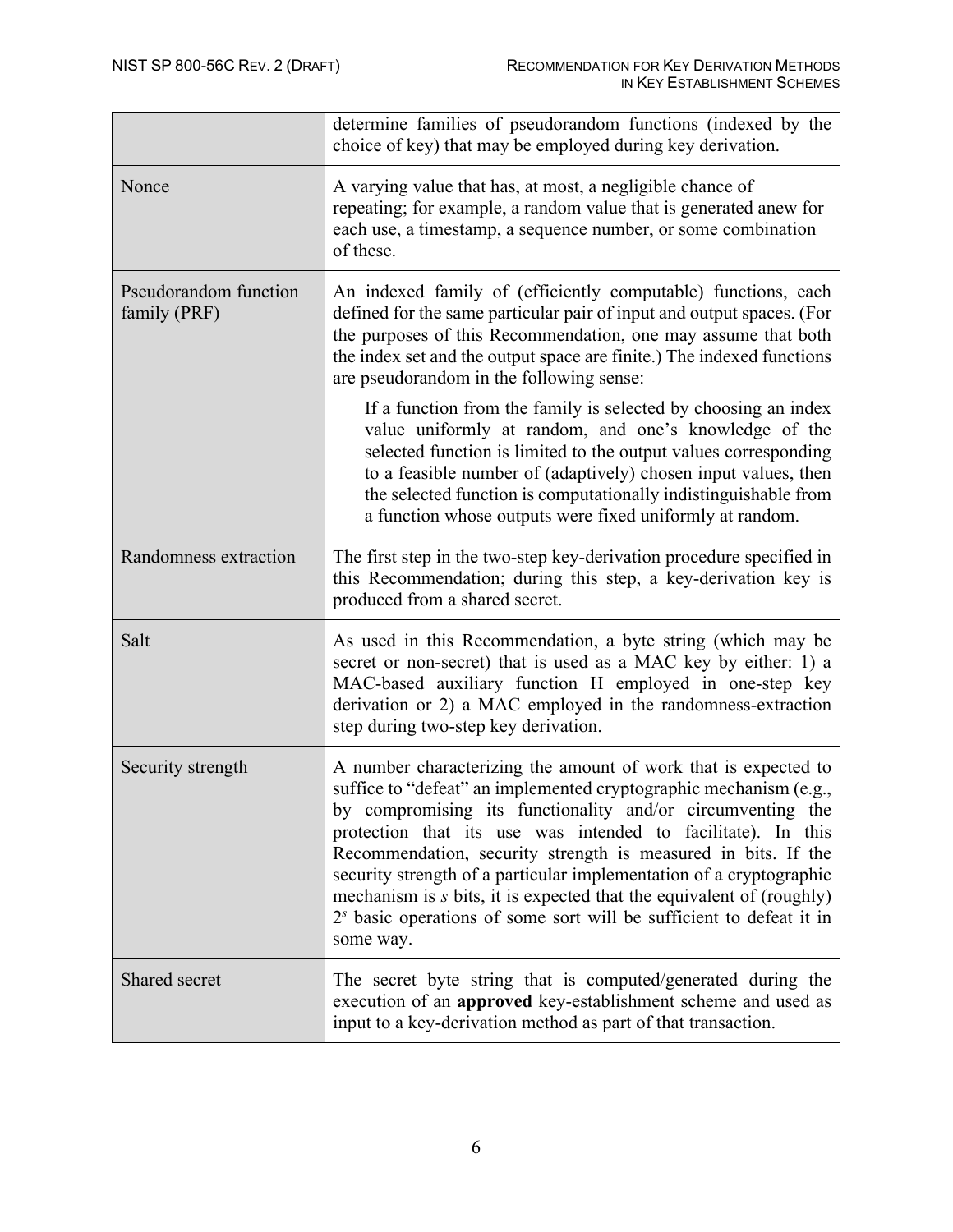|                                       | determine families of pseudorandom functions (indexed by the<br>choice of key) that may be employed during key derivation.                                                                                                                                                                                                                                                                                                                                                                                                                                              |
|---------------------------------------|-------------------------------------------------------------------------------------------------------------------------------------------------------------------------------------------------------------------------------------------------------------------------------------------------------------------------------------------------------------------------------------------------------------------------------------------------------------------------------------------------------------------------------------------------------------------------|
| Nonce                                 | A varying value that has, at most, a negligible chance of<br>repeating; for example, a random value that is generated anew for<br>each use, a timestamp, a sequence number, or some combination<br>of these.                                                                                                                                                                                                                                                                                                                                                            |
| Pseudorandom function<br>family (PRF) | An indexed family of (efficiently computable) functions, each<br>defined for the same particular pair of input and output spaces. (For<br>the purposes of this Recommendation, one may assume that both<br>the index set and the output space are finite.) The indexed functions<br>are pseudorandom in the following sense:                                                                                                                                                                                                                                            |
|                                       | If a function from the family is selected by choosing an index<br>value uniformly at random, and one's knowledge of the<br>selected function is limited to the output values corresponding<br>to a feasible number of (adaptively) chosen input values, then<br>the selected function is computationally indistinguishable from<br>a function whose outputs were fixed uniformly at random.                                                                                                                                                                             |
| Randomness extraction                 | The first step in the two-step key-derivation procedure specified in<br>this Recommendation; during this step, a key-derivation key is<br>produced from a shared secret.                                                                                                                                                                                                                                                                                                                                                                                                |
| Salt                                  | As used in this Recommendation, a byte string (which may be<br>secret or non-secret) that is used as a MAC key by either: 1) a<br>MAC-based auxiliary function H employed in one-step key<br>derivation or 2) a MAC employed in the randomness-extraction<br>step during two-step key derivation.                                                                                                                                                                                                                                                                       |
| Security strength                     | A number characterizing the amount of work that is expected to<br>suffice to "defeat" an implemented cryptographic mechanism (e.g.,<br>by compromising its functionality and/or circumventing the<br>protection that its use was intended to facilitate). In this<br>Recommendation, security strength is measured in bits. If the<br>security strength of a particular implementation of a cryptographic<br>mechanism is s bits, it is expected that the equivalent of (roughly)<br>$2s$ basic operations of some sort will be sufficient to defeat it in<br>some way. |
| Shared secret                         | The secret byte string that is computed/generated during the<br>execution of an approved key-establishment scheme and used as<br>input to a key-derivation method as part of that transaction.                                                                                                                                                                                                                                                                                                                                                                          |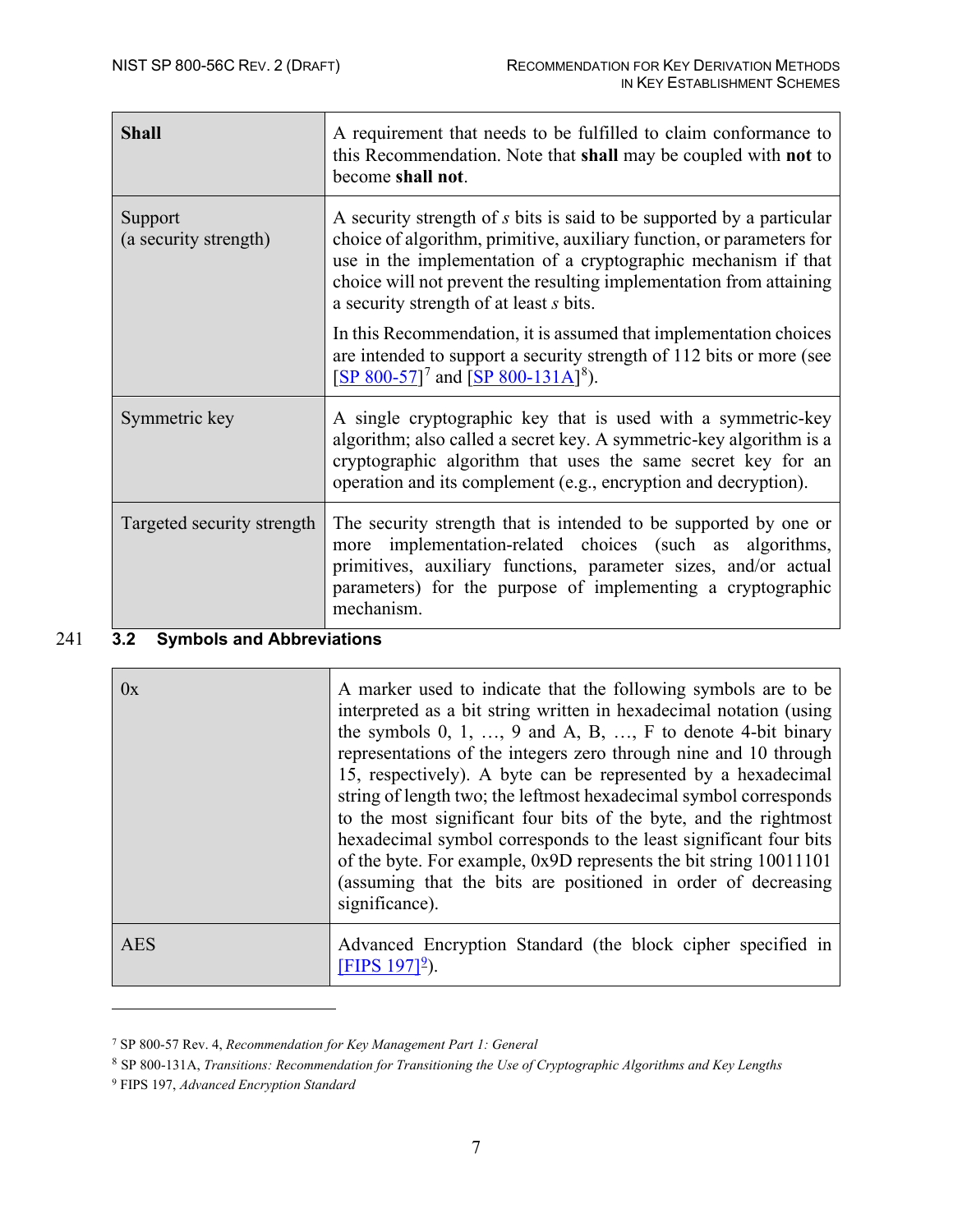| <b>Shall</b>                           | A requirement that needs to be fulfilled to claim conformance to<br>this Recommendation. Note that shall may be coupled with not to<br>become shall not.                                                                                                                                                                           |  |
|----------------------------------------|------------------------------------------------------------------------------------------------------------------------------------------------------------------------------------------------------------------------------------------------------------------------------------------------------------------------------------|--|
| Support<br>(a security strength)       | A security strength of s bits is said to be supported by a particular<br>choice of algorithm, primitive, auxiliary function, or parameters for<br>use in the implementation of a cryptographic mechanism if that<br>choice will not prevent the resulting implementation from attaining<br>a security strength of at least s bits. |  |
|                                        | In this Recommendation, it is assumed that implementation choices<br>are intended to support a security strength of 112 bits or more (see<br>[SP 800-57] <sup>7</sup> and [SP 800-131A] <sup>8</sup> ).                                                                                                                            |  |
| Symmetric key                          | A single cryptographic key that is used with a symmetric-key<br>algorithm; also called a secret key. A symmetric-key algorithm is a<br>cryptographic algorithm that uses the same secret key for an<br>operation and its complement (e.g., encryption and decryption).                                                             |  |
| Targeted security strength             | The security strength that is intended to be supported by one or<br>implementation-related choices (such as algorithms,<br>more<br>primitives, auxiliary functions, parameter sizes, and/or actual<br>parameters) for the purpose of implementing a cryptographic<br>mechanism.                                                    |  |
| 32<br><b>Symbols and Abbreviations</b> |                                                                                                                                                                                                                                                                                                                                    |  |

#### 241 **3.2 Symbols and Abbreviations**

<span id="page-15-0"></span>

| 0x  | A marker used to indicate that the following symbols are to be<br>interpreted as a bit string written in hexadecimal notation (using<br>the symbols $0, 1, \ldots, 9$ and A, B, $\ldots$ , F to denote 4-bit binary<br>representations of the integers zero through nine and 10 through<br>15, respectively). A byte can be represented by a hexadecimal<br>string of length two; the leftmost hexadecimal symbol corresponds<br>to the most significant four bits of the byte, and the rightmost<br>hexadecimal symbol corresponds to the least significant four bits<br>of the byte. For example, 0x9D represents the bit string 10011101<br>(assuming that the bits are positioned in order of decreasing<br>significance). |
|-----|--------------------------------------------------------------------------------------------------------------------------------------------------------------------------------------------------------------------------------------------------------------------------------------------------------------------------------------------------------------------------------------------------------------------------------------------------------------------------------------------------------------------------------------------------------------------------------------------------------------------------------------------------------------------------------------------------------------------------------|
| AES | Advanced Encryption Standard (the block cipher specified in<br>[FIPS $197$ ] <sup>2</sup> ).                                                                                                                                                                                                                                                                                                                                                                                                                                                                                                                                                                                                                                   |

<span id="page-15-1"></span><sup>7</sup> SP 800-57 Rev. 4, *Recommendation for Key Management Part 1: General*

<span id="page-15-2"></span><sup>8</sup> SP 800-131A, *Transitions: Recommendation for Transitioning the Use of Cryptographic Algorithms and Key Lengths*

<span id="page-15-3"></span><sup>9</sup> FIPS 197, *Advanced Encryption Standard*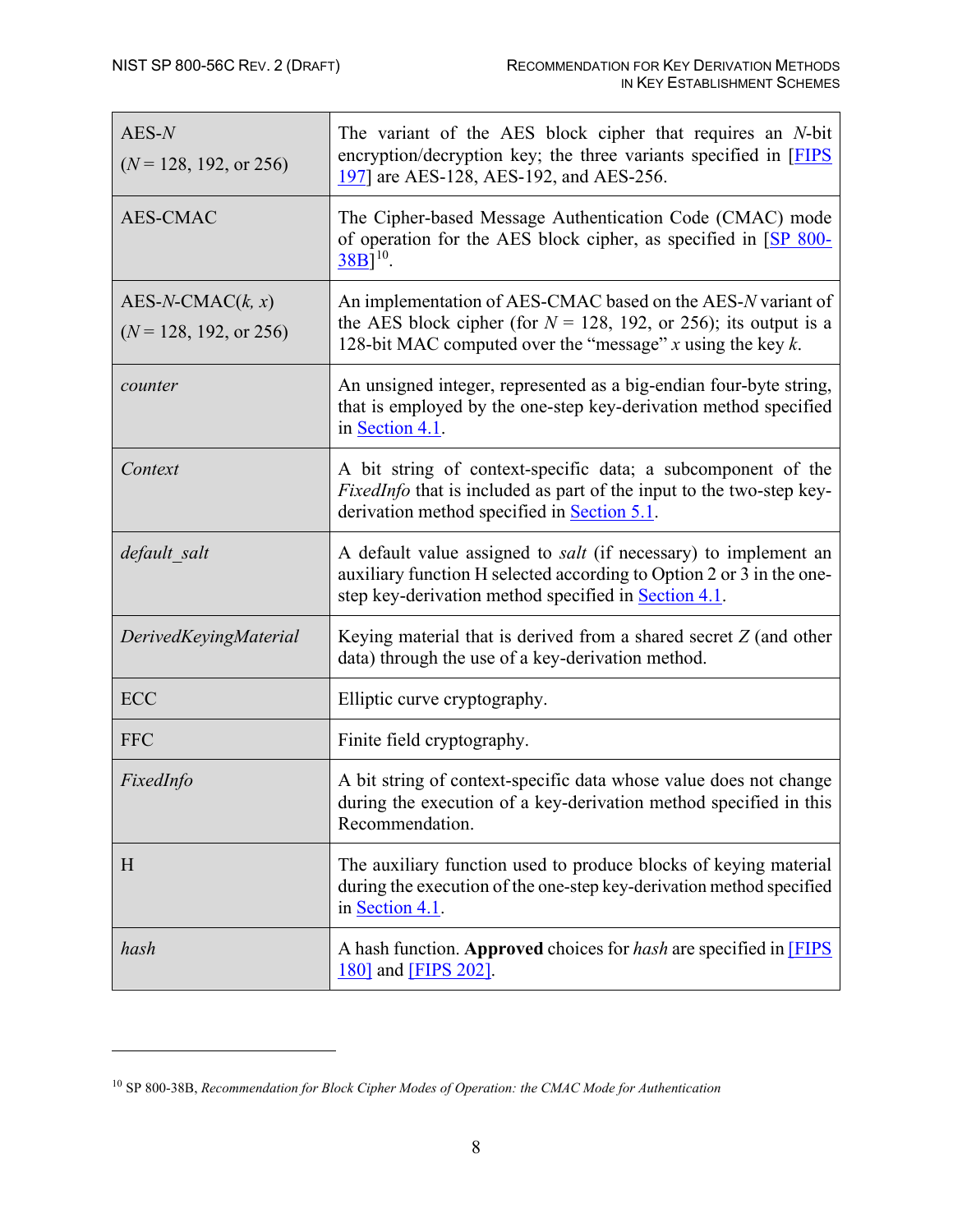| $AES-N$<br>$(N = 128, 192, \text{ or } 256)$            | The variant of the AES block cipher that requires an N-bit<br>encryption/decryption key; the three variants specified in [FIPS]<br>197] are AES-128, AES-192, and AES-256.                                     |
|---------------------------------------------------------|----------------------------------------------------------------------------------------------------------------------------------------------------------------------------------------------------------------|
| <b>AES-CMAC</b>                                         | The Cipher-based Message Authentication Code (CMAC) mode<br>of operation for the AES block cipher, as specified in [SP 800-<br>$38B$ <sup>10</sup> .                                                           |
| $AES-N-CMAC(k, x)$<br>$(N = 128, 192, \text{ or } 256)$ | An implementation of AES-CMAC based on the AES-N variant of<br>the AES block cipher (for $N = 128$ , 192, or 256); its output is a<br>128-bit MAC computed over the "message" $x$ using the key $k$ .          |
| counter                                                 | An unsigned integer, represented as a big-endian four-byte string,<br>that is employed by the one-step key-derivation method specified<br>in Section 4.1.                                                      |
| Context                                                 | A bit string of context-specific data; a subcomponent of the<br>FixedInfo that is included as part of the input to the two-step key-<br>derivation method specified in Section 5.1.                            |
| default salt                                            | A default value assigned to <i>salt</i> (if necessary) to implement an<br>auxiliary function H selected according to Option 2 or 3 in the one-<br>step key-derivation method specified in <b>Section 4.1</b> . |
| DerivedKeyingMaterial                                   | Keying material that is derived from a shared secret $Z$ (and other<br>data) through the use of a key-derivation method.                                                                                       |
| ECC                                                     | Elliptic curve cryptography.                                                                                                                                                                                   |
| <b>FFC</b>                                              | Finite field cryptography.                                                                                                                                                                                     |
| FixedInfo                                               | A bit string of context-specific data whose value does not change<br>during the execution of a key-derivation method specified in this<br>Recommendation.                                                      |
| H                                                       | The auxiliary function used to produce blocks of keying material<br>during the execution of the one-step key-derivation method specified<br>in Section 4.1.                                                    |
| hash                                                    | A hash function. Approved choices for hash are specified in [FIPS]<br>180] and [FIPS 202].                                                                                                                     |

<span id="page-16-0"></span><sup>10</sup> SP 800-38B, *Recommendation for Block Cipher Modes of Operation: the CMAC Mode for Authentication*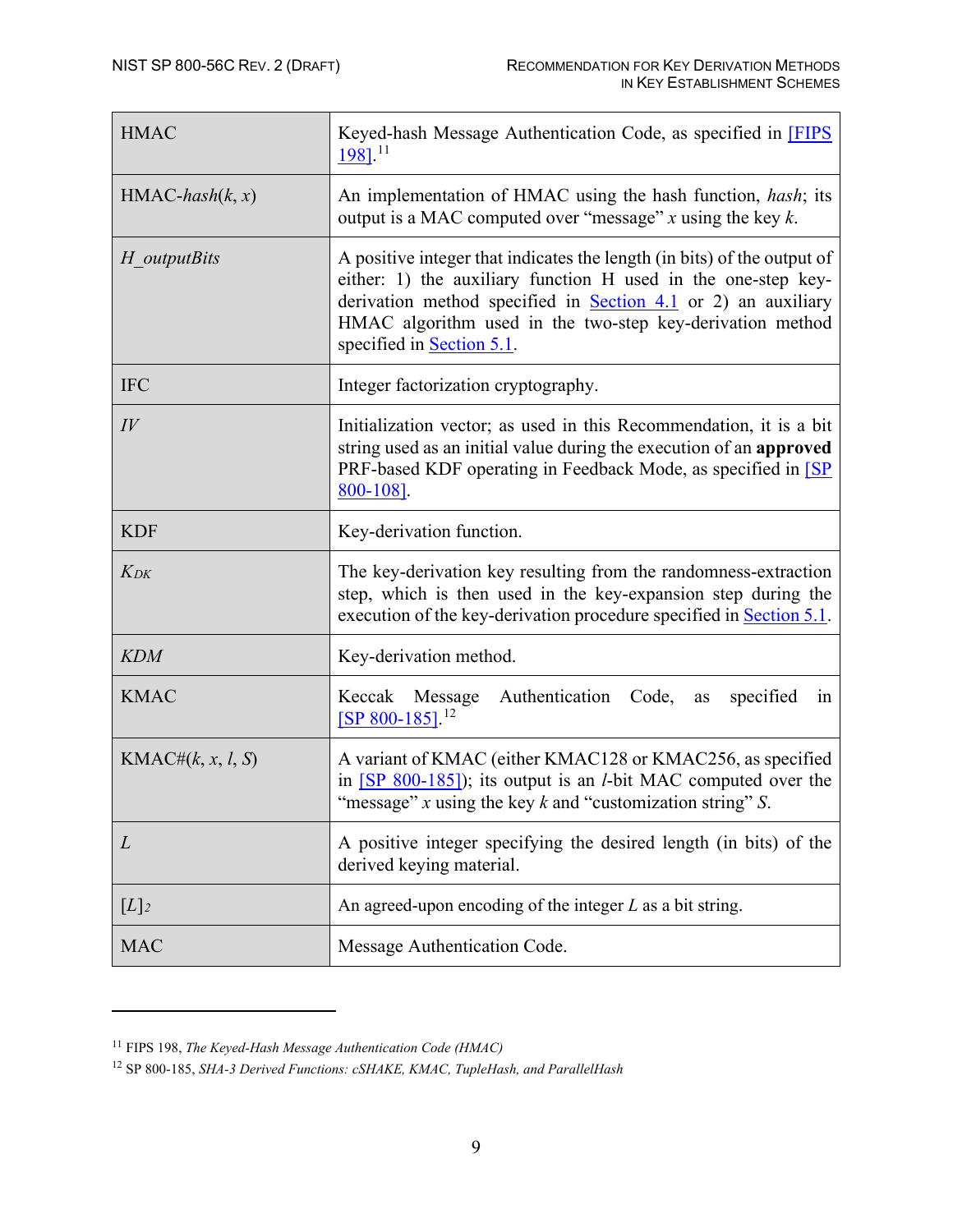| <b>HMAC</b>          | Keyed-hash Message Authentication Code, as specified in FIPS<br>$198$ ]. <sup>11</sup>                                                                                                                                                                                                                     |  |  |
|----------------------|------------------------------------------------------------------------------------------------------------------------------------------------------------------------------------------------------------------------------------------------------------------------------------------------------------|--|--|
| $HMAC-hash(k, x)$    | An implementation of HMAC using the hash function, hash; its<br>output is a MAC computed over "message" $x$ using the key $k$ .                                                                                                                                                                            |  |  |
| H <i>outputBits</i>  | A positive integer that indicates the length (in bits) of the output of<br>either: 1) the auxiliary function H used in the one-step key-<br>derivation method specified in <b>Section 4.1</b> or 2) an auxiliary<br>HMAC algorithm used in the two-step key-derivation method<br>specified in Section 5.1. |  |  |
| <b>IFC</b>           | Integer factorization cryptography.                                                                                                                                                                                                                                                                        |  |  |
| $I\hspace{-.1em}V$   | Initialization vector; as used in this Recommendation, it is a bit<br>string used as an initial value during the execution of an approved<br>PRF-based KDF operating in Feedback Mode, as specified in [SP]<br>800-108].                                                                                   |  |  |
| <b>KDF</b>           | Key-derivation function.                                                                                                                                                                                                                                                                                   |  |  |
| $K_{DK}$             | The key-derivation key resulting from the randomness-extraction<br>step, which is then used in the key-expansion step during the<br>execution of the key-derivation procedure specified in Section 5.1.                                                                                                    |  |  |
| <b>KDM</b>           | Key-derivation method.                                                                                                                                                                                                                                                                                     |  |  |
| <b>KMAC</b>          | Message Authentication Code,<br>Keccak<br>specified<br>in<br>as<br>$[SP 800-185]$ <sup>12</sup>                                                                                                                                                                                                            |  |  |
| KMAC# $(k, x, l, S)$ | A variant of KMAC (either KMAC128 or KMAC256, as specified<br>in $[SP 800-185]$ ; its output is an <i>l</i> -bit MAC computed over the<br>"message" $x$ using the key $k$ and "customization string" $S$ .                                                                                                 |  |  |
| L                    | A positive integer specifying the desired length (in bits) of the<br>derived keying material.                                                                                                                                                                                                              |  |  |
| $[L]_2$              | An agreed-upon encoding of the integer $L$ as a bit string.                                                                                                                                                                                                                                                |  |  |
| <b>MAC</b>           | Message Authentication Code.                                                                                                                                                                                                                                                                               |  |  |

<span id="page-17-0"></span><sup>11</sup> FIPS 198, *The Keyed-Hash Message Authentication Code (HMAC)*

<span id="page-17-1"></span><sup>12</sup> SP 800-185, *SHA-3 Derived Functions: cSHAKE, KMAC, TupleHash, and ParallelHash*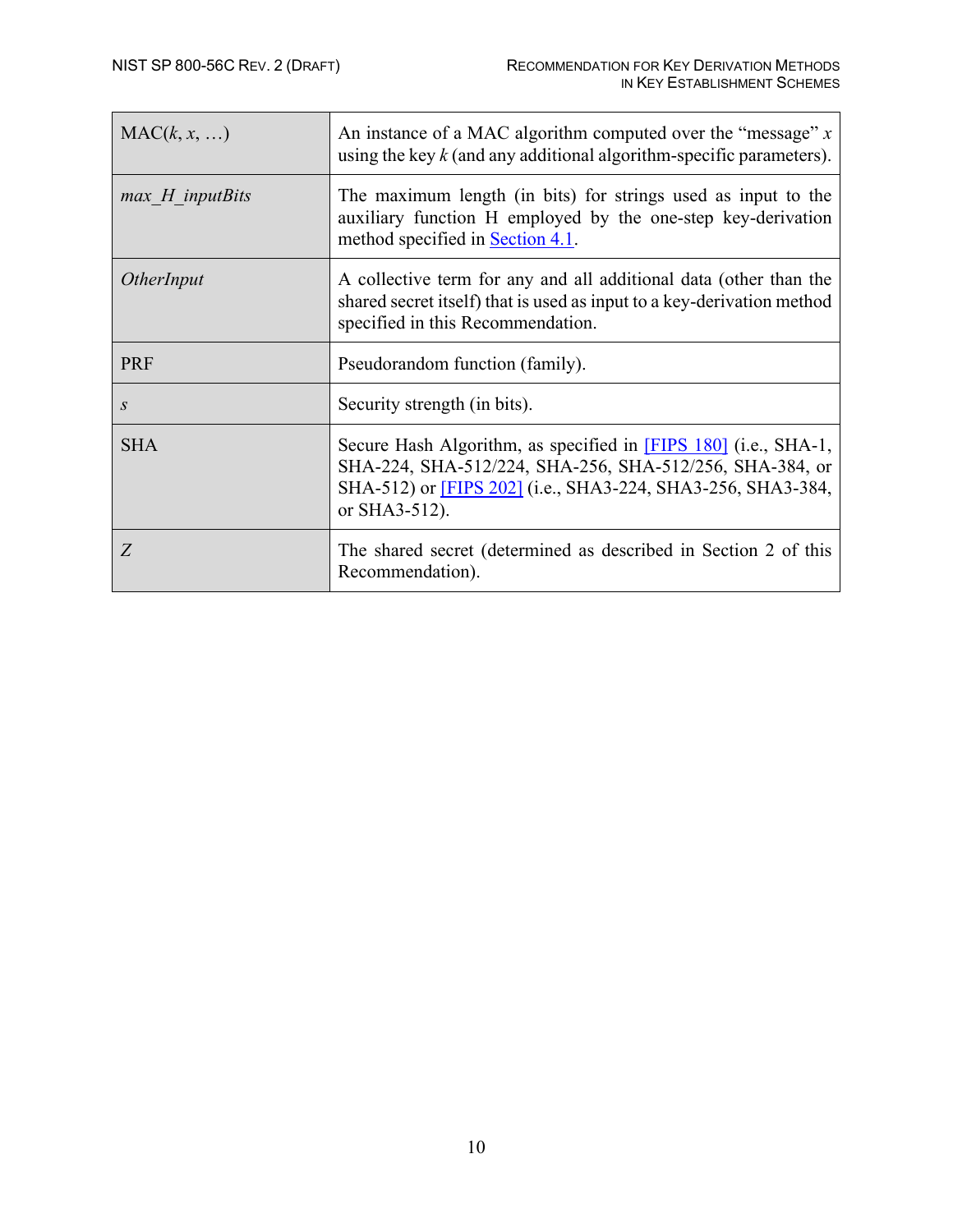| MAC(k, x, )       | An instance of a MAC algorithm computed over the "message" $x$<br>using the key $k$ (and any additional algorithm-specific parameters).                                                                          |
|-------------------|------------------------------------------------------------------------------------------------------------------------------------------------------------------------------------------------------------------|
| $max$ H inputBits | The maximum length (in bits) for strings used as input to the<br>auxiliary function H employed by the one-step key-derivation<br>method specified in <b>Section 4.1</b> .                                        |
| <i>OtherInput</i> | A collective term for any and all additional data (other than the<br>shared secret itself) that is used as input to a key-derivation method<br>specified in this Recommendation.                                 |
| <b>PRF</b>        | Pseudorandom function (family).                                                                                                                                                                                  |
| $\boldsymbol{S}$  | Security strength (in bits).                                                                                                                                                                                     |
| <b>SHA</b>        | Secure Hash Algorithm, as specified in [FIPS 180] (i.e., SHA-1,<br>SHA-224, SHA-512/224, SHA-256, SHA-512/256, SHA-384, or<br>SHA-512) or <b>FIPS</b> 202] (i.e., SHA3-224, SHA3-256, SHA3-384,<br>or SHA3-512). |
| Z                 | The shared secret (determined as described in Section 2 of this<br>Recommendation).                                                                                                                              |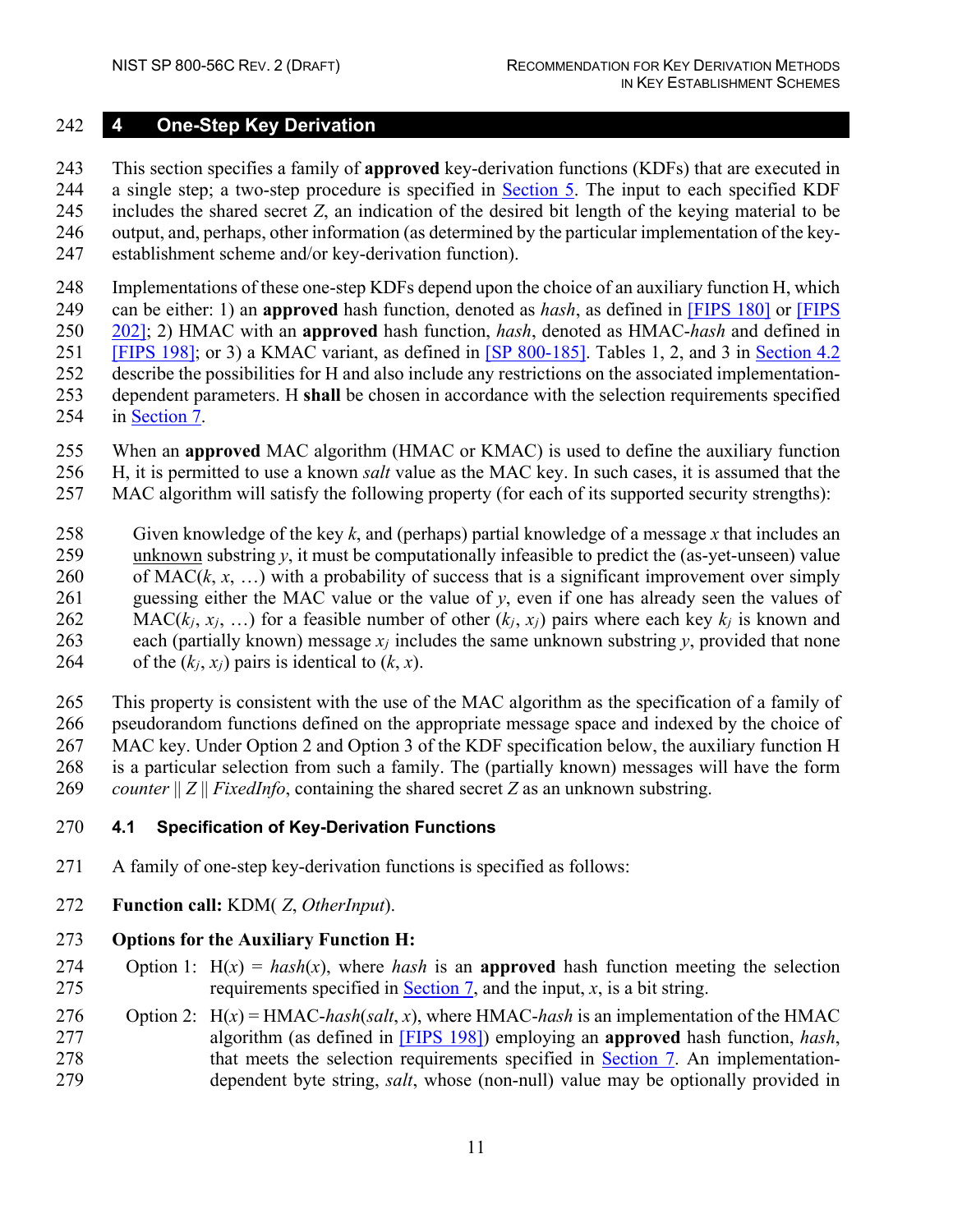#### <span id="page-19-0"></span>**4 One-Step Key Derivation**

 This section specifies a family of **approved** key-derivation functions (KDFs) that are executed in a single step; a two-step procedure is specified in [Section 5.](#page-25-0) The input to each specified KDF includes the shared secret *Z*, an indication of the desired bit length of the keying material to be output, and, perhaps, other information (as determined by the particular implementation of the key-

establishment scheme and/or key-derivation function).

 Implementations of these one-step KDFs depend upon the choice of an auxiliary function H, which can be either: 1) an **approved** hash function, denoted as *hash*, as defined in [FIPS 180] or [FIPS 202]; 2) HMAC with an **approved** hash function, *hash*, denoted as HMAC-*hash* and defined in [FIPS 198]; or 3) a KMAC variant, as defined in [\[SP 800-185\].](#page-39-5) Tables 1, 2, and 3 in [Section 4.2](#page-23-0) describe the possibilities for H and also include any restrictions on the associated implementation- dependent parameters. H **shall** be chosen in accordance with the selection requirements specified in [Section 7.](#page-34-0)

- When an **approved** MAC algorithm (HMAC or KMAC) is used to define the auxiliary function
- H, it is permitted to use a known *salt* value as the MAC key. In such cases, it is assumed that the
- MAC algorithm will satisfy the following property (for each of its supported security strengths):
- Given knowledge of the key *k*, and (perhaps) partial knowledge of a message *x* that includes an 259 unknown substring  $y$ , it must be computationally infeasible to predict the (as-yet-unseen) value 260 of MAC( $k, x, ...$ ) with a probability of success that is a significant improvement over simply guessing either the MAC value or the value of *y*, even if one has already seen the values of 262 MAC( $k_i$ ,  $x_j$ , ...) for a feasible number of other ( $k_i$ ,  $x_j$ ) pairs where each key  $k_j$  is known and each (partially known) message *xj* includes the same unknown substring *y*, provided that none 264 of the  $(k_i, x_j)$  pairs is identical to  $(k, x)$ .
- This property is consistent with the use of the MAC algorithm as the specification of a family of pseudorandom functions defined on the appropriate message space and indexed by the choice of MAC key. Under Option 2 and Option 3 of the KDF specification below, the auxiliary function H is a particular selection from such a family. The (partially known) messages will have the form *counter* || *Z* || *FixedInfo*, containing the shared secret *Z* as an unknown substring.
- <span id="page-19-1"></span>**4.1 Specification of Key-Derivation Functions**
- A family of one-step key-derivation functions is specified as follows:
- **Function call:** KDM( *Z*, *OtherInput*).

#### **Options for the Auxiliary Function H:**

- 274 Option 1:  $H(x) = hash(x)$ , where *hash* is an **approved** hash function meeting the selection 275 requirements specified in [Section 7,](#page-34-0) and the input,  $x$ , is a bit string.
- Option 2: H(*x*) = HMAC-*hash*(*salt*, *x*), where HMAC-*hash* is an implementation of the HMAC algorithm (as defined in [FIPS 198]) employing an **approved** hash function, *hash*, that meets the selection requirements specified in [Section 7.](#page-34-0) An implementation-dependent byte string, *salt*, whose (non-null) value may be optionally provided in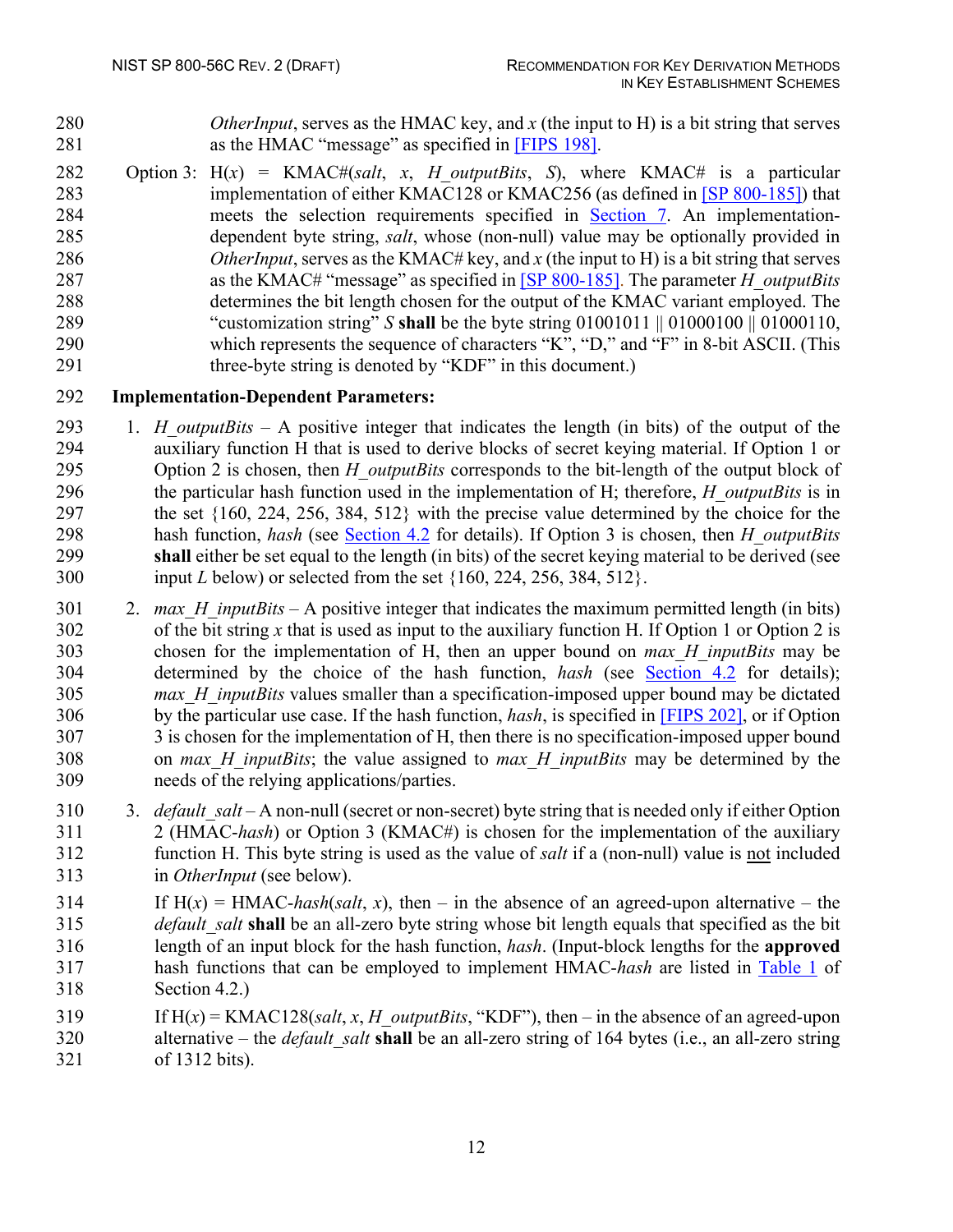*OtherInput*, serves as the HMAC key, and *x* (the input to H) is a bit string that serves as the HMAC "message" as specified in [FIPS 198].

 Option 3: H(*x*) = KMAC#(*salt*, *x*, *H\_outputBits*, *S*), where KMAC# is a particular implementation of either KMAC128 or KMAC256 (as defined in [\[SP 800-185\]\)](#page-39-5) that meets the selection requirements specified in [Section 7.](#page-34-0) An implementation- dependent byte string, *salt*, whose (non-null) value may be optionally provided in *OtherInput*, serves as the KMAC# key, and *x* (the input to H) is a bit string that serves as the KMAC# "message" as specified in [\[SP 800-185\].](#page-39-5) The parameter *H\_outputBits* determines the bit length chosen for the output of the KMAC variant employed. The "customization string" *S* **shall** be the byte string 01001011 || 01000100 || 01000110, which represents the sequence of characters "K", "D," and "F" in 8-bit ASCII. (This 291 three-byte string is denoted by "KDF" in this document.)

#### **Implementation-Dependent Parameters:**

- 1. *H\_outputBits* A positive integer that indicates the length (in bits) of the output of the auxiliary function H that is used to derive blocks of secret keying material. If Option 1 or Option 2 is chosen, then *H\_outputBits* corresponds to the bit-length of the output block of the particular hash function used in the implementation of H; therefore, *H\_outputBits* is in the set {160, 224, 256, 384, 512} with the precise value determined by the choice for the hash function, *hash* (see [Section 4.2](#page-23-0) for details). If Option 3 is chosen, then *H\_outputBits* **shall** either be set equal to the length (in bits) of the secret keying material to be derived (see input *L* below) or selected from the set {160, 224, 256, 384, 512}.
- 2. *max\_H\_inputBits* A positive integer that indicates the maximum permitted length (in bits) of the bit string *x* that is used as input to the auxiliary function H. If Option 1 or Option 2 is chosen for the implementation of H, then an upper bound on *max\_H\_inputBits* may be determined by the choice of the hash function, *hash* (see [Section 4.2](#page-23-0) for details); *max\_H\_inputBits* values smaller than a specification-imposed upper bound may be dictated by the particular use case. If the hash function, *hash*, is specified in [FIPS 202], or if Option 3 is chosen for the implementation of H, then there is no specification-imposed upper bound on *max\_H\_inputBits*; the value assigned to *max\_H\_inputBits* may be determined by the needs of the relying applications/parties.
- 310 3. *default salt* A non-null (secret or non-secret) byte string that is needed only if either Option 2 (HMAC-*hash*) or Option 3 (KMAC#) is chosen for the implementation of the auxiliary function H. This byte string is used as the value of *salt* if a (non-null) value is not included in *OtherInput* (see below).
- 314 If  $H(x) = HMAC-hash(salt, x)$ , then in the absence of an agreed-upon alternative the *default\_salt* **shall** be an all-zero byte string whose bit length equals that specified as the bit length of an input block for the hash function, *hash*. (Input-block lengths for the **approved** hash functions that can be employed to implement HMAC-*hash* are listed in Table 1 of Section 4.2.)
- If H(*x*) = KMAC128(*salt*, *x*, *H\_outputBits*, "KDF"), then in the absence of an agreed-upon alternative – the *default\_salt* **shall** be an all-zero string of 164 bytes (i.e., an all-zero string of 1312 bits).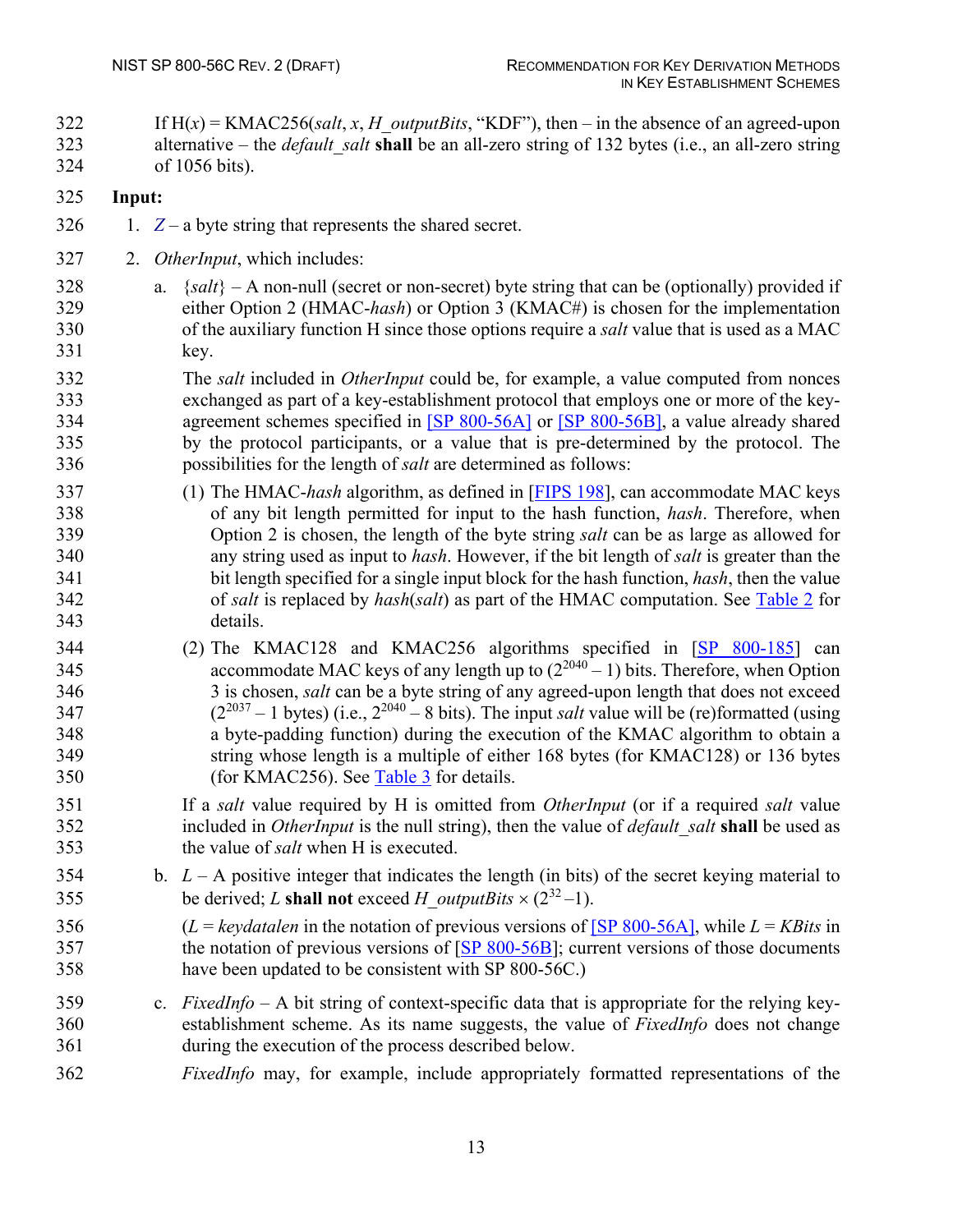If H(*x*) = KMAC256(*salt*, *x*, *H\_outputBits*, "KDF"), then – in the absence of an agreed-upon alternative – the *default\_salt* **shall** be an all-zero string of 132 bytes (i.e., an all-zero string of 1056 bits).

### **Input:**

- 1.  $Z a$  byte string that represents the shared secret.
- 2. *OtherInput*, which includes:
- a. {*salt*} A non-null (secret or non-secret) byte string that can be (optionally) provided if either Option 2 (HMAC-*hash*) or Option 3 (KMAC#) is chosen for the implementation of the auxiliary function H since those options require a *salt* value that is used as a MAC key.
- The *salt* included in *OtherInput* could be, for example, a value computed from nonces exchanged as part of a key-establishment protocol that employs one or more of the key- agreement schemes specified in [\[SP 800-56A\]](#page-38-1) or [\[SP 800-56B\],](#page-39-0) a value already shared by the protocol participants, or a value that is pre-determined by the protocol. The possibilities for the length of *salt* are determined as follows:
- (1) The HMAC-*hash* algorithm, as defined in [FIPS 198], can accommodate MAC keys of any bit length permitted for input to the hash function, *hash*. Therefore, when Option 2 is chosen, the length of the byte string *salt* can be as large as allowed for any string used as input to *hash*. However, if the bit length of *salt* is greater than the bit length specified for a single input block for the hash function, *hash*, then the value of *salt* is replaced by *hash*(*salt*) as part of the HMAC computation. See Table 2 for details.
- 344 (2) The KMAC128 and KMAC256 algorithms specified in [\[SP 800-185\]](#page-39-5) can 345 accommodate MAC keys of any length up to  $(2^{2040} - 1)$  bits. Therefore, when Option 3 is chosen, *salt* can be a byte string of any agreed-upon length that does not exceed  $(2^{2037} - 1 \text{ bytes})$  (i.e.,  $2^{2040} - 8 \text{ bits}$ ). The input *salt* value will be (re)formatted (using a byte-padding function) during the execution of the KMAC algorithm to obtain a string whose length is a multiple of either 168 bytes (for KMAC128) or 136 bytes (for KMAC256). See Table 3 for details.
- If a *salt* value required by H is omitted from *OtherInput* (or if a required *salt* value included in *OtherInput* is the null string), then the value of *default*\_*salt* **shall** be used as the value of *salt* when H is executed.
- b. *L*  A positive integer that indicates the length (in bits) of the secret keying material to 355 be derived; *L* shall not exceed *H* outputBits  $\times$  (2<sup>32</sup> -1).
- 356 (*L* = *keydatalen* in the notation of previous versions of [\[SP 800-56A\],](#page-38-1) while  $L = KB$ *its* in 357 the notation of previous versions of [\[SP 800-56B\]](#page-39-0); current versions of those documents have been updated to be consistent with SP 800-56C.)
- c. *FixedInfo* A bit string of context-specific data that is appropriate for the relying key- establishment scheme. As its name suggests, the value of *FixedInfo* does not change during the execution of the process described below.
- *FixedInfo* may, for example, include appropriately formatted representations of the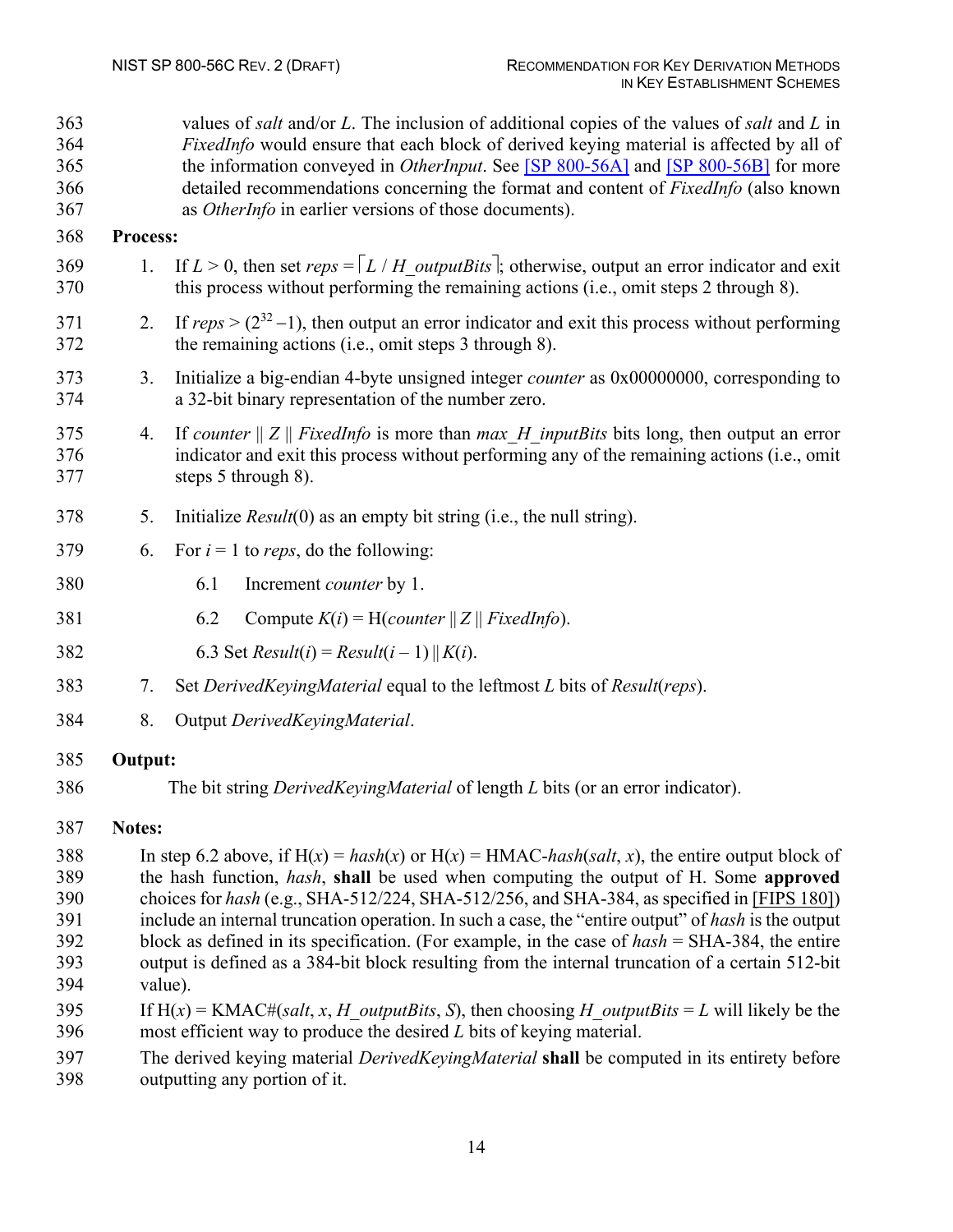| 363<br>364<br>365<br>366<br>367 |                                                                                                     | values of salt and/or $L$ . The inclusion of additional copies of the values of salt and $L$ in<br>FixedInfo would ensure that each block of derived keying material is affected by all of<br>the information conveyed in <i>OtherInput</i> . See [SP 800-56A] and [SP 800-56B] for more<br>detailed recommendations concerning the format and content of <i>FixedInfo</i> (also known<br>as <i>OtherInfo</i> in earlier versions of those documents). |  |  |  |  |
|---------------------------------|-----------------------------------------------------------------------------------------------------|--------------------------------------------------------------------------------------------------------------------------------------------------------------------------------------------------------------------------------------------------------------------------------------------------------------------------------------------------------------------------------------------------------------------------------------------------------|--|--|--|--|
| 368                             | Process:                                                                                            |                                                                                                                                                                                                                                                                                                                                                                                                                                                        |  |  |  |  |
| 369<br>370                      | 1.                                                                                                  | If $L > 0$ , then set reps = $\lceil L / H$ outputBits ; otherwise, output an error indicator and exit<br>this process without performing the remaining actions (i.e., omit steps 2 through 8).                                                                                                                                                                                                                                                        |  |  |  |  |
| 371<br>372                      | 2.                                                                                                  | If $reps > (2^{32}-1)$ , then output an error indicator and exit this process without performing<br>the remaining actions (i.e., omit steps 3 through 8).                                                                                                                                                                                                                                                                                              |  |  |  |  |
| 373<br>374                      | 3.                                                                                                  | Initialize a big-endian 4-byte unsigned integer <i>counter</i> as 0x00000000, corresponding to<br>a 32-bit binary representation of the number zero.                                                                                                                                                                                                                                                                                                   |  |  |  |  |
| 375<br>376<br>377               | 4.                                                                                                  | If counter $  Z  $ FixedInfo is more than max H inputBits bits long, then output an error<br>indicator and exit this process without performing any of the remaining actions (i.e., omit<br>steps 5 through 8).                                                                                                                                                                                                                                        |  |  |  |  |
| 378                             | 5.                                                                                                  | Initialize $Result(0)$ as an empty bit string (i.e., the null string).                                                                                                                                                                                                                                                                                                                                                                                 |  |  |  |  |
| 379                             | 6.                                                                                                  | For $i = 1$ to reps, do the following:                                                                                                                                                                                                                                                                                                                                                                                                                 |  |  |  |  |
| 380                             |                                                                                                     | 6.1<br>Increment <i>counter</i> by 1.                                                                                                                                                                                                                                                                                                                                                                                                                  |  |  |  |  |
| 381                             |                                                                                                     | 6.2<br>Compute $K(i) = H(counter    Z    FixedInfo).$                                                                                                                                                                                                                                                                                                                                                                                                  |  |  |  |  |
| 382                             |                                                                                                     | 6.3 Set $Result(i) = Result(i - 1)    K(i).$                                                                                                                                                                                                                                                                                                                                                                                                           |  |  |  |  |
| 383                             | 7.                                                                                                  | Set DerivedKeyingMaterial equal to the leftmost L bits of Result(reps).                                                                                                                                                                                                                                                                                                                                                                                |  |  |  |  |
| 384                             | 8.                                                                                                  | Output DerivedKeyingMaterial.                                                                                                                                                                                                                                                                                                                                                                                                                          |  |  |  |  |
| 385                             | Output:                                                                                             |                                                                                                                                                                                                                                                                                                                                                                                                                                                        |  |  |  |  |
| 386                             |                                                                                                     | The bit string <i>DerivedKeyingMaterial</i> of length <i>L</i> bits (or an error indicator).                                                                                                                                                                                                                                                                                                                                                           |  |  |  |  |
| 387                             | Notes:                                                                                              |                                                                                                                                                                                                                                                                                                                                                                                                                                                        |  |  |  |  |
| 388                             |                                                                                                     | In step 6.2 above, if $H(x) = hash(x)$ or $H(x) = HMAC-hash(salt, x)$ , the entire output block of                                                                                                                                                                                                                                                                                                                                                     |  |  |  |  |
| 389                             | the hash function, <i>hash</i> , <b>shall</b> be used when computing the output of H. Some approved |                                                                                                                                                                                                                                                                                                                                                                                                                                                        |  |  |  |  |
| 390<br>391                      |                                                                                                     | choices for hash (e.g., SHA-512/224, SHA-512/256, and SHA-384, as specified in [FIPS 180])<br>include an internal truncation operation. In such a case, the "entire output" of hash is the output                                                                                                                                                                                                                                                      |  |  |  |  |
| 392                             |                                                                                                     | block as defined in its specification. (For example, in the case of $hash = SHA-384$ , the entire                                                                                                                                                                                                                                                                                                                                                      |  |  |  |  |
| 393                             |                                                                                                     | output is defined as a 384-bit block resulting from the internal truncation of a certain 512-bit                                                                                                                                                                                                                                                                                                                                                       |  |  |  |  |

- value).
- 395 If  $H(x) = KMAC \# (salt, x, H \text{ outputs its}, S)$ , then choosing *H* outputBits = *L* will likely be the most efficient way to produce the desired *L* bits of keying material.
- The derived keying material *DerivedKeyingMaterial* **shall** be computed in its entirety before
- outputting any portion of it.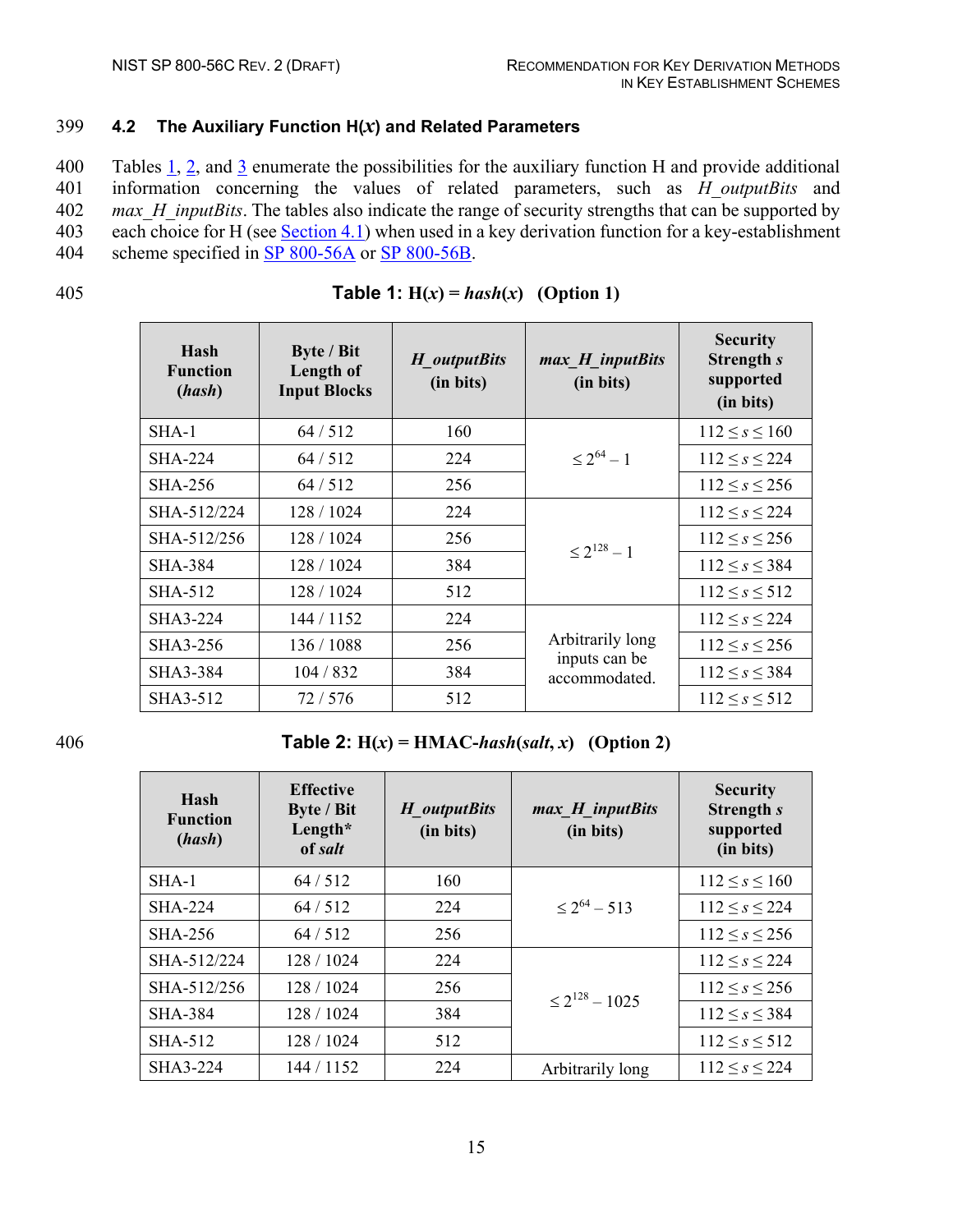#### <span id="page-23-0"></span>399 **4.2 The Auxiliary Function H(***x***) and Related Parameters**

 Tables 1, 2, and 3 enumerate the possibilities for the auxiliary function H and provide additional information concerning the values of related parameters, such as *H\_outputBits* and *max\_H\_inputBits*. The tables also indicate the range of security strengths that can be supported by 403 each choice for H (see [Section 4.1\)](#page-19-1) when used in a key derivation function for a key-establishment scheme specified in [SP 800-56A](#page-38-1) or [SP 800-56B.](#page-39-0)

<span id="page-23-1"></span>

| Hash<br><b>Function</b><br>(hash) | Byte / Bit<br>Length of<br><b>Input Blocks</b> | H outputBits<br>(in bits) | max H inputBits<br>(in bits)   | <b>Security</b><br><b>Strength s</b><br>supported<br>(in bits) |
|-----------------------------------|------------------------------------------------|---------------------------|--------------------------------|----------------------------------------------------------------|
| $SHA-1$                           | 64/512                                         | 160                       |                                | $112 \leq s \leq 160$                                          |
| <b>SHA-224</b>                    | 64/512                                         | 224                       | $\leq 2^{64} - 1$              | $112 \le s \le 224$                                            |
| <b>SHA-256</b>                    | 64/512                                         | 256                       |                                | $112 \leq s \leq 256$                                          |
| SHA-512/224                       | 128 / 1024                                     | 224                       |                                | $112 \le s \le 224$                                            |
| SHA-512/256                       | 128 / 1024                                     | 256                       | $\leq 2^{128} - 1$             | $112 \leq s \leq 256$                                          |
| <b>SHA-384</b>                    | 128 / 1024                                     | 384                       |                                | $112 \leq s \leq 384$                                          |
| SHA-512                           | 128 / 1024                                     | 512                       |                                | $112 \leq s \leq 512$                                          |
| SHA3-224                          | 144 / 1152                                     | 224                       |                                | $112 \le s \le 224$                                            |
| SHA3-256                          | 136 / 1088                                     | 256                       | Arbitrarily long               | $112 \le s \le 256$                                            |
| SHA3-384                          | 104 / 832                                      | 384                       | inputs can be<br>accommodated. | $112 \le s \le 384$                                            |
| SHA3-512                          | 72/576                                         | 512                       |                                | $112 \leq s \leq 512$                                          |

#### 405 **Table 1:**  $H(x) = hash(x)$  (Option 1)

<span id="page-23-2"></span>

406 **Table 2: H(***x***) = HMAC-***hash***(***salt***,** *x***) (Option 2)**

| Hash<br><b>Function</b><br>(hash) | <b>Effective</b><br><b>Byte / Bit</b><br>Length $*$<br>of salt | H outputBits<br>(in bits) | $max$ H_inputBits<br>(in bits) | <b>Security</b><br>Strength s<br>supported<br>(in bits) |
|-----------------------------------|----------------------------------------------------------------|---------------------------|--------------------------------|---------------------------------------------------------|
| $SHA-1$                           | 64/512                                                         | 160                       |                                | $112 \leq s \leq 160$                                   |
| <b>SHA-224</b>                    | 64/512                                                         | 224                       | $\leq 2^{64} - 513$            | $112 \leq s \leq 224$                                   |
| <b>SHA-256</b>                    | 64/512                                                         | 256                       |                                | $112 \leq s \leq 256$                                   |
| SHA-512/224                       | 128/1024                                                       | 224                       |                                | $112 \leq s \leq 224$                                   |
| SHA-512/256                       | 128 / 1024                                                     | 256                       | $\leq 2^{128} - 1025$          | $112 \leq s \leq 256$                                   |
| <b>SHA-384</b>                    | 128 / 1024                                                     | 384                       |                                | $112 \leq s \leq 384$                                   |
| <b>SHA-512</b>                    | 128 / 1024                                                     | 512                       |                                | $112 \leq s \leq 512$                                   |
| SHA3-224                          | 144 / 1152                                                     | 224                       | Arbitrarily long               | $112 \le s \le 224$                                     |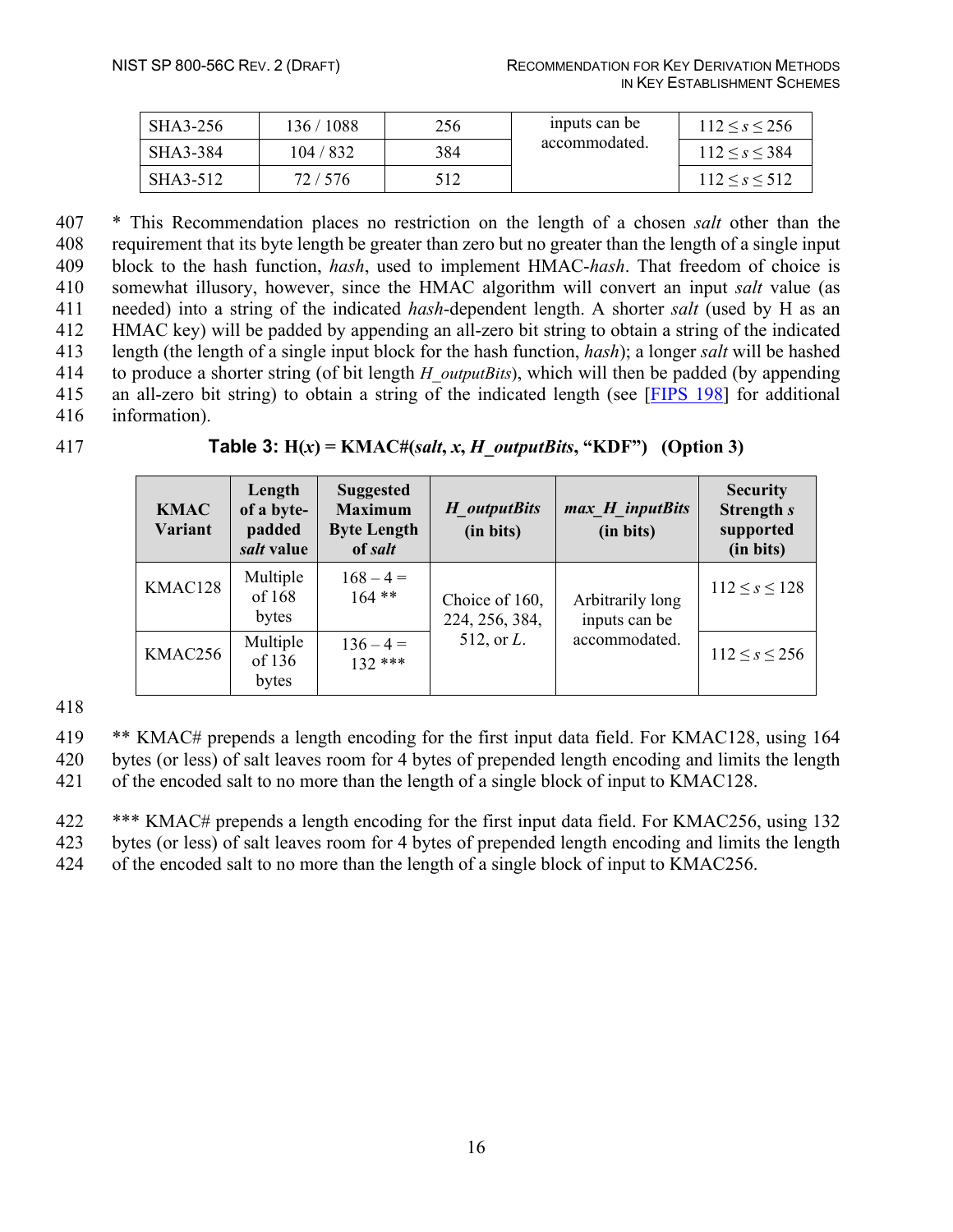| SHA3-256 | 136 / 1088 | 256 | inputs can be | $112 \leq s \leq 256$ |
|----------|------------|-----|---------------|-----------------------|
| SHA3-384 | 104 / 832  | 384 | accommodated. | $112 \leq s \leq 384$ |
| SHA3-512 | 72 / 576   | 512 |               | $112 \leq s \leq 512$ |

 \* This Recommendation places no restriction on the length of a chosen *salt* other than the requirement that its byte length be greater than zero but no greater than the length of a single input block to the hash function, *hash*, used to implement HMAC-*hash*. That freedom of choice is somewhat illusory, however, since the HMAC algorithm will convert an input *salt* value (as needed) into a string of the indicated *hash*-dependent length. A shorter *salt* (used by H as an HMAC key) will be padded by appending an all-zero bit string to obtain a string of the indicated length (the length of a single input block for the hash function, *hash*); a longer *salt* will be hashed to produce a shorter string (of bit length *H\_outputBits*), which will then be padded (by appending an all-zero bit string) to obtain a string of the indicated length (see [FIPS 198] for additional information).

| 417 | <b>Table 3:</b> $H(x) = KMAC\#(salt, x, H_outputBits, "KDF")$ (Option 3) |  |
|-----|--------------------------------------------------------------------------|--|
|-----|--------------------------------------------------------------------------|--|

<span id="page-24-0"></span>

| <b>KMAC</b><br>Variant | Length<br>of a byte-<br>padded<br>salt value | <b>Suggested</b><br><b>Maximum</b><br><b>Byte Length</b><br>of salt | H outputBits<br>(in bits)        | max H inputBits<br>(in bits)      | <b>Security</b><br>Strength s<br>supported<br>(in bits) |
|------------------------|----------------------------------------------|---------------------------------------------------------------------|----------------------------------|-----------------------------------|---------------------------------------------------------|
| KMAC128                | Multiple<br>of 168<br>bytes                  | $168 - 4 =$<br>$164$ **                                             | Choice of 160,<br>224, 256, 384, | Arbitrarily long<br>inputs can be | $112 \leq s \leq 128$                                   |
| KMAC256                | Multiple<br>of 136<br>bytes                  | $136 - 4 =$<br>$132***$                                             | 512, or $L$ .                    | accommodated.                     | $112 \leq s \leq 256$                                   |

418

419 \*\* KMAC# prepends a length encoding for the first input data field. For KMAC128, using 164 420 bytes (or less) of salt leaves room for 4 bytes of prepended length encoding and limits the length

421 of the encoded salt to no more than the length of a single block of input to KMAC128.

422 \*\*\* KMAC# prepends a length encoding for the first input data field. For KMAC256, using 132 423 bytes (or less) of salt leaves room for 4 bytes of prepended length encoding and limits the length

424 of the encoded salt to no more than the length of a single block of input to KMAC256.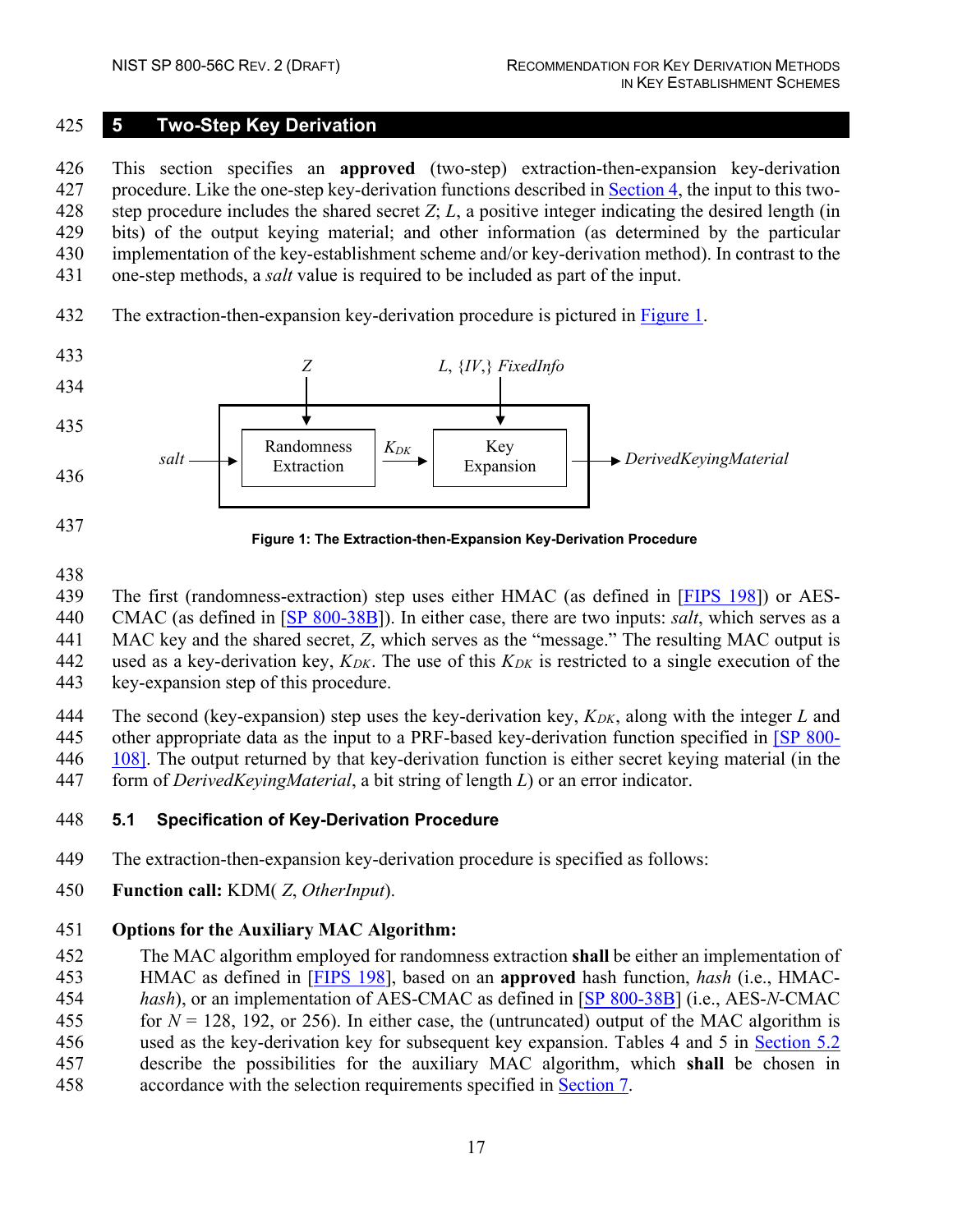#### <span id="page-25-0"></span>**5 Two-Step Key Derivation**

 This section specifies an **approved** (two-step) extraction-then-expansion key-derivation procedure. Like the one-step key-derivation functions described in [Section 4,](#page-19-0) the input to this two- step procedure includes the shared secret *Z*; *L*, a positive integer indicating the desired length (in bits) of the output keying material; and other information (as determined by the particular implementation of the key-establishment scheme and/or key-derivation method). In contrast to the one-step methods, a *salt* value is required to be included as part of the input.

432 The extraction-then-expansion key-derivation procedure is pictured in [Figure 1.](#page-25-2)



<span id="page-25-2"></span>

**Figure 1: The Extraction-then-Expansion Key-Derivation Procedure**

The first (randomness-extraction) step uses either HMAC (as defined in [FIPS 198]) or AES-

CMAC (as defined in [\[SP 800-38B\]](#page-38-0)). In either case, there are two inputs: *salt*, which serves as a

MAC key and the shared secret, *Z*, which serves as the "message." The resulting MAC output is

used as a key-derivation key, *KDK*. The use of this *KDK* is restricted to a single execution of the

key-expansion step of this procedure.

444 The second (key-expansion) step uses the key-derivation key,  $K_{DK}$ , along with the integer *L* and other appropriate data as the input to a PRF-based key-derivation function specified in [\[SP 800-](#page-39-1) [108\].](#page-39-1) The output returned by that key-derivation function is either secret keying material (in the

form of *DerivedKeyingMaterial*, a bit string of length *L*) or an error indicator.

#### <span id="page-25-1"></span>**5.1 Specification of Key-Derivation Procedure**

The extraction-then-expansion key-derivation procedure is specified as follows:

**Function call:** KDM( *Z*, *OtherInput*).

# **Options for the Auxiliary MAC Algorithm:**

 The MAC algorithm employed for randomness extraction **shall** be either an implementation of HMAC as defined in [FIPS 198], based on an **approved** hash function, *hash* (i.e., HMAC- *hash*), or an implementation of AES-CMAC as defined in [\[SP 800-38B\]](#page-38-0) (i.e., AES-*N*-CMAC 455 for  $N = 128$ , 192, or 256). In either case, the (untruncated) output of the MAC algorithm is used as the key-derivation key for subsequent key expansion. Tables 4 and 5 in [Section 5.2](#page-28-0) describe the possibilities for the auxiliary MAC algorithm, which **shall** be chosen in accordance with the selection requirements specified in [Section 7.](#page-34-0)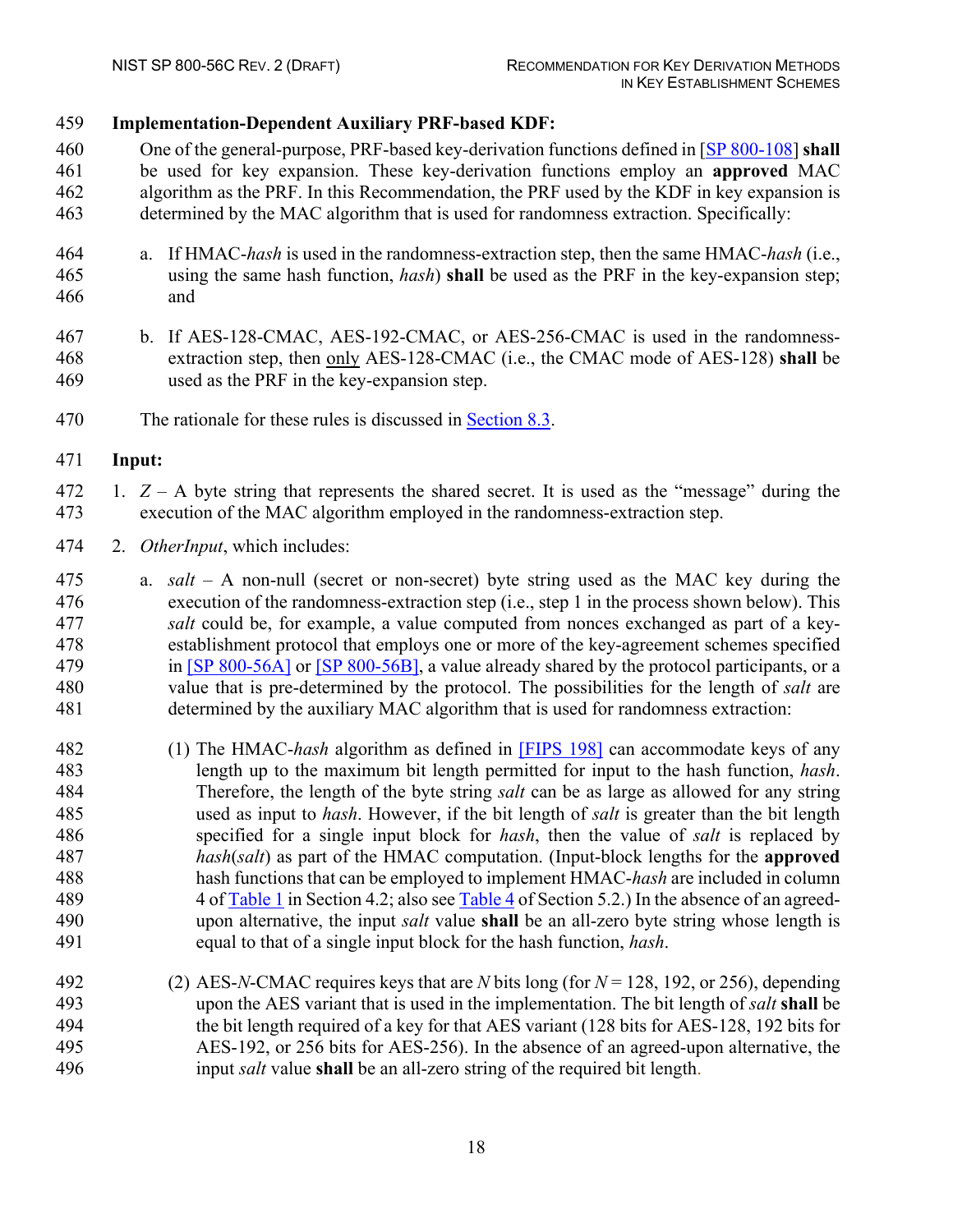#### **Implementation-Dependent Auxiliary PRF-based KDF:**

- One of the general-purpose, PRF-based key-derivation functions defined in [\[SP 800-108\]](#page-39-1) **shall** be used for key expansion. These key-derivation functions employ an **approved** MAC algorithm as the PRF. In this Recommendation, the PRF used by the KDF in key expansion is determined by the MAC algorithm that is used for randomness extraction. Specifically:
- a. If HMAC-*hash* is used in the randomness-extraction step, then the same HMAC-*hash* (i.e., using the same hash function, *hash*) **shall** be used as the PRF in the key-expansion step; and
- b. If AES-128-CMAC, AES-192-CMAC, or AES-256-CMAC is used in the randomness- extraction step, then only AES-128-CMAC (i.e., the CMAC mode of AES-128) **shall** be used as the PRF in the key-expansion step.
- 470 The rationale for these rules is discussed in [Section 8.3.](#page-36-3)

#### **Input:**

- 1. *Z* A byte string that represents the shared secret. It is used as the "message" during the execution of the MAC algorithm employed in the randomness-extraction step.
- 2. *OtherInput*, which includes:
- a. *salt*  A non-null (secret or non-secret) byte string used as the MAC key during the execution of the randomness-extraction step (i.e., step 1 in the process shown below). This *salt* could be, for example, a value computed from nonces exchanged as part of a key- establishment protocol that employs one or more of the key-agreement schemes specified 479 in [\[SP 800-56A\]](#page-38-1) or [\[SP 800-56B\],](#page-39-0) a value already shared by the protocol participants, or a value that is pre-determined by the protocol. The possibilities for the length of *salt* are determined by the auxiliary MAC algorithm that is used for randomness extraction:
- (1) The HMAC-*hash* algorithm as defined in [FIPS 198] can accommodate keys of any length up to the maximum bit length permitted for input to the hash function, *hash*. Therefore, the length of the byte string *salt* can be as large as allowed for any string used as input to *hash*. However, if the bit length of *salt* is greater than the bit length specified for a single input block for *hash*, then the value of *salt* is replaced by *hash*(*salt*) as part of the HMAC computation. (Input-block lengths for the **approved** hash functions that can be employed to implement HMAC-*hash* are included in column 4 of Table 1 in Section 4.2; also see Table 4 of Section 5.2.) In the absence of an agreed- upon alternative, the input *salt* value **shall** be an all-zero byte string whose length is equal to that of a single input block for the hash function, *hash*.
- (2) AES-*N*-CMAC requires keys that are *N* bits long (for *N* = 128, 192, or 256), depending upon the AES variant that is used in the implementation. The bit length of *salt* **shall** be the bit length required of a key for that AES variant (128 bits for AES-128, 192 bits for AES-192, or 256 bits for AES-256). In the absence of an agreed-upon alternative, the input *salt* value **shall** be an all-zero string of the required bit length.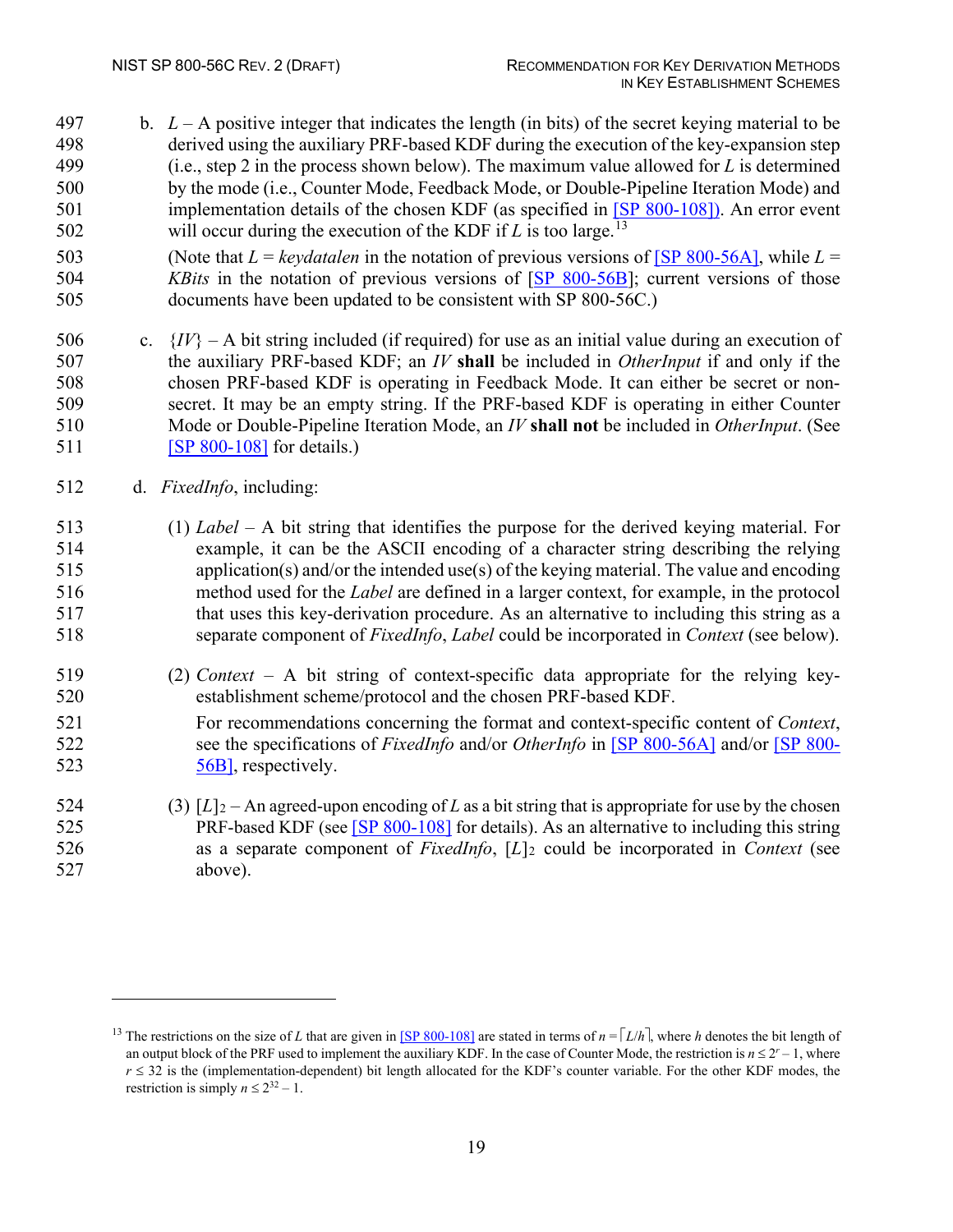- 497 b.  $L A$  positive integer that indicates the length (in bits) of the secret keying material to be derived using the auxiliary PRF-based KDF during the execution of the key-expansion step (i.e., step 2 in the process shown below). The maximum value allowed for *L* is determined by the mode (i.e., Counter Mode, Feedback Mode, or Double-Pipeline Iteration Mode) and implementation details of the chosen KDF (as specified in [\[SP 800-108\]\)](#page-39-1). An error event 502 will occur during the execution of the KDF if  $L$  is too large.<sup>[13](#page-27-0)</sup>
- 503 (Note that  $L = \text{kevdatalen}$  in the notation of previous versions of [\[SP 800-56A\],](#page-38-1) while  $L =$  *KBits* in the notation of previous versions of [\[SP 800-56B\]](#page-39-0); current versions of those documents have been updated to be consistent with SP 800-56C.)
- 506 c.  $\{IV\}$  A bit string included (if required) for use as an initial value during an execution of the auxiliary PRF-based KDF; an *IV* **shall** be included in *OtherInput* if and only if the chosen PRF-based KDF is operating in Feedback Mode. It can either be secret or non- secret. It may be an empty string. If the PRF-based KDF is operating in either Counter Mode or Double-Pipeline Iteration Mode, an *IV* **shall not** be included in *OtherInput*. (See **[\[SP 800-108\]](#page-39-1)** for details.)
- d. *FixedInfo*, including:
- (1) *Label* A bit string that identifies the purpose for the derived keying material. For example, it can be the ASCII encoding of a character string describing the relying application(s) and/or the intended use(s) of the keying material. The value and encoding method used for the *Label* are defined in a larger context, for example, in the protocol that uses this key-derivation procedure. As an alternative to including this string as a separate component of *FixedInfo*, *Label* could be incorporated in *Context* (see below).
- (2) *Context* A bit string of context-specific data appropriate for the relying key-establishment scheme/protocol and the chosen PRF-based KDF.
- For recommendations concerning the format and context-specific content of *Context*, see the specifications of *FixedInfo* and/or *OtherInfo* in [\[SP 800-56A\]](#page-38-1) and/or [\[SP 800-](#page-39-0) 523 56B, respectively.
- 524 (3)  $[L]_2$  An agreed-upon encoding of *L* as a bit string that is appropriate for use by the chosen PRF-based KDF (see [\[SP 800-108\]](#page-39-1) for details). As an alternative to including this string as a separate component of *FixedInfo*, [*L*]2 could be incorporated in *Context* (see above).

<span id="page-27-0"></span><sup>&</sup>lt;sup>13</sup> The restrictions on the size of *L* that are given in [\[SP 800-108\]](#page-39-1) are stated in terms of  $n = \lceil L/h \rceil$ , where *h* denotes the bit length of an output block of the PRF used to implement the auxiliary KDF. In the case of Counter Mode, the restriction is  $n \leq 2^{r} - 1$ , where  $r \leq 32$  is the (implementation-dependent) bit length allocated for the KDF's counter variable. For the other KDF modes, the restriction is simply  $n \le 2^{32} - 1$ .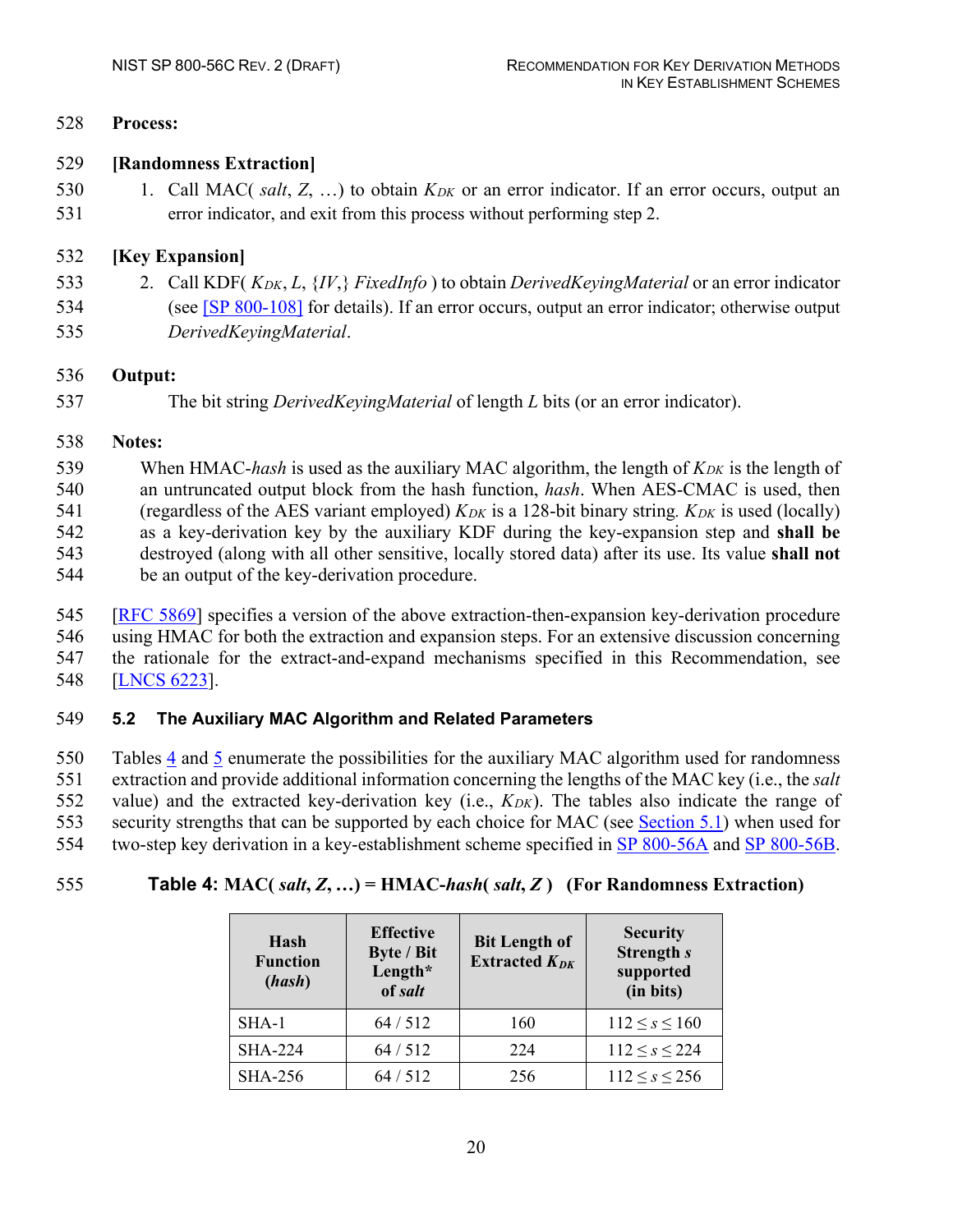#### 528 **Process:**

#### 529 **[Randomness Extraction]**

530 1. Call MAC( *salt*, *Z*, ...) to obtain  $K_{DK}$  or an error indicator. If an error occurs, output an 531 error indicator, and exit from this process without performing step 2.

#### 532 **[Key Expansion]**

- 533 2. Call KDF( *KDK*, *L*, {*IV*,} *FixedInfo* ) to obtain *DerivedKeyingMaterial* or an error indicator
- 534 (see [\[SP 800-108\]](#page-39-1) for details). If an error occurs, output an error indicator; otherwise output
- 535 *DerivedKeyingMaterial*.

#### 536 **Output:**

537 The bit string *DerivedKeyingMaterial* of length *L* bits (or an error indicator).

#### 538 **Notes:**

539 When HMAC-*hash* is used as the auxiliary MAC algorithm, the length of  $K_{DK}$  is the length of an untruncated output block from the hash function, *hash*. When AES-CMAC is used, then (regardless of the AES variant employed) *KDK* is a 128-bit binary string*. KDK* is used (locally) as a key-derivation key by the auxiliary KDF during the key-expansion step and **shall be** destroyed (along with all other sensitive, locally stored data) after its use. Its value **shall not** be an output of the key-derivation procedure.

- 545 [RFC 5869] specifies a version of the above extraction-then-expansion key-derivation procedure 546 using HMAC for both the extraction and expansion steps. For an extensive discussion concerning 547 the rationale for the extract-and-expand mechanisms specified in this Recommendation, see
- 548 [LNCS 6223].

#### <span id="page-28-0"></span>549 **5.2 The Auxiliary MAC Algorithm and Related Parameters**

 Tables 4 and [5](#page-29-1) enumerate the possibilities for the auxiliary MAC algorithm used for randomness extraction and provide additional information concerning the lengths of the MAC key (i.e., the *salt* value) and the extracted key-derivation key (i.e., *KDK*). The tables also indicate the range of security strengths that can be supported by each choice for MAC (see [Section 5.1\)](#page-25-1) when used for two-step key derivation in a key-establishment scheme specified in [SP 800-56A](#page-38-1) and [SP 800-56B.](#page-39-0)

# <span id="page-28-1"></span>555 **Table 4:** MAC( $salt, Z, ...)$  = HMAC- $hash(salt, Z)$  (For Randomness Extraction)

| Hash<br><b>Function</b><br>(hash) | <b>Effective</b><br><b>Byte / Bit</b><br>Length*<br>of salt | <b>Bit Length of</b><br>Extracted $K_{DK}$ | <b>Security</b><br>Strength s<br>supported<br>(in bits) |
|-----------------------------------|-------------------------------------------------------------|--------------------------------------------|---------------------------------------------------------|
| SHA-1                             | 64/512                                                      | 160                                        | $112 \leq s \leq 160$                                   |
| <b>SHA-224</b>                    | 64/512                                                      | 224                                        | $112 \leq s \leq 224$                                   |
| <b>SHA-256</b>                    | 64/512                                                      | 256                                        | $112 \leq s \leq 256$                                   |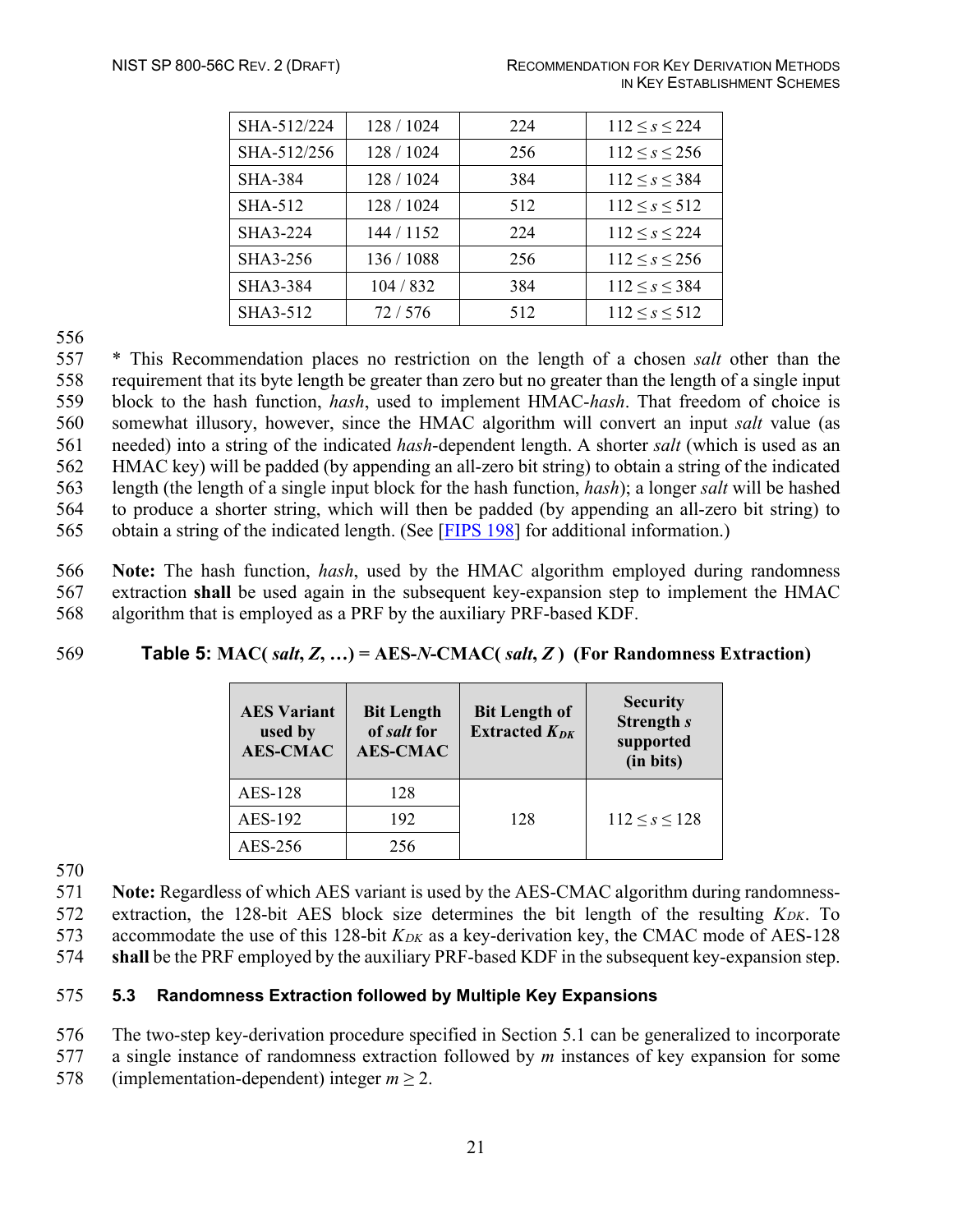| SHA-512/224    | 128 / 1024 | 224 | $112 \leq s \leq 224$ |
|----------------|------------|-----|-----------------------|
| SHA-512/256    | 128 / 1024 | 256 | $112 \leq s \leq 256$ |
| <b>SHA-384</b> | 128 / 1024 | 384 | $112 \leq s \leq 384$ |
| SHA-512        | 128 / 1024 | 512 | $112 \leq s \leq 512$ |
| SHA3-224       | 144 / 1152 | 224 | $112 \leq s \leq 224$ |
| SHA3-256       | 136 / 1088 | 256 | $112 \leq s \leq 256$ |
| SHA3-384       | 104/832    | 384 | $112 \leq s \leq 384$ |
| SHA3-512       | 72/576     | 512 | $112 \leq s \leq 512$ |

556

 \* This Recommendation places no restriction on the length of a chosen *salt* other than the requirement that its byte length be greater than zero but no greater than the length of a single input block to the hash function, *hash*, used to implement HMAC-*hash*. That freedom of choice is somewhat illusory, however, since the HMAC algorithm will convert an input *salt* value (as needed) into a string of the indicated *hash*-dependent length. A shorter *salt* (which is used as an HMAC key) will be padded (by appending an all-zero bit string) to obtain a string of the indicated length (the length of a single input block for the hash function, *hash*); a longer *salt* will be hashed to produce a shorter string, which will then be padded (by appending an all-zero bit string) to obtain a string of the indicated length. (See [FIPS 198] for additional information.)

566 **Note:** The hash function, *hash*, used by the HMAC algorithm employed during randomness 567 extraction **shall** be used again in the subsequent key-expansion step to implement the HMAC 568 algorithm that is employed as a PRF by the auxiliary PRF-based KDF.

#### <span id="page-29-1"></span>569 **Table 5: MAC(** *salt***,** *Z***, …) = AES-***N***-CMAC(** *salt***,** *Z* **) (For Randomness Extraction)**

| <b>AES Variant</b><br>used by<br><b>AES-CMAC</b> | <b>Bit Length</b><br>of salt for<br><b>AES-CMAC</b> | <b>Bit Length of</b><br>Extracted $K_{DK}$ | <b>Security</b><br>Strength s<br>supported<br>(in bits) |
|--------------------------------------------------|-----------------------------------------------------|--------------------------------------------|---------------------------------------------------------|
| AES-128                                          | 128                                                 |                                            |                                                         |
| AES-192                                          | 192                                                 | 128                                        | $112 \leq s \leq 128$                                   |
| AES-256                                          | 256                                                 |                                            |                                                         |

570

571 **Note:** Regardless of which AES variant is used by the AES-CMAC algorithm during randomness-572 extraction, the 128-bit AES block size determines the bit length of the resulting *KDK*. To 573 accommodate the use of this 128-bit *KDK* as a key-derivation key, the CMAC mode of AES-128

574 **shall** be the PRF employed by the auxiliary PRF-based KDF in the subsequent key-expansion step.

#### <span id="page-29-0"></span>575 **5.3 Randomness Extraction followed by Multiple Key Expansions**

576 The two-step key-derivation procedure specified in Section 5.1 can be generalized to incorporate

577 a single instance of randomness extraction followed by *m* instances of key expansion for some

578 (implementation-dependent) integer  $m \ge 2$ .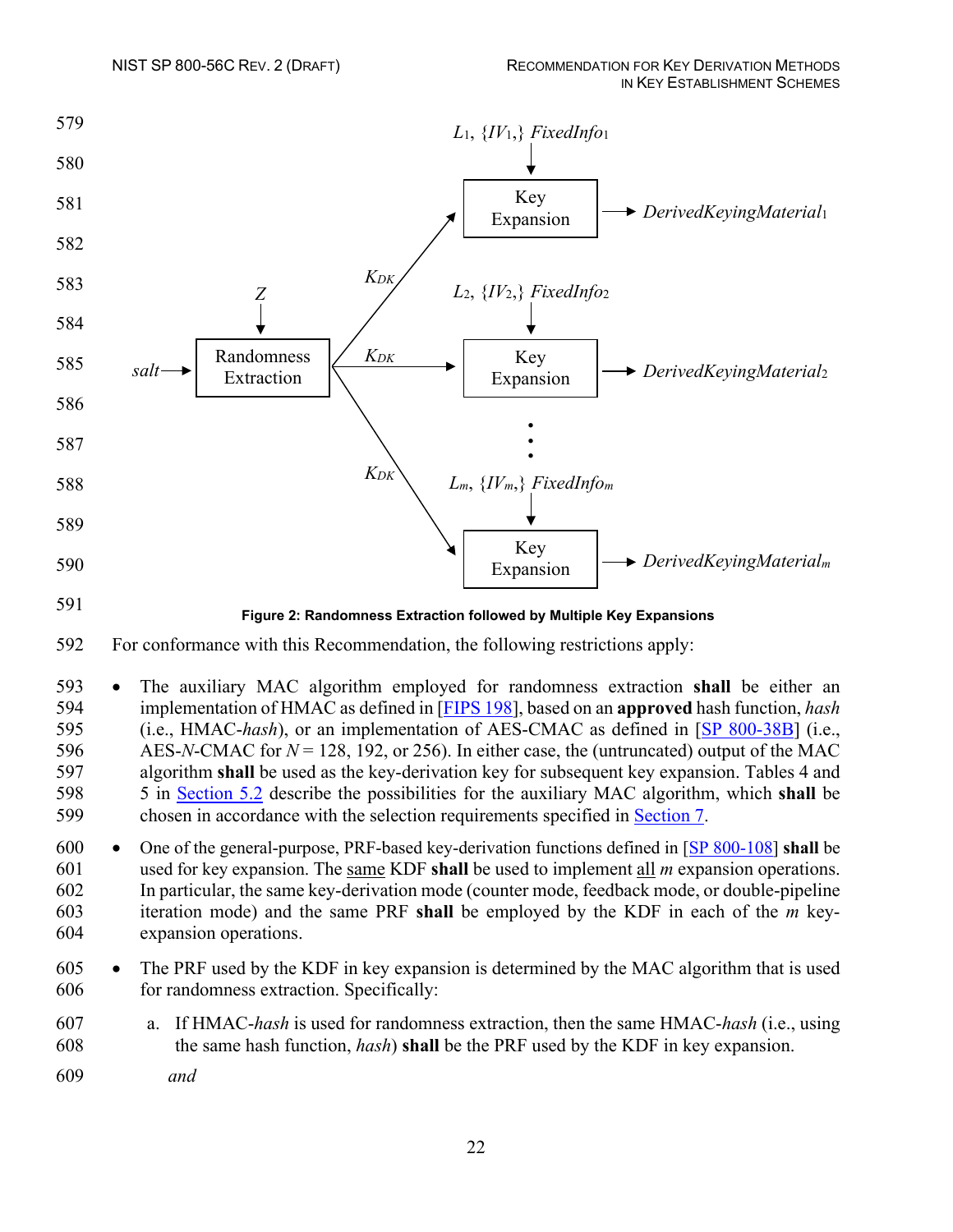

- 592 For conformance with this Recommendation, the following restrictions apply:
- 593 The auxiliary MAC algorithm employed for randomness extraction **shall** be either an 594 implementation of HMAC as defined in [FIPS 198], based on an **approved** hash function, *hash* 595 (i.e., HMAC-*hash*), or an implementation of AES-CMAC as defined in [\[SP 800-38B\]](#page-38-0) (i.e., 596 AES-*N*-CMAC for *N* = 128, 192, or 256). In either case, the (untruncated) output of the MAC 597 algorithm **shall** be used as the key-derivation key for subsequent key expansion. Tables 4 and 598 5 in [Section 5.2](#page-28-0) describe the possibilities for the auxiliary MAC algorithm, which **shall** be 599 chosen in accordance with the selection requirements specified in [Section 7.](#page-34-0)
- 600 One of the general-purpose, PRF-based key-derivation functions defined in [\[SP 800-108\]](#page-39-1) **shall** be 601 used for key expansion. The same KDF **shall** be used to implement all *m* expansion operations. 602 In particular, the same key-derivation mode (counter mode, feedback mode, or double-pipeline 603 iteration mode) and the same PRF **shall** be employed by the KDF in each of the *m* key-604 expansion operations.
- 605 The PRF used by the KDF in key expansion is determined by the MAC algorithm that is used 606 for randomness extraction. Specifically:
- 607 a. If HMAC-*hash* is used for randomness extraction, then the same HMAC-*hash* (i.e., using 608 the same hash function, *hash*) **shall** be the PRF used by the KDF in key expansion.
- 609 *and*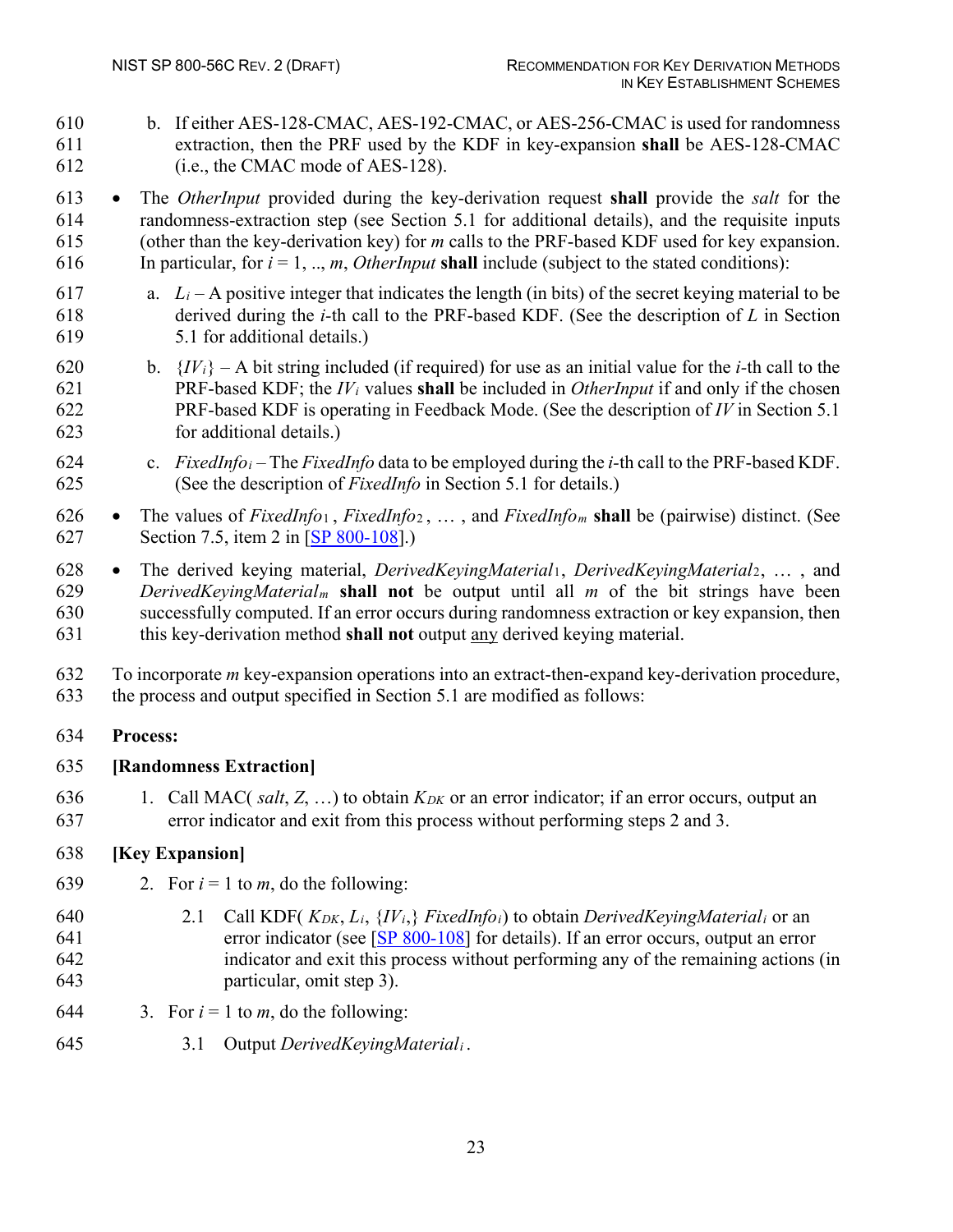b. If either AES-128-CMAC, AES-192-CMAC, or AES-256-CMAC is used for randomness extraction, then the PRF used by the KDF in key-expansion **shall** be AES-128-CMAC (i.e., the CMAC mode of AES-128).

 • The *OtherInput* provided during the key-derivation request **shall** provide the *salt* for the randomness-extraction step (see Section 5.1 for additional details), and the requisite inputs (other than the key-derivation key) for *m* calls to the PRF-based KDF used for key expansion. 616 In particular, for  $i = 1, ..., m$ , *OtherInput* **shall** include (subject to the stated conditions):

- 617 a.  $L_i A$  positive integer that indicates the length (in bits) of the secret keying material to be derived during the *i-*th call to the PRF-based KDF. (See the description of *L* in Section 5.1 for additional details.)
- 620 b.  ${IV<sub>i</sub>} A$  bit string included (if required) for use as an initial value for the *i*-th call to the PRF-based KDF; the *IVi* values **shall** be included in *OtherInput* if and only if the chosen PRF-based KDF is operating in Feedback Mode. (See the description of *IV* in Section 5.1 for additional details.)
- c. *FixedInfoi* The *FixedInfo* data to be employed during the *i-*th call to the PRF-based KDF. (See the description of *FixedInfo* in Section 5.1 for details.)
- The values of *FixedInfo*<sup>1</sup> , *FixedInfo*<sup>2</sup> , … , and *FixedInfom* **shall** be (pairwise) distinct. (See Section 7.5, item 2 in [\[SP 800-108\]](#page-39-1).)

 • The derived keying material, *DerivedKeyingMaterial*1, *DerivedKeyingMaterial*2, … , and *DerivedKeyingMaterialm* **shall not** be output until all *m* of the bit strings have been successfully computed. If an error occurs during randomness extraction or key expansion, then this key-derivation method **shall not** output any derived keying material.

 To incorporate *m* key-expansion operations into an extract-then-expand key-derivation procedure, the process and output specified in Section 5.1 are modified as follows:

# **Process:**

# **[Randomness Extraction]**

 1. Call MAC( *salt*, *Z*, …) to obtain *KDK* or an error indicator; if an error occurs, output an error indicator and exit from this process without performing steps 2 and 3.

# **[Key Expansion]**

- 639 2. For  $i = 1$  to *m*, do the following:
- 640 2.1 Call KDF( $K_{DK}, L_i, \{IV_i\}$  *FixedInfo<sub>i</sub>*) to obtain *DerivedKeyingMaterial<sub>i</sub>* or an error indicator (see [\[SP 800-108\]](#page-39-1) for details). If an error occurs, output an error indicator and exit this process without performing any of the remaining actions (in particular, omit step 3).
- 644 3. For  $i = 1$  to *m*, do the following:
- 3.1 Output *DerivedKeyingMateriali* .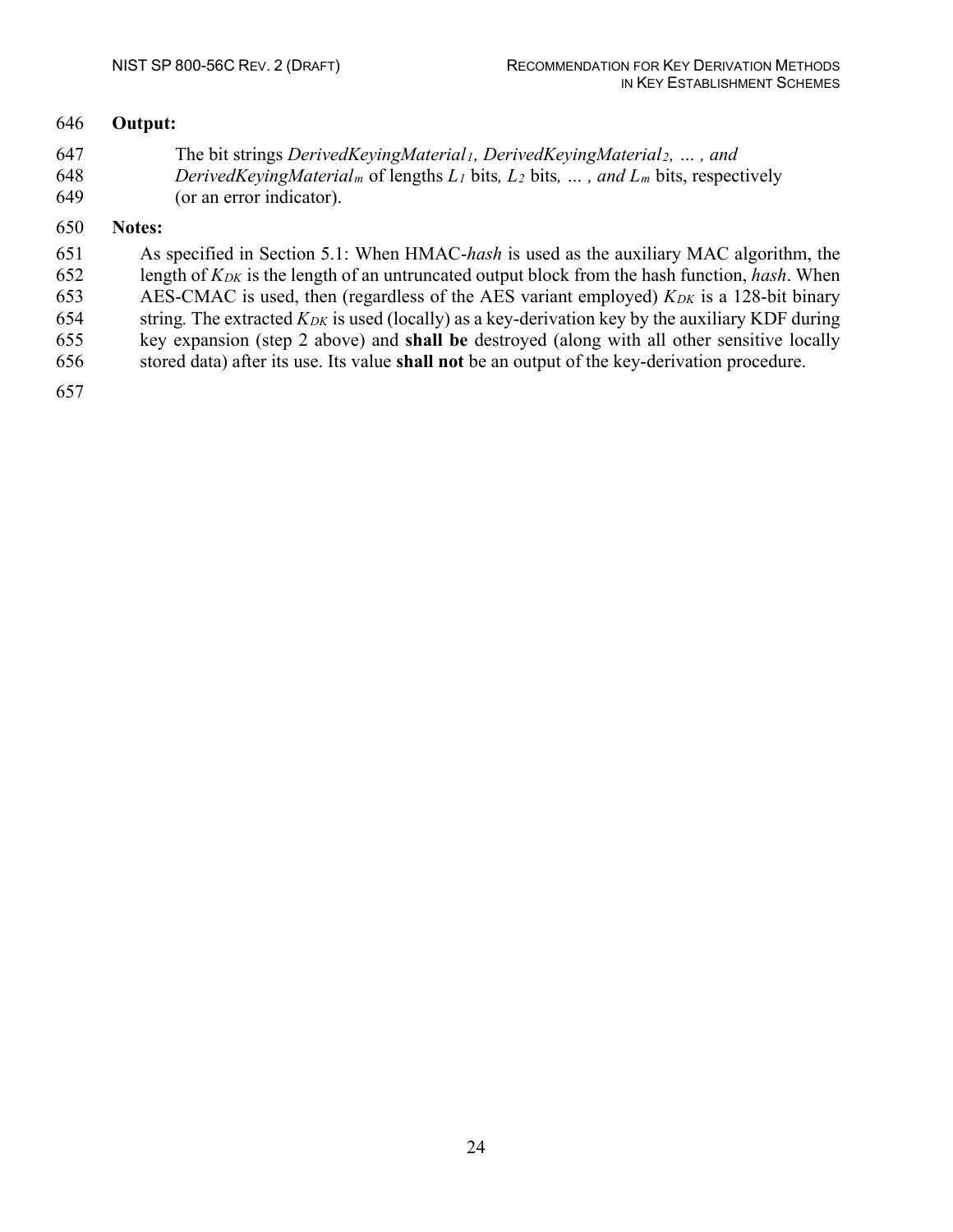#### **Output:**

 The bit strings *DerivedKeyingMaterial1, DerivedKeyingMaterial2, … , and DerivedKeyingMaterialm* of lengths *L1* bits*, L2* bits*, … , and Lm* bits, respectively (or an error indicator).

#### **Notes:**

 As specified in Section 5.1: When HMAC-*hash* is used as the auxiliary MAC algorithm, the length of *KDK* is the length of an untruncated output block from the hash function, *hash*. When 653 AES-CMAC is used, then (regardless of the AES variant employed) *K<sub>DK</sub>* is a 128-bit binary 654 string. The extracted  $K_{DK}$  is used (locally) as a key-derivation key by the auxiliary KDF during key expansion (step 2 above) and **shall be** destroyed (along with all other sensitive locally stored data) after its use. Its value **shall not** be an output of the key-derivation procedure.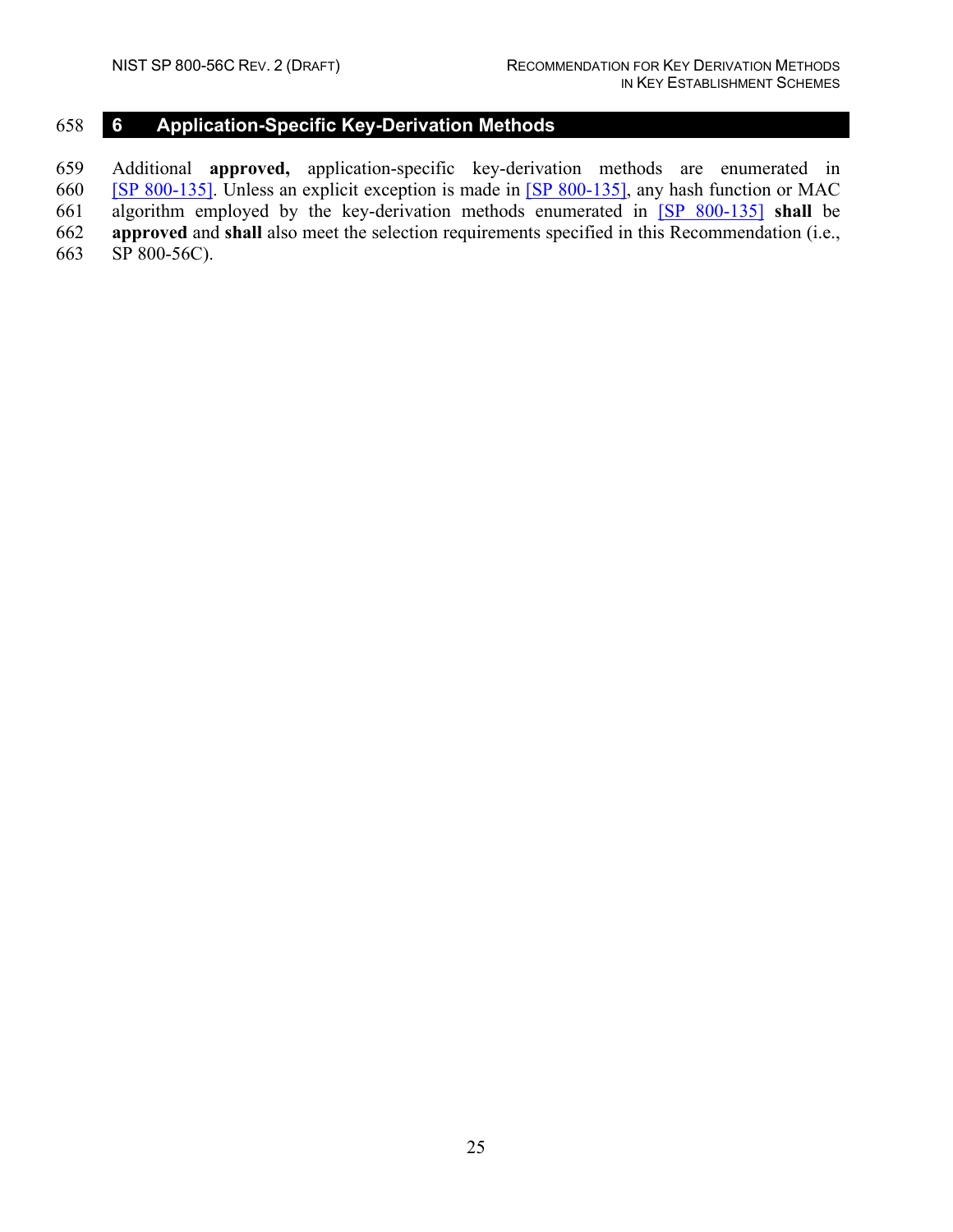# <span id="page-33-0"></span>**6 Application-Specific Key-Derivation Methods**

 Additional **approved,** application-specific key-derivation methods are enumerated in [\[SP 800-135\].](#page-39-2) Unless an explicit exception is made in [\[SP 800-135\],](#page-39-2) any hash function or MAC algorithm employed by the key-derivation methods enumerated in [\[SP 800-135\]](#page-39-2) **shall** be **approved** and **shall** also meet the selection requirements specified in this Recommendation (i.e., SP 800-56C).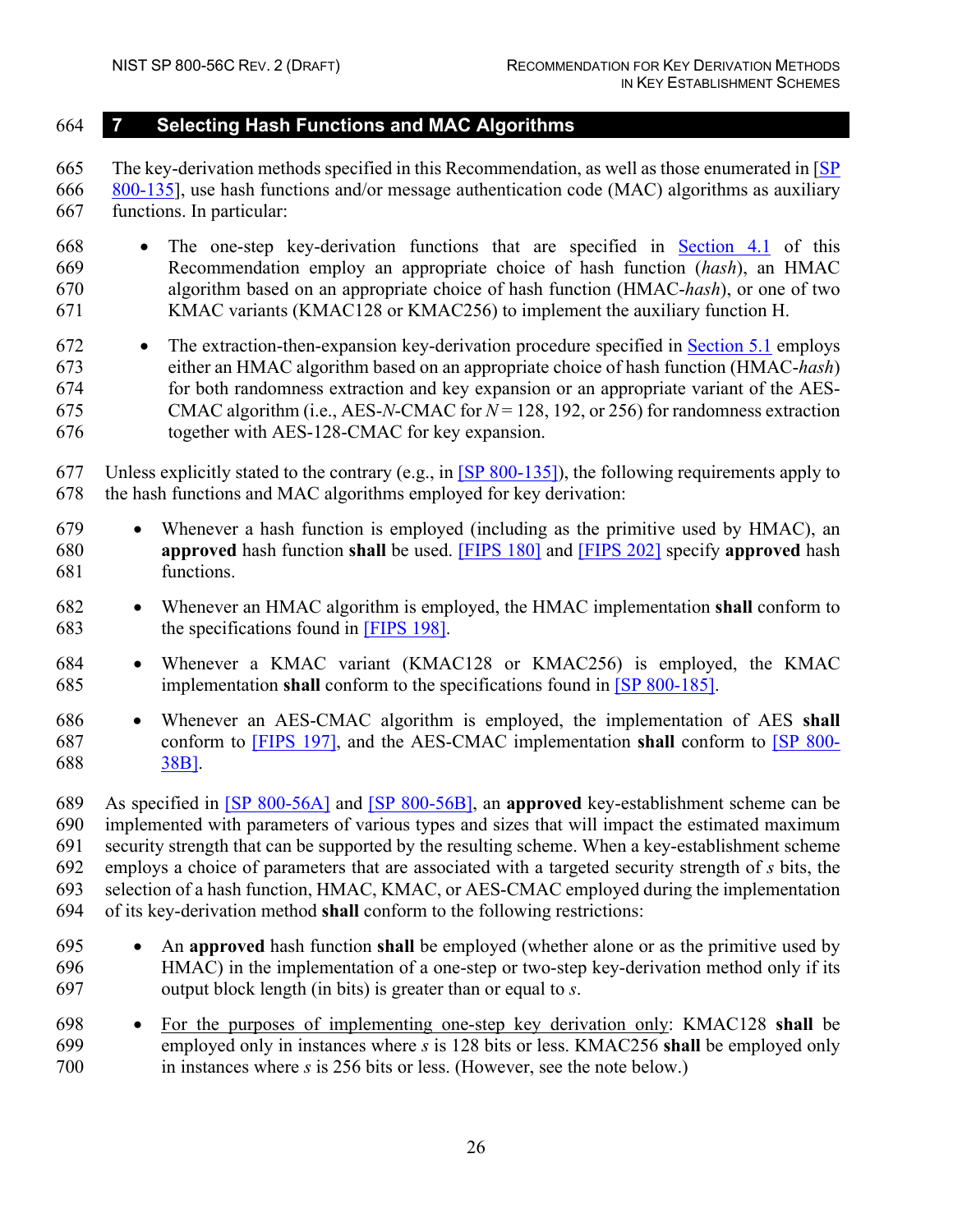#### <span id="page-34-0"></span>**7 Selecting Hash Functions and MAC Algorithms**

 The key-derivation methods specified in this Recommendation, as well as those enumerated in [\[SP](#page-39-2)  [800-135\]](#page-39-2), use hash functions and/or message authentication code (MAC) algorithms as auxiliary functions. In particular:

- The one-step key-derivation functions that are specified in [Section 4.1](#page-19-1) of this Recommendation employ an appropriate choice of hash function (*hash*), an HMAC algorithm based on an appropriate choice of hash function (HMAC-*hash*), or one of two KMAC variants (KMAC128 or KMAC256) to implement the auxiliary function H.
- The extraction-then-expansion key-derivation procedure specified in [Section 5.1](#page-25-1) employs either an HMAC algorithm based on an appropriate choice of hash function (HMAC-*hash*) for both randomness extraction and key expansion or an appropriate variant of the AES- CMAC algorithm (i.e., AES-*N*-CMAC for *N* = 128, 192, or 256) for randomness extraction together with AES-128-CMAC for key expansion.
- Unless explicitly stated to the contrary (e.g., in [\[SP 800-135\]\)](#page-39-2), the following requirements apply to the hash functions and MAC algorithms employed for key derivation:
- Whenever a hash function is employed (including as the primitive used by HMAC), an **approved** hash function **shall** be used. [FIPS 180] and [FIPS 202] specify **approved** hash functions.
- Whenever an HMAC algorithm is employed, the HMAC implementation **shall** conform to the specifications found in [FIPS 198].
- Whenever a KMAC variant (KMAC128 or KMAC256) is employed, the KMAC implementation **shall** conform to the specifications found in [\[SP 800-185\].](#page-39-5)
- Whenever an AES-CMAC algorithm is employed, the implementation of AES **shall** conform to [FIPS 197], and the AES-CMAC implementation **shall** conform to [\[SP 800-](#page-38-0) [38B\].](#page-38-0)

 As specified in [\[SP 800-56A\]](#page-38-1) and [\[SP 800-56B\],](#page-39-0) an **approved** key-establishment scheme can be implemented with parameters of various types and sizes that will impact the estimated maximum security strength that can be supported by the resulting scheme. When a key-establishment scheme employs a choice of parameters that are associated with a targeted security strength of *s* bits, the selection of a hash function, HMAC, KMAC, or AES-CMAC employed during the implementation of its key-derivation method **shall** conform to the following restrictions:

- An **approved** hash function **shall** be employed (whether alone or as the primitive used by HMAC) in the implementation of a one-step or two-step key-derivation method only if its output block length (in bits) is greater than or equal to *s*.
- For the purposes of implementing one-step key derivation only: KMAC128 **shall** be employed only in instances where *s* is 128 bits or less. KMAC256 **shall** be employed only in instances where *s* is 256 bits or less. (However, see the note below.)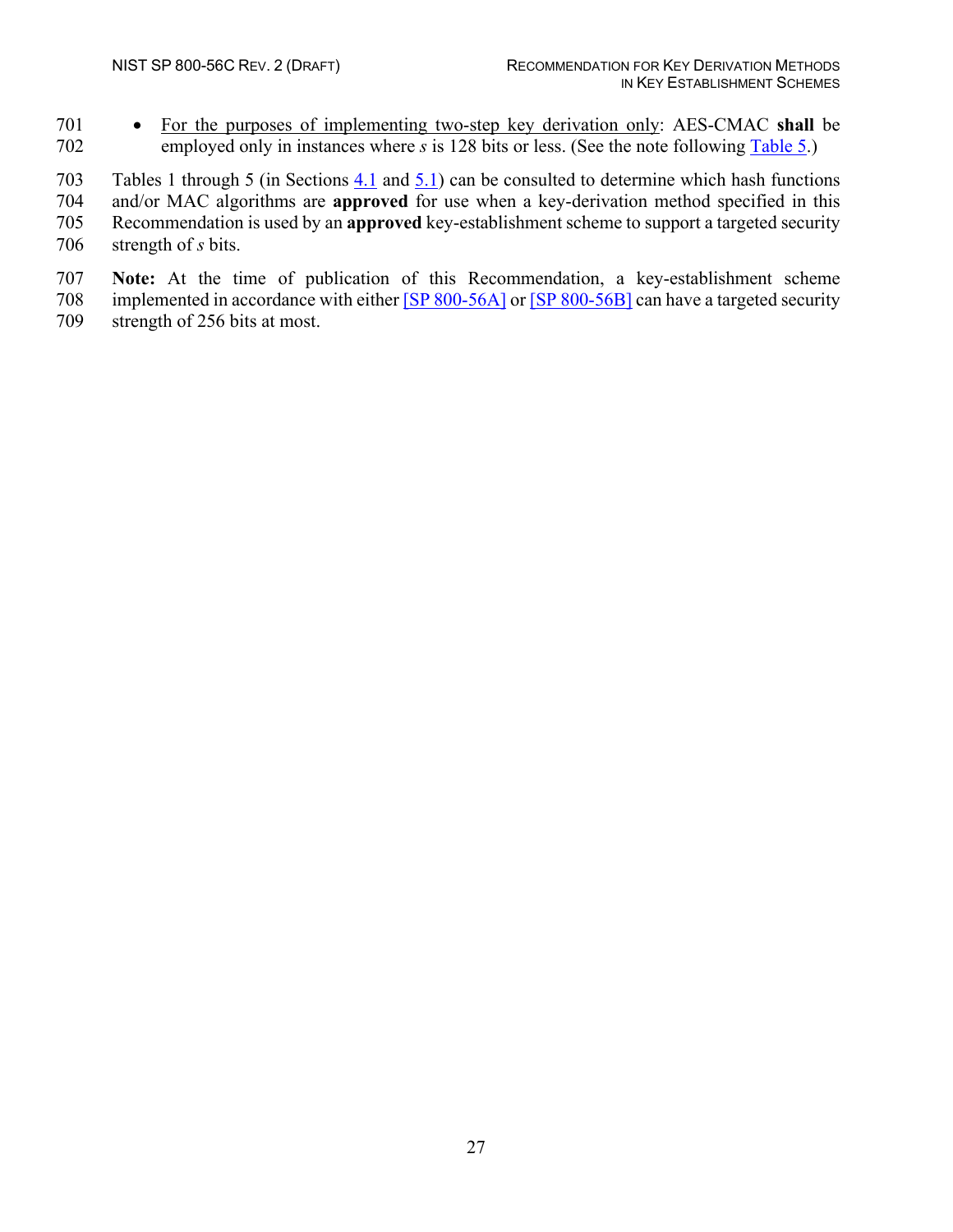• For the purposes of implementing two-step key derivation only: AES-CMAC **shall** be employed only in instances where *s* is 128 bits or less. (See the note following [Table 5.](#page-29-1))

Tables 1 through 5 (in Sections [4.1](#page-19-1) and [5.1\)](#page-25-1) can be consulted to determine which hash functions

and/or MAC algorithms are **approved** for use when a key-derivation method specified in this

Recommendation is used by an **approved** key-establishment scheme to support a targeted security

strength of *s* bits.

 **Note:** At the time of publication of this Recommendation, a key-establishment scheme 708 implemented in accordance with either [\[SP 800-56A\]](#page-38-1) or [\[SP 800-56B\]](#page-39-0) can have a targeted security

strength of 256 bits at most.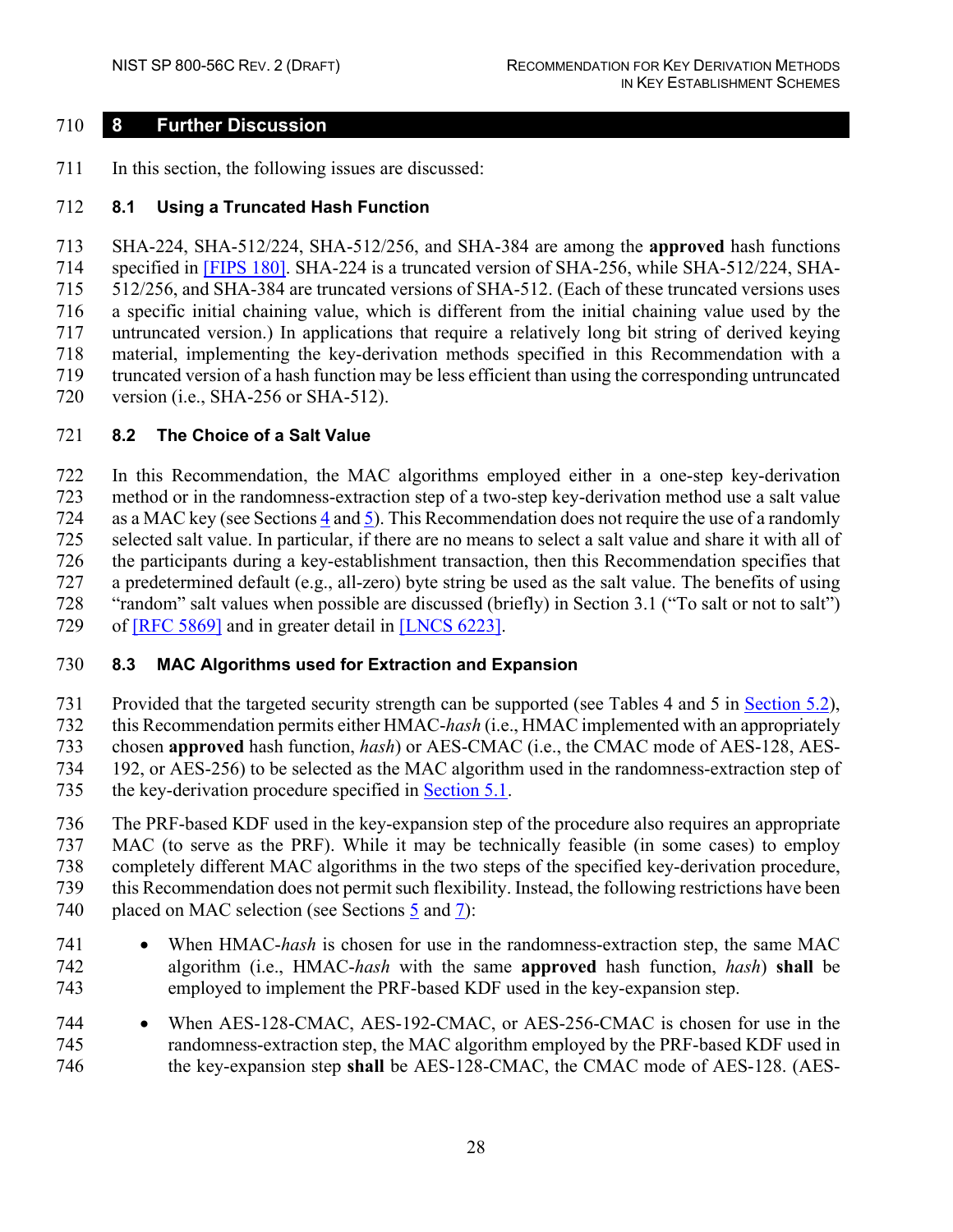#### <span id="page-36-0"></span>**8 Further Discussion**

711 In this section, the following issues are discussed:

#### <span id="page-36-1"></span>**8.1 Using a Truncated Hash Function**

 SHA-224, SHA-512/224, SHA-512/256, and SHA-384 are among the **approved** hash functions specified in [FIPS 180]. SHA-224 is a truncated version of SHA-256, while SHA-512/224, SHA- 512/256, and SHA-384 are truncated versions of SHA-512. (Each of these truncated versions uses a specific initial chaining value, which is different from the initial chaining value used by the untruncated version.) In applications that require a relatively long bit string of derived keying material, implementing the key-derivation methods specified in this Recommendation with a truncated version of a hash function may be less efficient than using the corresponding untruncated version (i.e., SHA-256 or SHA-512).

#### <span id="page-36-2"></span>**8.2 The Choice of a Salt Value**

 In this Recommendation, the MAC algorithms employed either in a one-step key-derivation method or in the randomness-extraction step of a two-step key-derivation method use a salt value as a MAC key (see Sections [4](#page-19-0) and [5\)](#page-25-0). This Recommendation does not require the use of a randomly selected salt value. In particular, if there are no means to select a salt value and share it with all of the participants during a key-establishment transaction, then this Recommendation specifies that a predetermined default (e.g., all-zero) byte string be used as the salt value. The benefits of using "random" salt values when possible are discussed (briefly) in Section 3.1 ("To salt or not to salt") of [RFC 5869] and in greater detail in [LNCS 6223].

#### <span id="page-36-3"></span>**8.3 MAC Algorithms used for Extraction and Expansion**

 Provided that the targeted security strength can be supported (see Tables 4 and 5 in [Section 5.2\)](#page-28-0), this Recommendation permits either HMAC-*hash* (i.e., HMAC implemented with an appropriately chosen **approved** hash function, *hash*) or AES-CMAC (i.e., the CMAC mode of AES-128, AES- 192, or AES-256) to be selected as the MAC algorithm used in the randomness-extraction step of the key-derivation procedure specified in [Section 5.1.](#page-25-1)

 The PRF-based KDF used in the key-expansion step of the procedure also requires an appropriate MAC (to serve as the PRF). While it may be technically feasible (in some cases) to employ completely different MAC algorithms in the two steps of the specified key-derivation procedure, this Recommendation does not permit such flexibility. Instead, the following restrictions have been placed on MAC selection (see Sections [5](#page-25-0) and [7\)](#page-34-0):

- 741 When HMAC-hash is chosen for use in the randomness-extraction step, the same MAC algorithm (i.e., HMAC-*hash* with the same **approved** hash function, *hash*) **shall** be employed to implement the PRF-based KDF used in the key-expansion step.
- When AES-128-CMAC, AES-192-CMAC, or AES-256-CMAC is chosen for use in the randomness-extraction step, the MAC algorithm employed by the PRF-based KDF used in the key-expansion step **shall** be AES-128-CMAC, the CMAC mode of AES-128. (AES-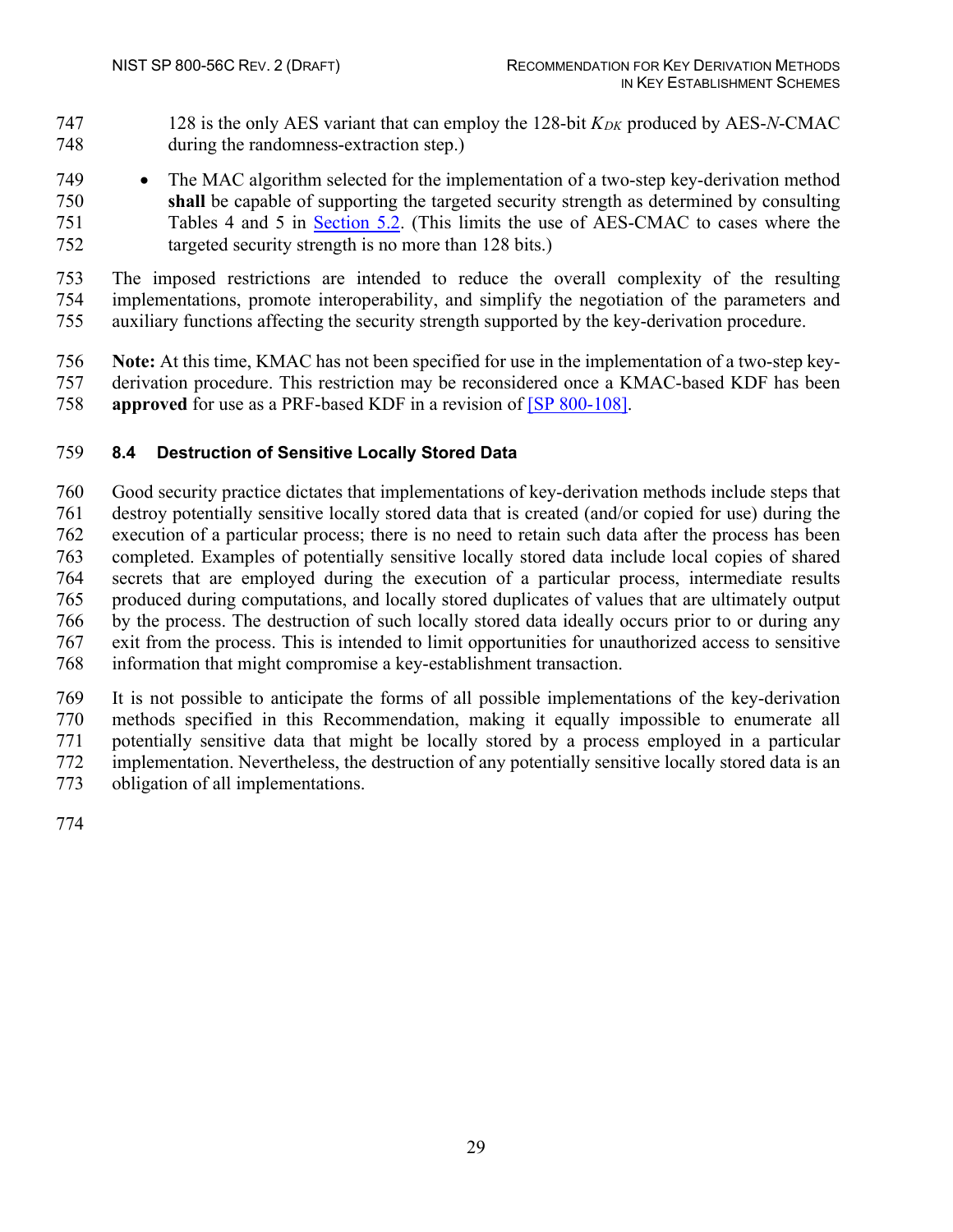- 128 is the only AES variant that can employ the 128-bit *KDK* produced by AES-*N*-CMAC during the randomness-extraction step.)
- The MAC algorithm selected for the implementation of a two-step key-derivation method **shall** be capable of supporting the targeted security strength as determined by consulting Tables 4 and 5 in [Section 5.2.](#page-28-0) (This limits the use of AES-CMAC to cases where the targeted security strength is no more than 128 bits.)
- The imposed restrictions are intended to reduce the overall complexity of the resulting implementations, promote interoperability, and simplify the negotiation of the parameters and auxiliary functions affecting the security strength supported by the key-derivation procedure.
- **Note:** At this time, KMAC has not been specified for use in the implementation of a two-step key- derivation procedure. This restriction may be reconsidered once a KMAC-based KDF has been **approved** for use as a PRF-based KDF in a revision of [\[SP 800-108\].](#page-39-1)

#### <span id="page-37-0"></span>**8.4 Destruction of Sensitive Locally Stored Data**

 Good security practice dictates that implementations of key-derivation methods include steps that destroy potentially sensitive locally stored data that is created (and/or copied for use) during the execution of a particular process; there is no need to retain such data after the process has been completed. Examples of potentially sensitive locally stored data include local copies of shared secrets that are employed during the execution of a particular process, intermediate results produced during computations, and locally stored duplicates of values that are ultimately output by the process. The destruction of such locally stored data ideally occurs prior to or during any exit from the process. This is intended to limit opportunities for unauthorized access to sensitive information that might compromise a key-establishment transaction.

 It is not possible to anticipate the forms of all possible implementations of the key-derivation methods specified in this Recommendation, making it equally impossible to enumerate all potentially sensitive data that might be locally stored by a process employed in a particular implementation. Nevertheless, the destruction of any potentially sensitive locally stored data is an obligation of all implementations.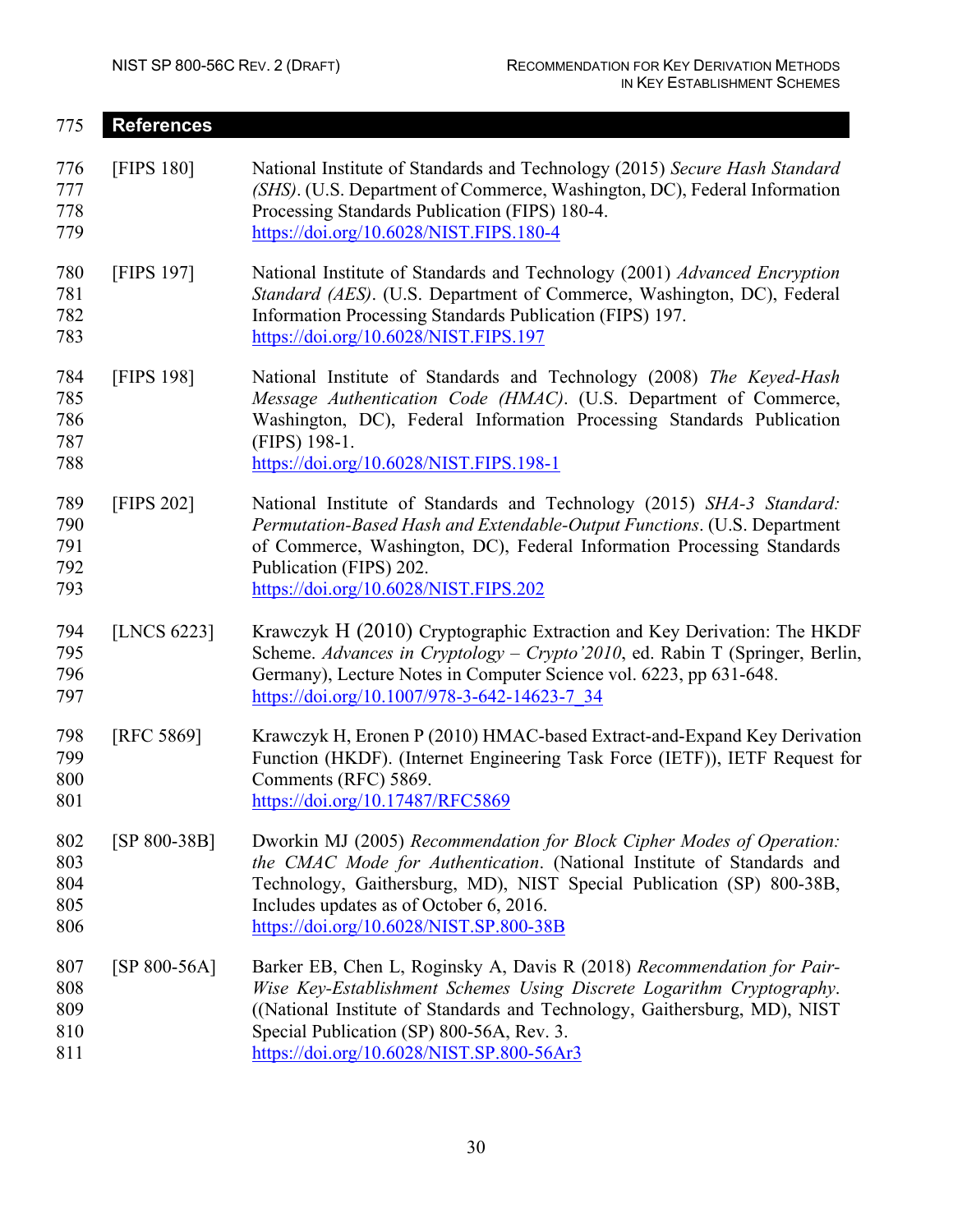<span id="page-38-1"></span><span id="page-38-0"></span>

| 775                             | <b>References</b> |                                                                                                                                                                                                                                                                                                                        |  |
|---------------------------------|-------------------|------------------------------------------------------------------------------------------------------------------------------------------------------------------------------------------------------------------------------------------------------------------------------------------------------------------------|--|
| 776<br>777<br>778<br>779        | <b>[FIPS 180]</b> | National Institute of Standards and Technology (2015) Secure Hash Standard<br>(SHS). (U.S. Department of Commerce, Washington, DC), Federal Information<br>Processing Standards Publication (FIPS) 180-4.<br>https://doi.org/10.6028/NIST.FIPS.180-4                                                                   |  |
| 780<br>781<br>782<br>783        | [FIPS 197]        | National Institute of Standards and Technology (2001) Advanced Encryption<br>Standard (AES). (U.S. Department of Commerce, Washington, DC), Federal<br>Information Processing Standards Publication (FIPS) 197.<br>https://doi.org/10.6028/NIST.FIPS.197                                                               |  |
| 784<br>785<br>786<br>787<br>788 | <b>[FIPS 198]</b> | National Institute of Standards and Technology (2008) The Keyed-Hash<br>Message Authentication Code (HMAC). (U.S. Department of Commerce,<br>Washington, DC), Federal Information Processing Standards Publication<br>(FIPS) 198-1.<br>https://doi.org/10.6028/NIST.FIPS.198-1                                         |  |
| 789<br>790<br>791<br>792<br>793 | [FIPS 202]        | National Institute of Standards and Technology (2015) SHA-3 Standard:<br>Permutation-Based Hash and Extendable-Output Functions. (U.S. Department<br>of Commerce, Washington, DC), Federal Information Processing Standards<br>Publication (FIPS) 202.<br>https://doi.org/10.6028/NIST.FIPS.202                        |  |
| 794<br>795<br>796<br>797        | [LNCS 6223]       | Krawczyk H (2010) Cryptographic Extraction and Key Derivation: The HKDF<br>Scheme. Advances in Cryptology - Crypto'2010, ed. Rabin T (Springer, Berlin,<br>Germany), Lecture Notes in Computer Science vol. 6223, pp 631-648.<br>https://doi.org/10.1007/978-3-642-14623-7 34                                          |  |
| 798<br>799<br>800<br>801        | [RFC 5869]        | Krawczyk H, Eronen P (2010) HMAC-based Extract-and-Expand Key Derivation<br>Function (HKDF). (Internet Engineering Task Force (IETF)), IETF Request for<br>Comments (RFC) 5869.<br>https://doi.org/10.17487/RFC5869                                                                                                    |  |
| 802<br>803<br>804<br>805<br>806 | [SP 800-38B]      | Dworkin MJ (2005) Recommendation for Block Cipher Modes of Operation:<br>the CMAC Mode for Authentication. (National Institute of Standards and<br>Technology, Gaithersburg, MD), NIST Special Publication (SP) 800-38B,<br>Includes updates as of October 6, 2016.<br>https://doi.org/10.6028/NIST.SP.800-38B         |  |
| 807<br>808<br>809<br>810<br>811 | $[SP 800-56A]$    | Barker EB, Chen L, Roginsky A, Davis R (2018) Recommendation for Pair-<br>Wise Key-Establishment Schemes Using Discrete Logarithm Cryptography.<br>((National Institute of Standards and Technology, Gaithersburg, MD), NIST<br>Special Publication (SP) 800-56A, Rev. 3.<br>https://doi.org/10.6028/NIST.SP.800-56Ar3 |  |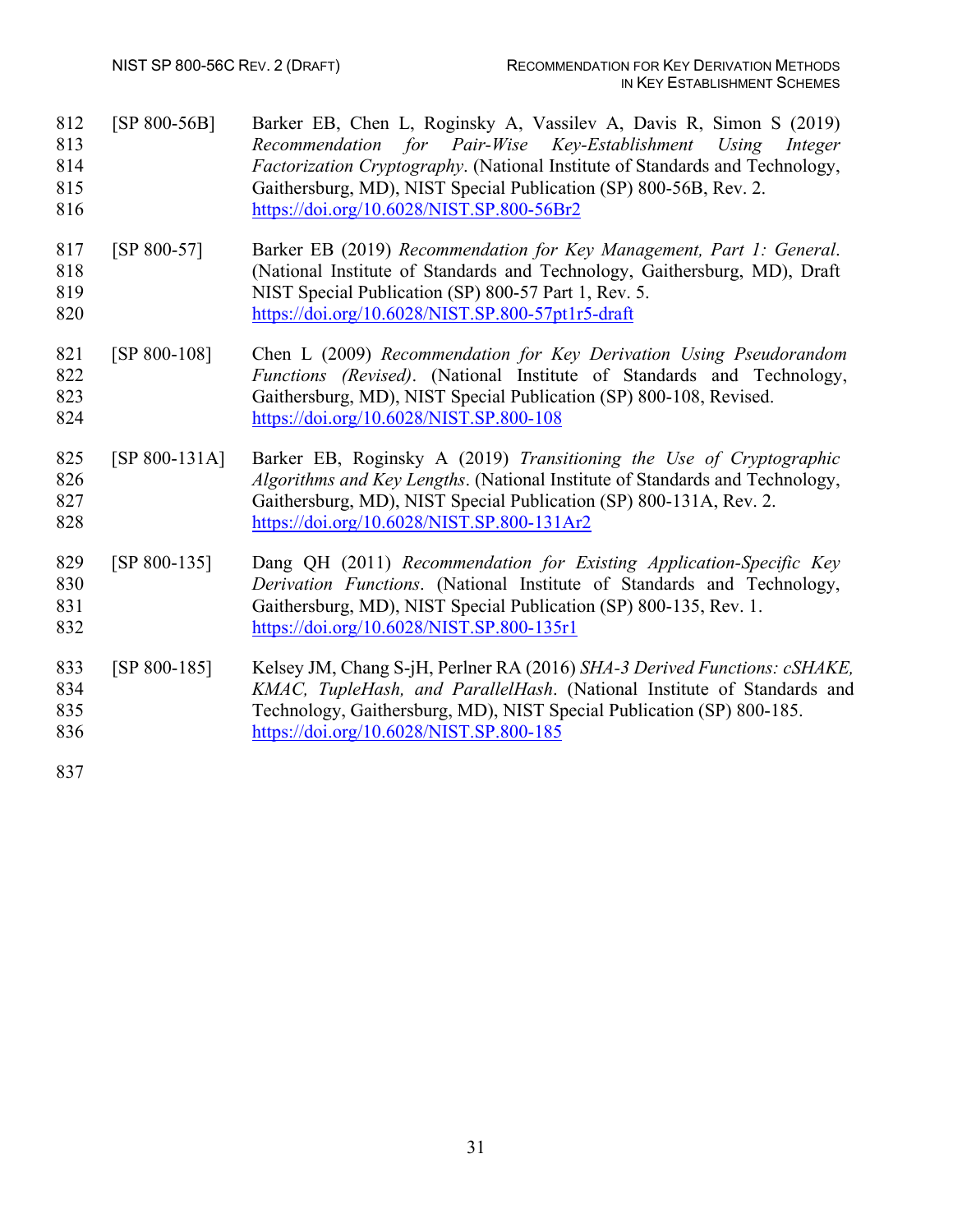<span id="page-39-5"></span><span id="page-39-4"></span><span id="page-39-3"></span><span id="page-39-2"></span><span id="page-39-1"></span><span id="page-39-0"></span>

| 812<br>813<br>814<br>815<br>816 | $[SP 800-56B]$  | Barker EB, Chen L, Roginsky A, Vassilev A, Davis R, Simon S (2019)<br>Recommendation for Pair-Wise Key-Establishment Using<br>Integer<br>Factorization Cryptography. (National Institute of Standards and Technology,<br>Gaithersburg, MD), NIST Special Publication (SP) 800-56B, Rev. 2.<br>https://doi.org/10.6028/NIST.SP.800-56Br2 |  |
|---------------------------------|-----------------|-----------------------------------------------------------------------------------------------------------------------------------------------------------------------------------------------------------------------------------------------------------------------------------------------------------------------------------------|--|
| 817<br>818<br>819<br>820        | $[SP 800-57]$   | Barker EB (2019) Recommendation for Key Management, Part 1: General.<br>(National Institute of Standards and Technology, Gaithersburg, MD), Draft<br>NIST Special Publication (SP) 800-57 Part 1, Rev. 5.<br>https://doi.org/10.6028/NIST.SP.800-57pt1r5-draft                                                                          |  |
| 821<br>822<br>823<br>824        | $[SP 800-108]$  | Chen L (2009) Recommendation for Key Derivation Using Pseudorandom<br>Functions (Revised). (National Institute of Standards and Technology,<br>Gaithersburg, MD), NIST Special Publication (SP) 800-108, Revised.<br>https://doi.org/10.6028/NIST.SP.800-108                                                                            |  |
| 825<br>826<br>827<br>828        | $[SP 800-131A]$ | Barker EB, Roginsky A (2019) Transitioning the Use of Cryptographic<br>Algorithms and Key Lengths. (National Institute of Standards and Technology,<br>Gaithersburg, MD), NIST Special Publication (SP) 800-131A, Rev. 2.<br>https://doi.org/10.6028/NIST.SP.800-131Ar2                                                                 |  |
| 829<br>830<br>831<br>832        | $[SP 800-135]$  | Dang QH (2011) Recommendation for Existing Application-Specific Key<br>Derivation Functions. (National Institute of Standards and Technology,<br>Gaithersburg, MD), NIST Special Publication (SP) 800-135, Rev. 1.<br>https://doi.org/10.6028/NIST.SP.800-135r1                                                                         |  |
| 833<br>834<br>835<br>836<br>837 | $[SP 800-185]$  | Kelsey JM, Chang S-jH, Perlner RA (2016) SHA-3 Derived Functions: cSHAKE,<br>KMAC, TupleHash, and ParallelHash. (National Institute of Standards and<br>Technology, Gaithersburg, MD), NIST Special Publication (SP) 800-185.<br>https://doi.org/10.6028/NIST.SP.800-185                                                                |  |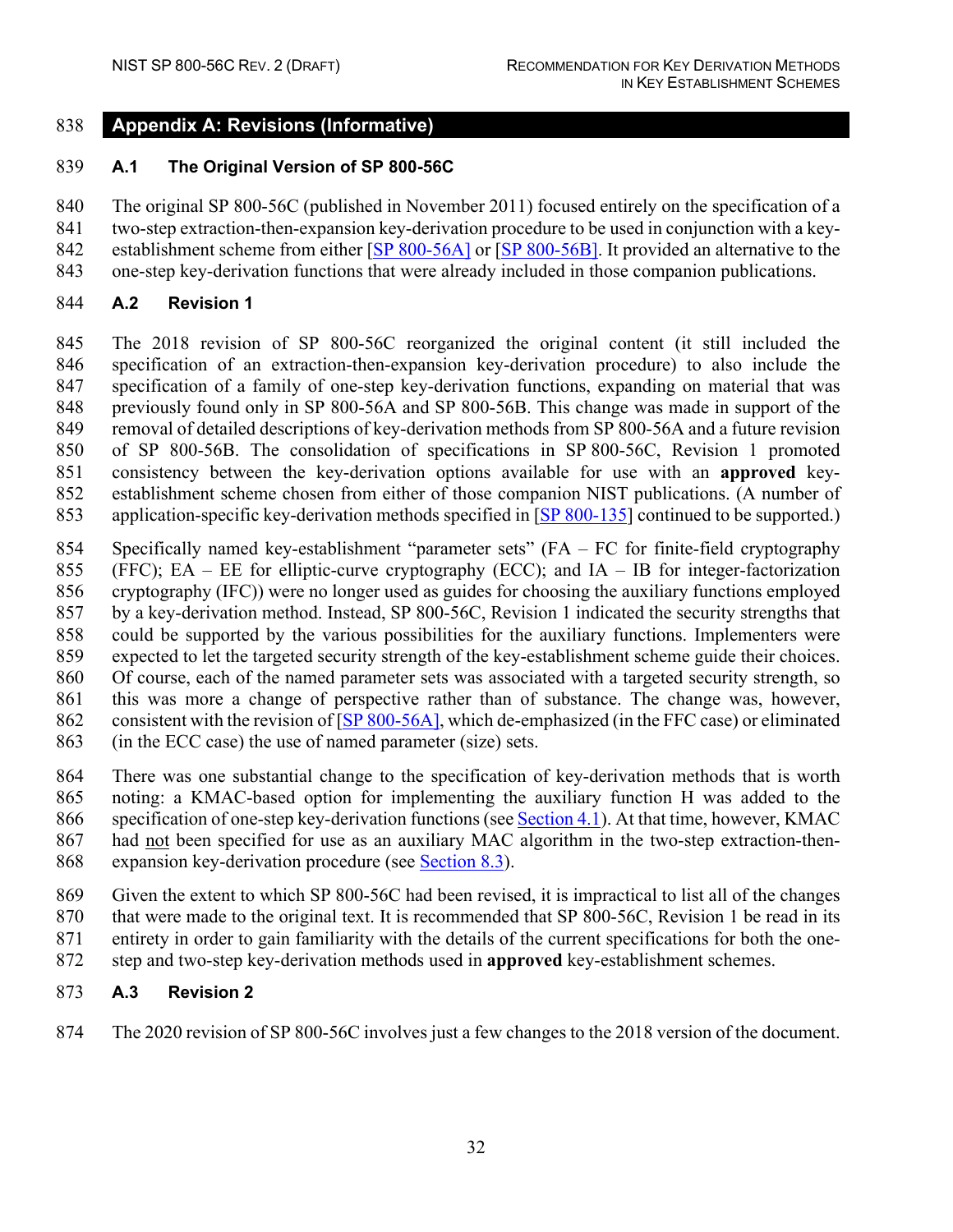#### <span id="page-40-0"></span>**Appendix A: Revisions (Informative)**

#### <span id="page-40-1"></span>**A.1 The Original Version of SP 800-56C**

 The original SP 800-56C (published in November 2011) focused entirely on the specification of a two-step extraction-then-expansion key-derivation procedure to be used in conjunction with a key-842 establishment scheme from either [\[SP 800-56A\]](#page-38-1) or [\[SP 800-56B\]](#page-39-0). It provided an alternative to the

one-step key-derivation functions that were already included in those companion publications.

#### <span id="page-40-2"></span>**A.2 Revision 1**

 The 2018 revision of SP 800-56C reorganized the original content (it still included the specification of an extraction-then-expansion key-derivation procedure) to also include the specification of a family of one-step key-derivation functions, expanding on material that was previously found only in SP 800-56A and SP 800-56B. This change was made in support of the removal of detailed descriptions of key-derivation methods from SP 800-56A and a future revision of SP 800-56B. The consolidation of specifications in SP 800-56C, Revision 1 promoted consistency between the key-derivation options available for use with an **approved** key- establishment scheme chosen from either of those companion NIST publications. (A number of application-specific key-derivation methods specified in [\[SP 800-135\]](#page-39-2) continued to be supported.)

- Specifically named key-establishment "parameter sets" (FA FC for finite-field cryptography 855 (FFC); EA – EE for elliptic-curve cryptography (ECC); and IA – IB for integer-factorization
- cryptography (IFC)) were no longer used as guides for choosing the auxiliary functions employed
- by a key-derivation method. Instead, SP 800-56C, Revision 1 indicated the security strengths that
- could be supported by the various possibilities for the auxiliary functions. Implementers were
- expected to let the targeted security strength of the key-establishment scheme guide their choices.
- Of course, each of the named parameter sets was associated with a targeted security strength, so
- this was more a change of perspective rather than of substance. The change was, however,
- consistent with the revision of [\[SP 800-56A\]](#page-38-1), which de-emphasized (in the FFC case) or eliminated
- (in the ECC case) the use of named parameter (size) sets.
- There was one substantial change to the specification of key-derivation methods that is worth
- noting: a KMAC-based option for implementing the auxiliary function H was added to the
- 866 specification of one-step key-derivation functions (se[e Section 4.1\)](#page-19-1). At that time, however, KMAC had not been specified for use as an auxiliary MAC algorithm in the two-step extraction-then-
- expansion key-derivation procedure (see [Section 8.3\)](#page-36-3).
- Given the extent to which SP 800-56C had been revised, it is impractical to list all of the changes
- 870 that were made to the original text. It is recommended that SP 800-56C, Revision 1 be read in its
- entirety in order to gain familiarity with the details of the current specifications for both the one-
- step and two-step key-derivation methods used in **approved** key-establishment schemes.

# <span id="page-40-3"></span>**A.3 Revision 2**

The 2020 revision of SP 800-56C involves just a few changes to the 2018 version of the document.